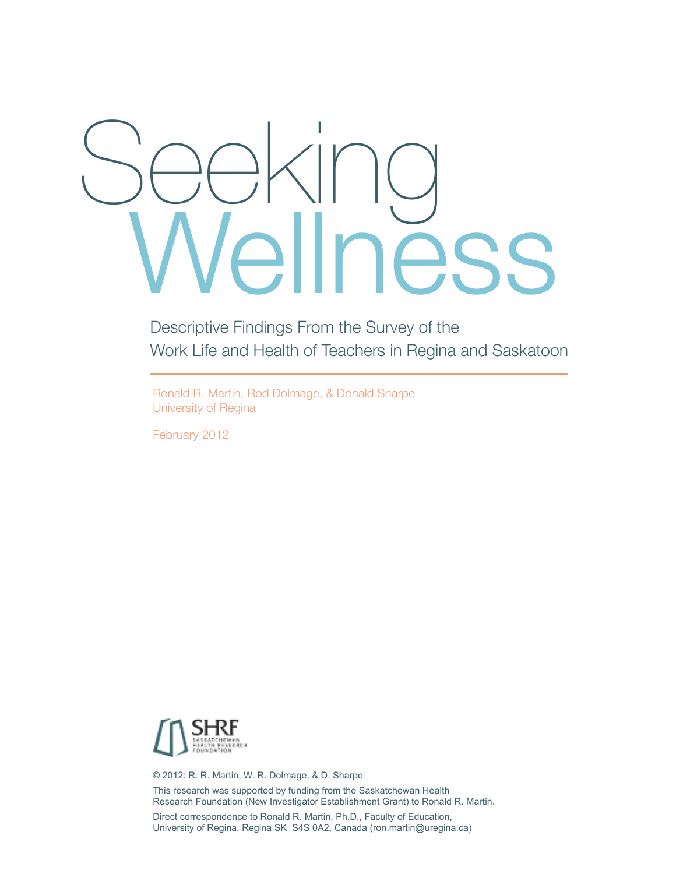# ness Seeking

Descriptive Findings From the Survey of the Work Life and Health of Teachers in Regina and Saskatoon

Ronald R. Martin, Rod Dolmage, & Donald Sharpe University of Regina

February 2012



© 2012: R. R. Martin, W. R. Dolmage, & D. Sharpe This research was supported by funding from the Saskatchewan Health Research Foundation (New Investigator Establishment Grant) to Ronald R. Martin.

Direct correspondence to Ronald R. Martin, Ph.D., Faculty of Education, University of Regina, Regina SK S4S 0A2, Canada (ron.martin@uregina.ca)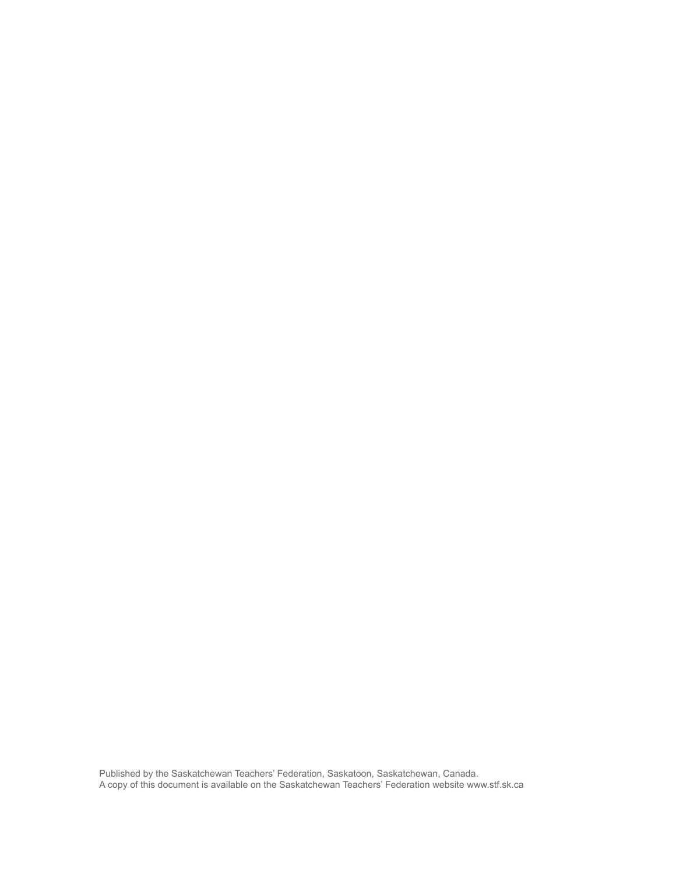Published by the Saskatchewan Teachers' Federation, Saskatoon, Saskatchewan, Canada. A copy of this document is available on the Saskatchewan Teachers' Federation website www.stf.sk.ca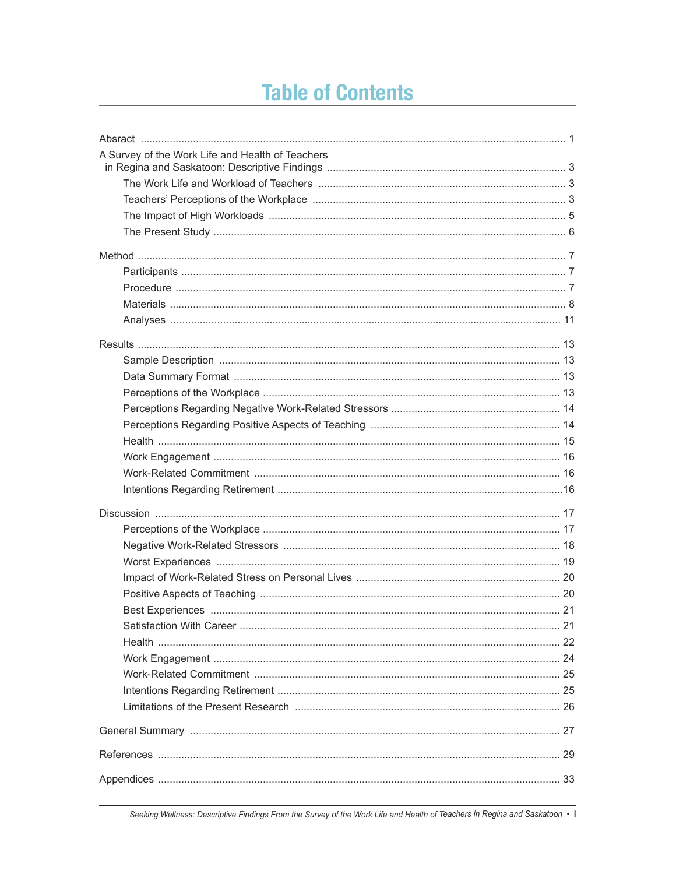# **Table of Contents**

| A Survey of the Work Life and Health of Teachers |     |
|--------------------------------------------------|-----|
|                                                  |     |
|                                                  |     |
|                                                  |     |
|                                                  |     |
|                                                  |     |
|                                                  |     |
|                                                  |     |
|                                                  |     |
|                                                  |     |
|                                                  |     |
|                                                  |     |
|                                                  |     |
|                                                  |     |
|                                                  |     |
|                                                  |     |
|                                                  |     |
|                                                  |     |
|                                                  |     |
|                                                  |     |
|                                                  |     |
|                                                  |     |
|                                                  |     |
|                                                  |     |
|                                                  |     |
|                                                  |     |
|                                                  |     |
|                                                  |     |
|                                                  | .21 |
|                                                  |     |
|                                                  |     |
|                                                  |     |
|                                                  |     |
|                                                  |     |
|                                                  |     |
|                                                  |     |
|                                                  |     |
|                                                  |     |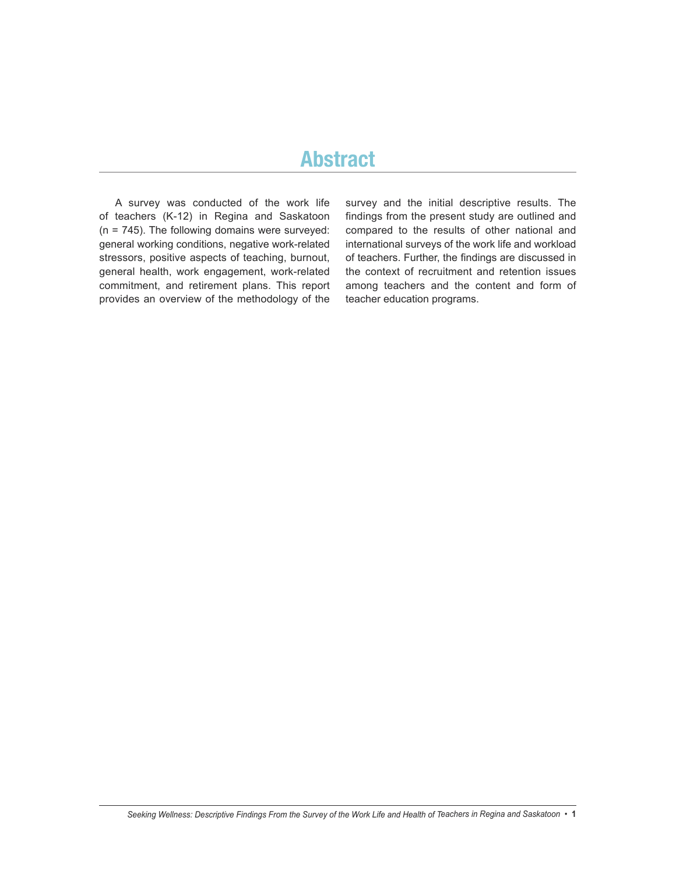## **Abstract**

A survey was conducted of the work life of teachers (K-12) in Regina and Saskatoon (n = 745). The following domains were surveyed: general working conditions, negative work-related stressors, positive aspects of teaching, burnout, general health, work engagement, work-related commitment, and retirement plans. This report provides an overview of the methodology of the

survey and the initial descriptive results. The findings from the present study are outlined and compared to the results of other national and international surveys of the work life and workload of teachers. Further, the findings are discussed in the context of recruitment and retention issues among teachers and the content and form of teacher education programs.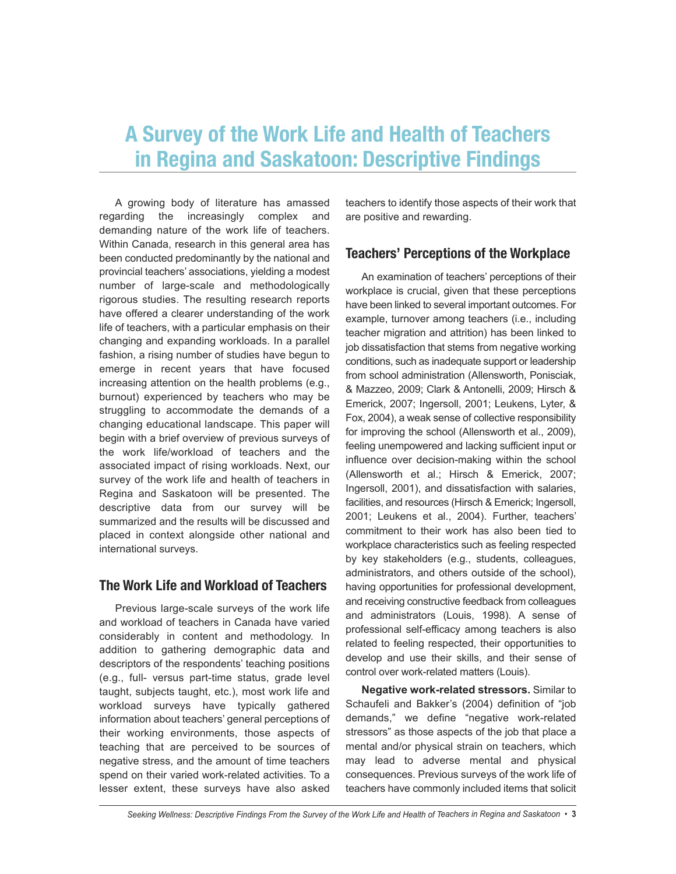# **A Survey of the Work Life and Health of Teachers in Regina and Saskatoon: Descriptive Findings**

A growing body of literature has amassed regarding the increasingly complex and demanding nature of the work life of teachers. Within Canada, research in this general area has been conducted predominantly by the national and provincial teachers' associations, yielding a modest number of large-scale and methodologically rigorous studies. The resulting research reports have offered a clearer understanding of the work life of teachers, with a particular emphasis on their changing and expanding workloads. In a parallel fashion, a rising number of studies have begun to emerge in recent years that have focused increasing attention on the health problems (e.g., burnout) experienced by teachers who may be struggling to accommodate the demands of a changing educational landscape. This paper will begin with a brief overview of previous surveys of the work life/workload of teachers and the associated impact of rising workloads. Next, our survey of the work life and health of teachers in Regina and Saskatoon will be presented. The descriptive data from our survey will be summarized and the results will be discussed and placed in context alongside other national and international surveys.

#### **The Work Life and Workload of Teachers**

Previous large-scale surveys of the work life and workload of teachers in Canada have varied considerably in content and methodology. In addition to gathering demographic data and descriptors of the respondents' teaching positions (e.g., full- versus part-time status, grade level taught, subjects taught, etc.), most work life and workload surveys have typically gathered information about teachers' general perceptions of their working environments, those aspects of teaching that are perceived to be sources of negative stress, and the amount of time teachers spend on their varied work-related activities. To a lesser extent, these surveys have also asked teachers to identify those aspects of their work that are positive and rewarding.

## **Teachers' Perceptions of the Workplace**

An examination of teachers' perceptions of their workplace is crucial, given that these perceptions have been linked to several important outcomes. For example, turnover among teachers (i.e., including teacher migration and attrition) has been linked to job dissatisfaction that stems from negative working conditions, such as inadequate support or leadership from school administration (Allensworth, Ponisciak, & Mazzeo, 2009; Clark & Antonelli, 2009; Hirsch & Emerick, 2007; Ingersoll, 2001; Leukens, Lyter, & Fox, 2004), a weak sense of collective responsibility for improving the school (Allensworth et al., 2009), feeling unempowered and lacking sufficient input or influence over decision-making within the school (Allensworth et al.; Hirsch & Emerick, 2007; Ingersoll, 2001), and dissatisfaction with salaries, facilities, and resources (Hirsch & Emerick; Ingersoll, 2001; Leukens et al., 2004). Further, teachers' commitment to their work has also been tied to workplace characteristics such as feeling respected by key stakeholders (e.g., students, colleagues, administrators, and others outside of the school), having opportunities for professional development, and receiving constructive feedback from colleagues and administrators (Louis, 1998). A sense of professional self-efficacy among teachers is also related to feeling respected, their opportunities to develop and use their skills, and their sense of control over work-related matters (Louis).

**Negative work-related stressors.** Similar to Schaufeli and Bakker's (2004) definition of "job demands," we define "negative work-related stressors" as those aspects of the job that place a mental and/or physical strain on teachers, which may lead to adverse mental and physical consequences. Previous surveys of the work life of teachers have commonly included items that solicit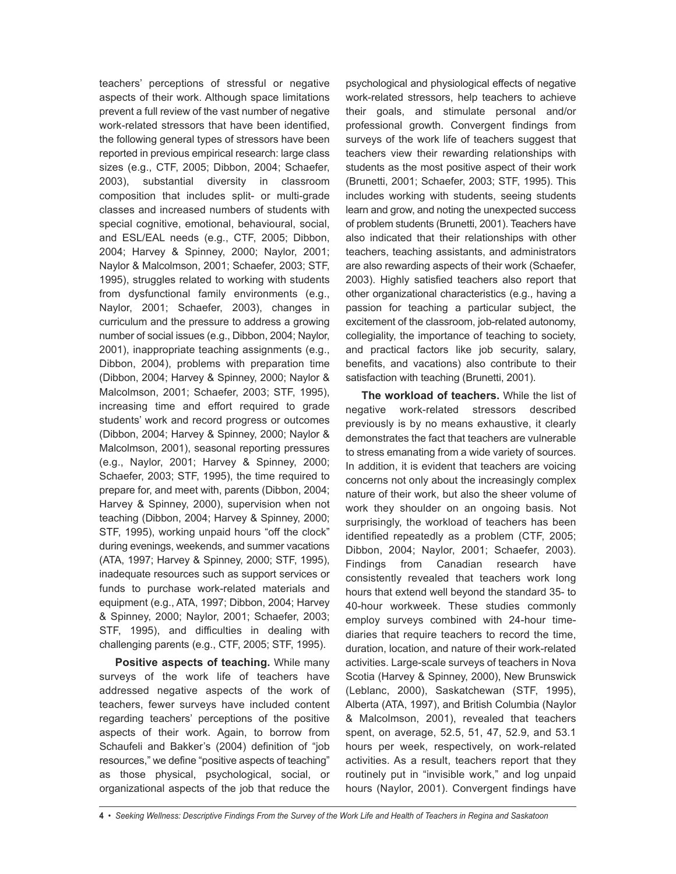teachers' perceptions of stressful or negative aspects of their work. Although space limitations prevent a full review of the vast number of negative work-related stressors that have been identified, the following general types of stressors have been reported in previous empirical research: large class sizes (e.g., CTF, 2005; Dibbon, 2004; Schaefer, 2003), substantial diversity in classroom composition that includes split- or multi-grade classes and increased numbers of students with special cognitive, emotional, behavioural, social, and ESL/EAL needs (e.g., CTF, 2005; Dibbon, 2004; Harvey & Spinney, 2000; Naylor, 2001; Naylor & Malcolmson, 2001; Schaefer, 2003; STF, 1995), struggles related to working with students from dysfunctional family environments (e.g., Naylor, 2001; Schaefer, 2003), changes in curriculum and the pressure to address a growing number of social issues (e.g., Dibbon, 2004; Naylor, 2001), inappropriate teaching assignments (e.g., Dibbon, 2004), problems with preparation time (Dibbon, 2004; Harvey & Spinney, 2000; Naylor & Malcolmson, 2001; Schaefer, 2003; STF, 1995), increasing time and effort required to grade students' work and record progress or outcomes (Dibbon, 2004; Harvey & Spinney, 2000; Naylor & Malcolmson, 2001), seasonal reporting pressures (e.g., Naylor, 2001; Harvey & Spinney, 2000; Schaefer, 2003; STF, 1995), the time required to prepare for, and meet with, parents (Dibbon, 2004; Harvey & Spinney, 2000), supervision when not teaching (Dibbon, 2004; Harvey & Spinney, 2000; STF, 1995), working unpaid hours "off the clock" during evenings, weekends, and summer vacations (ATA, 1997; Harvey & Spinney, 2000; STF, 1995), inadequate resources such as support services or funds to purchase work-related materials and equipment (e.g., ATA, 1997; Dibbon, 2004; Harvey & Spinney, 2000; Naylor, 2001; Schaefer, 2003; STF, 1995), and difficulties in dealing with challenging parents (e.g., CTF, 2005; STF, 1995).

**Positive aspects of teaching.** While many surveys of the work life of teachers have addressed negative aspects of the work of teachers, fewer surveys have included content regarding teachers' perceptions of the positive aspects of their work. Again, to borrow from Schaufeli and Bakker's (2004) definition of "job resources," we define "positive aspects of teaching" as those physical, psychological, social, or organizational aspects of the job that reduce the psychological and physiological effects of negative work-related stressors, help teachers to achieve their goals, and stimulate personal and/or professional growth. Convergent findings from surveys of the work life of teachers suggest that teachers view their rewarding relationships with students as the most positive aspect of their work (Brunetti, 2001; Schaefer, 2003; STF, 1995). This includes working with students, seeing students learn and grow, and noting the unexpected success of problem students (Brunetti, 2001). Teachers have also indicated that their relationships with other teachers, teaching assistants, and administrators are also rewarding aspects of their work (Schaefer, 2003). Highly satisfied teachers also report that other organizational characteristics (e.g., having a passion for teaching a particular subject, the excitement of the classroom, job-related autonomy, collegiality, the importance of teaching to society, and practical factors like job security, salary, benefits, and vacations) also contribute to their satisfaction with teaching (Brunetti, 2001).

**The workload of teachers.** While the list of negative work-related stressors described previously is by no means exhaustive, it clearly demonstrates the fact that teachers are vulnerable to stress emanating from a wide variety of sources. In addition, it is evident that teachers are voicing concerns not only about the increasingly complex nature of their work, but also the sheer volume of work they shoulder on an ongoing basis. Not surprisingly, the workload of teachers has been identified repeatedly as a problem (CTF, 2005; Dibbon, 2004; Naylor, 2001; Schaefer, 2003). Findings from Canadian research have consistently revealed that teachers work long hours that extend well beyond the standard 35- to 40-hour workweek. These studies commonly employ surveys combined with 24-hour timediaries that require teachers to record the time, duration, location, and nature of their work-related activities. Large-scale surveys of teachers in Nova Scotia (Harvey & Spinney, 2000), New Brunswick (Leblanc, 2000), Saskatchewan (STF, 1995), Alberta (ATA, 1997), and British Columbia (Naylor & Malcolmson, 2001), revealed that teachers spent, on average, 52.5, 51, 47, 52.9, and 53.1 hours per week, respectively, on work-related activities. As a result, teachers report that they routinely put in "invisible work," and log unpaid hours (Naylor, 2001). Convergent findings have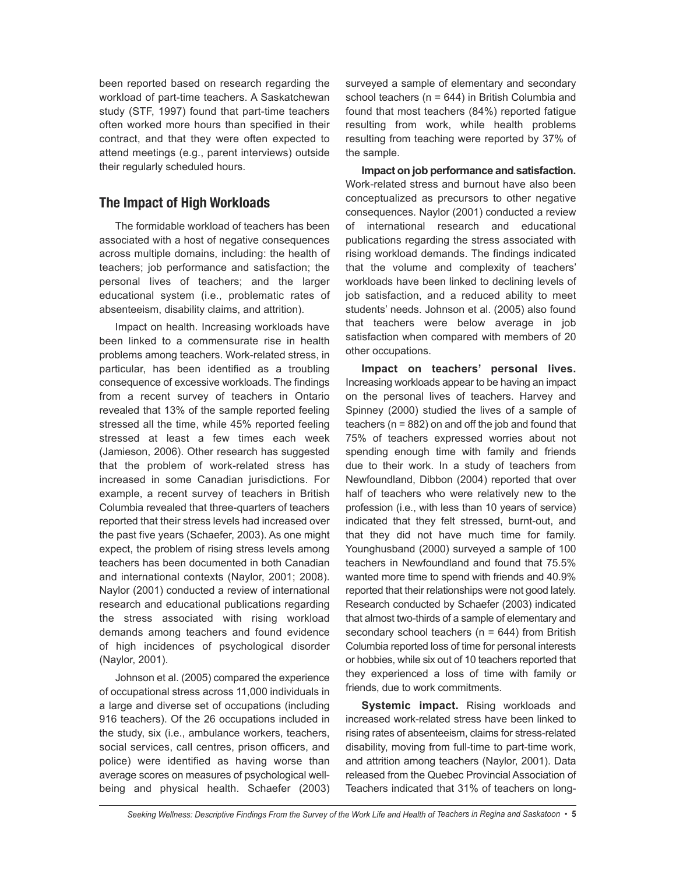been reported based on research regarding the workload of part-time teachers. A Saskatchewan study (STF, 1997) found that part-time teachers often worked more hours than specified in their contract, and that they were often expected to attend meetings (e.g., parent interviews) outside their regularly scheduled hours.

## **The Impact of High Workloads**

The formidable workload of teachers has been associated with a host of negative consequences across multiple domains, including: the health of teachers; job performance and satisfaction; the personal lives of teachers; and the larger educational system (i.e., problematic rates of absenteeism, disability claims, and attrition).

Impact on health. Increasing workloads have been linked to a commensurate rise in health problems among teachers. Work-related stress, in particular, has been identified as a troubling consequence of excessive workloads. The findings from a recent survey of teachers in Ontario revealed that 13% of the sample reported feeling stressed all the time, while 45% reported feeling stressed at least a few times each week (Jamieson, 2006). Other research has suggested that the problem of work-related stress has increased in some Canadian jurisdictions. For example, a recent survey of teachers in British Columbia revealed that three-quarters of teachers reported that their stress levels had increased over the past five years (Schaefer, 2003). As one might expect, the problem of rising stress levels among teachers has been documented in both Canadian and international contexts (Naylor, 2001; 2008). Naylor (2001) conducted a review of international research and educational publications regarding the stress associated with rising workload demands among teachers and found evidence of high incidences of psychological disorder (Naylor, 2001).

Johnson et al. (2005) compared the experience of occupational stress across 11,000 individuals in a large and diverse set of occupations (including 916 teachers). Of the 26 occupations included in the study, six (i.e., ambulance workers, teachers, social services, call centres, prison officers, and police) were identified as having worse than average scores on measures of psychological wellbeing and physical health. Schaefer (2003) surveyed a sample of elementary and secondary school teachers (n = 644) in British Columbia and found that most teachers (84%) reported fatigue resulting from work, while health problems resulting from teaching were reported by 37% of the sample.

**Impact on job performance and satisfaction.** Work-related stress and burnout have also been conceptualized as precursors to other negative consequences. Naylor (2001) conducted a review of international research and educational publications regarding the stress associated with rising workload demands. The findings indicated that the volume and complexity of teachers' workloads have been linked to declining levels of job satisfaction, and a reduced ability to meet students' needs. Johnson et al. (2005) also found that teachers were below average in job satisfaction when compared with members of 20 other occupations.

**Impact on teachers' personal lives.** Increasing workloads appear to be having an impact on the personal lives of teachers. Harvey and Spinney (2000) studied the lives of a sample of teachers (n = 882) on and off the job and found that 75% of teachers expressed worries about not spending enough time with family and friends due to their work. In a study of teachers from Newfoundland, Dibbon (2004) reported that over half of teachers who were relatively new to the profession (i.e., with less than 10 years of service) indicated that they felt stressed, burnt-out, and that they did not have much time for family. Younghusband (2000) surveyed a sample of 100 teachers in Newfoundland and found that 75.5% wanted more time to spend with friends and 40.9% reported that their relationships were not good lately. Research conducted by Schaefer (2003) indicated that almost two-thirds of a sample of elementary and secondary school teachers ( $n = 644$ ) from British Columbia reported loss of time for personal interests or hobbies, while six out of 10 teachers reported that they experienced a loss of time with family or friends, due to work commitments.

**Systemic impact.** Rising workloads and increased work-related stress have been linked to rising rates of absenteeism, claims for stress-related disability, moving from full-time to part-time work, and attrition among teachers (Naylor, 2001). Data released from the Quebec Provincial Association of Teachers indicated that 31% of teachers on long-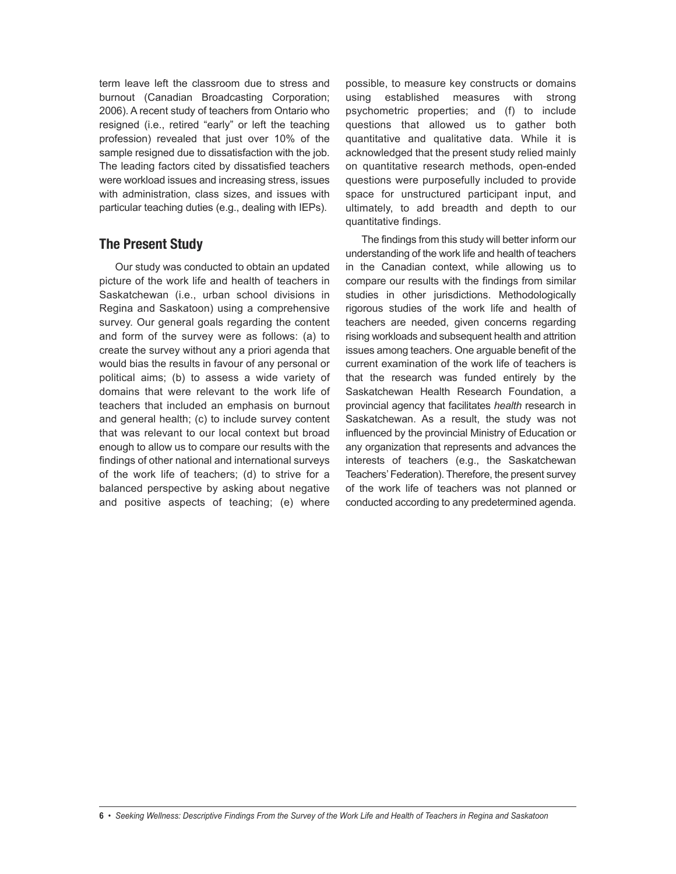term leave left the classroom due to stress and burnout (Canadian Broadcasting Corporation; 2006). A recent study of teachers from Ontario who resigned (i.e., retired "early" or left the teaching profession) revealed that just over 10% of the sample resigned due to dissatisfaction with the job. The leading factors cited by dissatisfied teachers were workload issues and increasing stress, issues with administration, class sizes, and issues with particular teaching duties (e.g., dealing with IEPs).

## **The Present Study**

Our study was conducted to obtain an updated picture of the work life and health of teachers in Saskatchewan (i.e., urban school divisions in Regina and Saskatoon) using a comprehensive survey. Our general goals regarding the content and form of the survey were as follows: (a) to create the survey without any a priori agenda that would bias the results in favour of any personal or political aims; (b) to assess a wide variety of domains that were relevant to the work life of teachers that included an emphasis on burnout and general health; (c) to include survey content that was relevant to our local context but broad enough to allow us to compare our results with the findings of other national and international surveys of the work life of teachers; (d) to strive for a balanced perspective by asking about negative and positive aspects of teaching; (e) where

possible, to measure key constructs or domains using established measures with strong psychometric properties; and (f) to include questions that allowed us to gather both quantitative and qualitative data. While it is acknowledged that the present study relied mainly on quantitative research methods, open-ended questions were purposefully included to provide space for unstructured participant input, and ultimately, to add breadth and depth to our quantitative findings.

The findings from this study will better inform our understanding of the work life and health of teachers in the Canadian context, while allowing us to compare our results with the findings from similar studies in other jurisdictions. Methodologically rigorous studies of the work life and health of teachers are needed, given concerns regarding rising workloads and subsequent health and attrition issues among teachers. One arguable benefit of the current examination of the work life of teachers is that the research was funded entirely by the Saskatchewan Health Research Foundation, a provincial agency that facilitates *health* research in Saskatchewan. As a result, the study was not influenced by the provincial Ministry of Education or any organization that represents and advances the interests of teachers (e.g., the Saskatchewan Teachers' Federation). Therefore, the present survey of the work life of teachers was not planned or conducted according to any predetermined agenda.

<sup>6 •</sup> Seeking Wellness: Descriptive Findings From the Survey of the Work Life and Health of Teachers in Regina and Saskatoon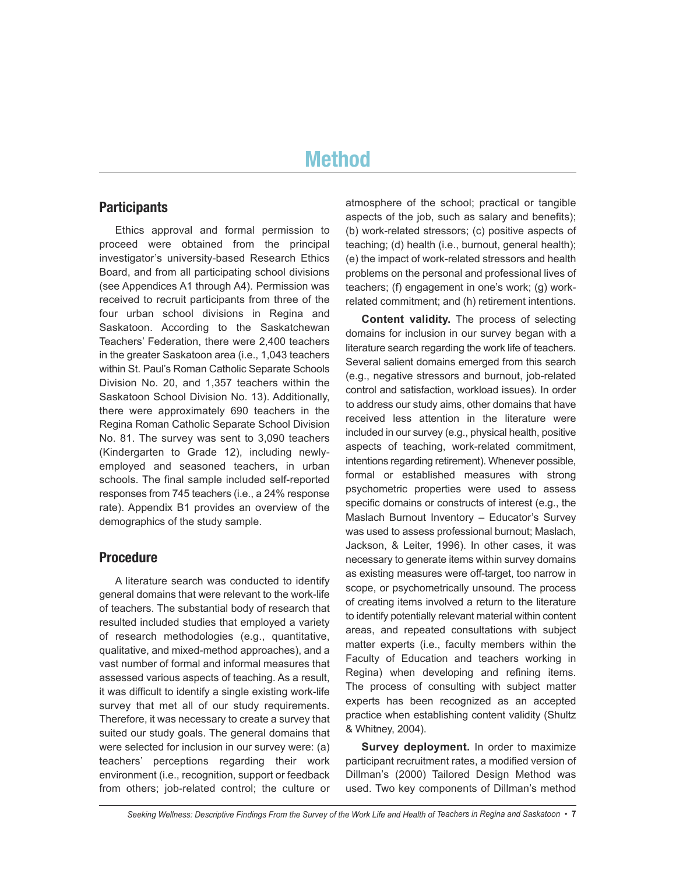# **Method**

#### **Participants**

Ethics approval and formal permission to proceed were obtained from the principal investigator's university-based Research Ethics Board, and from all participating school divisions (see Appendices A1 through A4). Permission was received to recruit participants from three of the four urban school divisions in Regina and Saskatoon. According to the Saskatchewan Teachers' Federation, there were 2,400 teachers in the greater Saskatoon area (i.e., 1,043 teachers within St. Paul's Roman Catholic Separate Schools Division No. 20, and 1,357 teachers within the Saskatoon School Division No. 13). Additionally, there were approximately 690 teachers in the Regina Roman Catholic Separate School Division No. 81. The survey was sent to 3,090 teachers (Kindergarten to Grade 12), including newlyemployed and seasoned teachers, in urban schools. The final sample included self-reported responses from 745 teachers (i.e., a 24% response rate). Appendix B1 provides an overview of the demographics of the study sample.

#### **Procedure**

A literature search was conducted to identify general domains that were relevant to the work-life of teachers. The substantial body of research that resulted included studies that employed a variety of research methodologies (e.g., quantitative, qualitative, and mixed-method approaches), and a vast number of formal and informal measures that assessed various aspects of teaching. As a result, it was difficult to identify a single existing work-life survey that met all of our study requirements. Therefore, it was necessary to create a survey that suited our study goals. The general domains that were selected for inclusion in our survey were: (a) teachers' perceptions regarding their work environment (i.e., recognition, support or feedback from others; job-related control; the culture or atmosphere of the school; practical or tangible aspects of the job, such as salary and benefits); (b) work-related stressors; (c) positive aspects of teaching; (d) health (i.e., burnout, general health); (e) the impact of work-related stressors and health problems on the personal and professional lives of teachers; (f) engagement in one's work; (g) workrelated commitment; and (h) retirement intentions.

**Content validity.** The process of selecting domains for inclusion in our survey began with a literature search regarding the work life of teachers. Several salient domains emerged from this search (e.g., negative stressors and burnout, job-related control and satisfaction, workload issues). In order to address our study aims, other domains that have received less attention in the literature were included in our survey (e.g., physical health, positive aspects of teaching, work-related commitment, intentions regarding retirement). Whenever possible, formal or established measures with strong psychometric properties were used to assess specific domains or constructs of interest (e.g., the Maslach Burnout Inventory – Educator's Survey was used to assess professional burnout; Maslach, Jackson, & Leiter, 1996). In other cases, it was necessary to generate items within survey domains as existing measures were off-target, too narrow in scope, or psychometrically unsound. The process of creating items involved a return to the literature to identify potentially relevant material within content areas, and repeated consultations with subject matter experts (i.e., faculty members within the Faculty of Education and teachers working in Regina) when developing and refining items. The process of consulting with subject matter experts has been recognized as an accepted practice when establishing content validity (Shultz & Whitney, 2004).

**Survey deployment.** In order to maximize participant recruitment rates, a modified version of Dillman's (2000) Tailored Design Method was used. Two key components of Dillman's method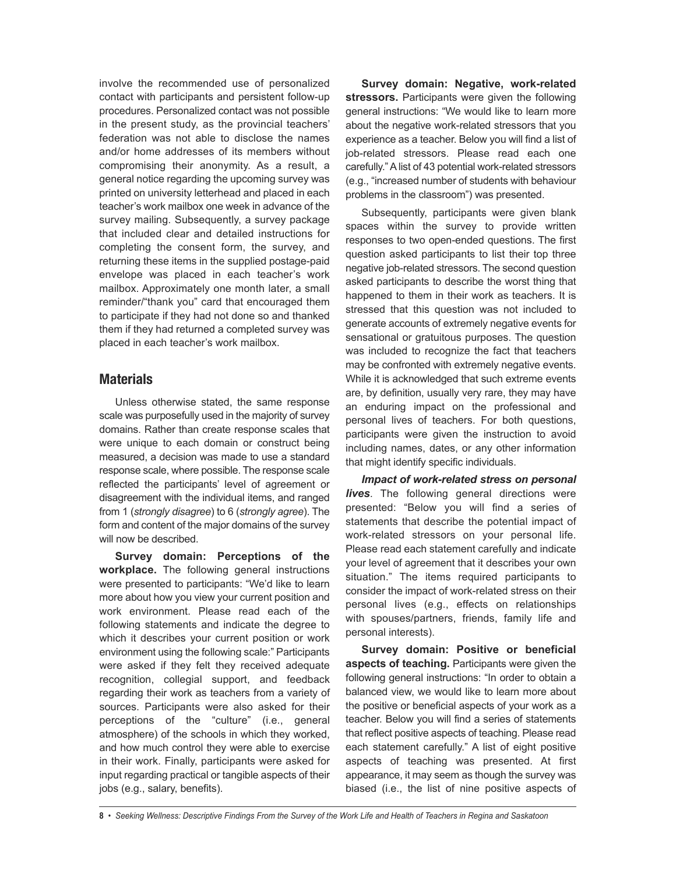involve the recommended use of personalized contact with participants and persistent follow-up procedures. Personalized contact was not possible in the present study, as the provincial teachers' federation was not able to disclose the names and/or home addresses of its members without compromising their anonymity. As a result, a general notice regarding the upcoming survey was printed on university letterhead and placed in each teacher's work mailbox one week in advance of the survey mailing. Subsequently, a survey package that included clear and detailed instructions for completing the consent form, the survey, and returning these items in the supplied postage-paid envelope was placed in each teacher's work mailbox. Approximately one month later, a small reminder/"thank you" card that encouraged them to participate if they had not done so and thanked them if they had returned a completed survey was placed in each teacher's work mailbox.

#### **Materials**

Unless otherwise stated, the same response scale was purposefully used in the majority of survey domains. Rather than create response scales that were unique to each domain or construct being measured, a decision was made to use a standard response scale, where possible. The response scale reflected the participants' level of agreement or disagreement with the individual items, and ranged from 1 (*strongly disagree*) to 6 (*strongly agree*). The form and content of the major domains of the survey will now be described.

**Survey domain: Perceptions of the workplace.** The following general instructions were presented to participants: "We'd like to learn more about how you view your current position and work environment. Please read each of the following statements and indicate the degree to which it describes your current position or work environment using the following scale:" Participants were asked if they felt they received adequate recognition, collegial support, and feedback regarding their work as teachers from a variety of sources. Participants were also asked for their perceptions of the "culture" (i.e., general atmosphere) of the schools in which they worked, and how much control they were able to exercise in their work. Finally, participants were asked for input regarding practical or tangible aspects of their jobs (e.g., salary, benefits).

**Survey domain: Negative, work-related stressors.** Participants were given the following general instructions: "We would like to learn more about the negative work-related stressors that you experience as a teacher. Below you will find a list of job-related stressors. Please read each one carefully."Alist of 43 potential work-related stressors (e.g., "increased number of students with behaviour problems in the classroom") was presented.

Subsequently, participants were given blank spaces within the survey to provide written responses to two open-ended questions. The first question asked participants to list their top three negative job-related stressors. The second question asked participants to describe the worst thing that happened to them in their work as teachers. It is stressed that this question was not included to generate accounts of extremely negative events for sensational or gratuitous purposes. The question was included to recognize the fact that teachers may be confronted with extremely negative events. While it is acknowledged that such extreme events are, by definition, usually very rare, they may have an enduring impact on the professional and personal lives of teachers. For both questions, participants were given the instruction to avoid including names, dates, or any other information that might identify specific individuals.

*Impact of work-related stress on personal lives*. The following general directions were presented: "Below you will find a series of statements that describe the potential impact of work-related stressors on your personal life. Please read each statement carefully and indicate your level of agreement that it describes your own situation." The items required participants to consider the impact of work-related stress on their personal lives (e.g., effects on relationships with spouses/partners, friends, family life and personal interests).

**Survey domain: Positive or beneficial aspects of teaching.** Participants were given the following general instructions: "In order to obtain a balanced view, we would like to learn more about the positive or beneficial aspects of your work as a teacher. Below you will find a series of statements that reflect positive aspects of teaching. Please read each statement carefully." A list of eight positive aspects of teaching was presented. At first appearance, it may seem as though the survey was biased (i.e., the list of nine positive aspects of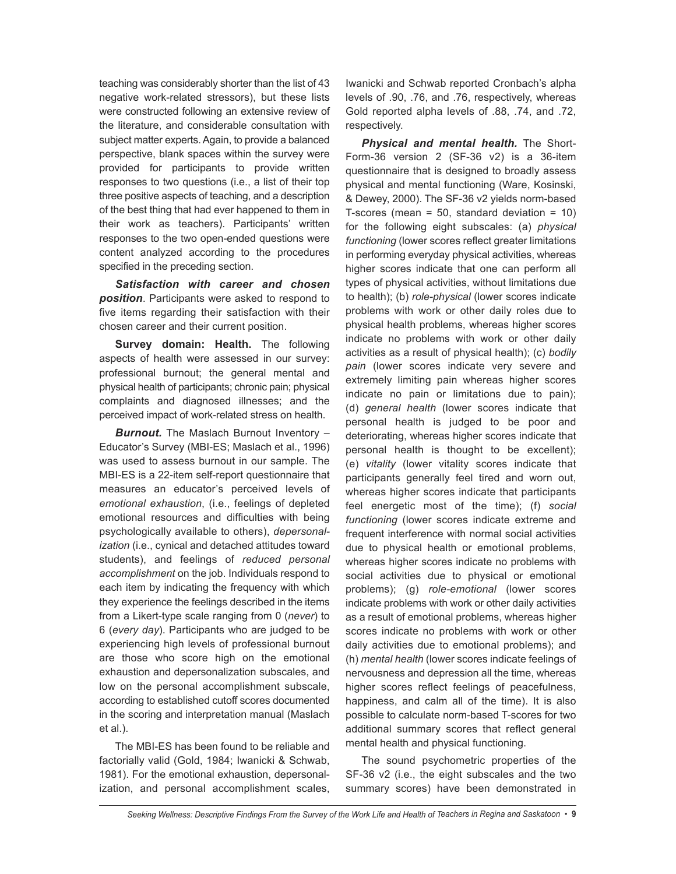teaching was considerably shorter than the list of 43 negative work-related stressors), but these lists were constructed following an extensive review of the literature, and considerable consultation with subject matter experts. Again, to provide a balanced perspective, blank spaces within the survey were provided for participants to provide written responses to two questions (i.e., a list of their top three positive aspects of teaching, and a description of the best thing that had ever happened to them in their work as teachers). Participants' written responses to the two open-ended questions were content analyzed according to the procedures specified in the preceding section.

*Satisfaction with career and chosen position*. Participants were asked to respond to five items regarding their satisfaction with their chosen career and their current position.

**Survey domain: Health.** The following aspects of health were assessed in our survey: professional burnout; the general mental and physical health of participants; chronic pain; physical complaints and diagnosed illnesses; and the perceived impact of work-related stress on health.

*Burnout.* The Maslach Burnout Inventory – Educator's Survey (MBI-ES; Maslach et al., 1996) was used to assess burnout in our sample. The MBI-ES is a 22-item self-report questionnaire that measures an educator's perceived levels of *emotional exhaustion*, (i.e., feelings of depleted emotional resources and difficulties with being psychologically available to others), *depersonalization* (i.e., cynical and detached attitudes toward students), and feelings of *reduced personal accomplishment* on the job. Individuals respond to each item by indicating the frequency with which they experience the feelings described in the items from a Likert-type scale ranging from 0 (*never*) to 6 (*every day*). Participants who are judged to be experiencing high levels of professional burnout are those who score high on the emotional exhaustion and depersonalization subscales, and low on the personal accomplishment subscale, according to established cutoff scores documented in the scoring and interpretation manual (Maslach et al.).

The MBI-ES has been found to be reliable and factorially valid (Gold, 1984; Iwanicki & Schwab, 1981). For the emotional exhaustion, depersonalization, and personal accomplishment scales, Iwanicki and Schwab reported Cronbach's alpha levels of .90, .76, and .76, respectively, whereas Gold reported alpha levels of .88, .74, and .72, respectively.

*Physical and mental health.* The Short-Form-36 version 2 (SF-36 v2) is a 36-item questionnaire that is designed to broadly assess physical and mental functioning (Ware, Kosinski, & Dewey, 2000). The SF-36 v2 yields norm-based T-scores (mean =  $50$ , standard deviation =  $10$ ) for the following eight subscales: (a) *physical functioning* (lower scores reflect greater limitations in performing everyday physical activities, whereas higher scores indicate that one can perform all types of physical activities, without limitations due to health); (b) *role-physical* (lower scores indicate problems with work or other daily roles due to physical health problems, whereas higher scores indicate no problems with work or other daily activities as a result of physical health); (c) *bodily pain* (lower scores indicate very severe and extremely limiting pain whereas higher scores indicate no pain or limitations due to pain); (d) *general health* (lower scores indicate that personal health is judged to be poor and deteriorating, whereas higher scores indicate that personal health is thought to be excellent); (e) *vitality* (lower vitality scores indicate that participants generally feel tired and worn out, whereas higher scores indicate that participants feel energetic most of the time); (f) *social functioning* (lower scores indicate extreme and frequent interference with normal social activities due to physical health or emotional problems, whereas higher scores indicate no problems with social activities due to physical or emotional problems); (g) *role-emotional* (lower scores indicate problems with work or other daily activities as a result of emotional problems, whereas higher scores indicate no problems with work or other daily activities due to emotional problems); and (h) *mental health* (lower scores indicate feelings of nervousness and depression all the time, whereas higher scores reflect feelings of peacefulness, happiness, and calm all of the time). It is also possible to calculate norm-based T-scores for two additional summary scores that reflect general mental health and physical functioning.

The sound psychometric properties of the SF-36 v2 (i.e., the eight subscales and the two summary scores) have been demonstrated in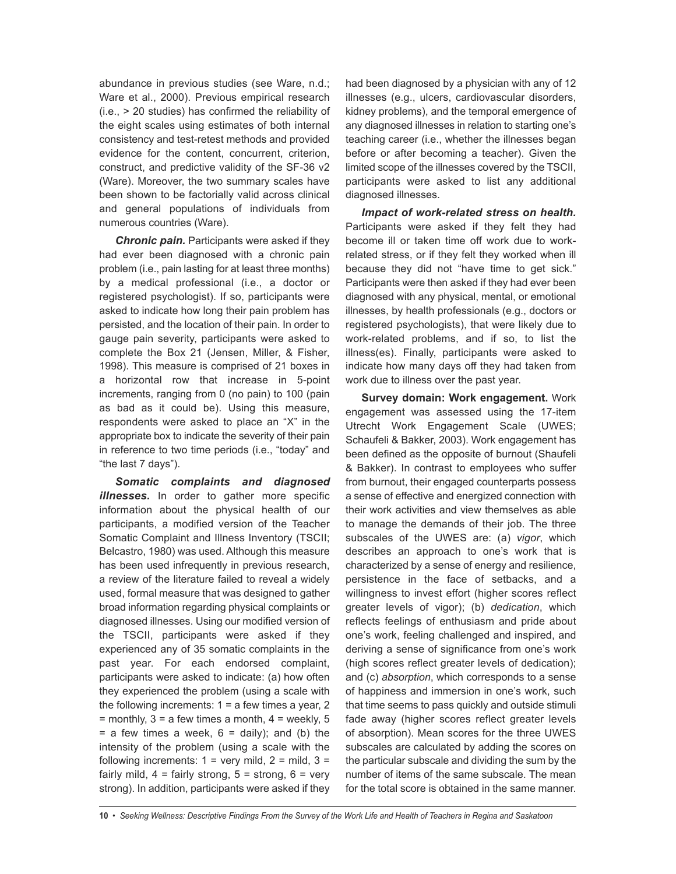abundance in previous studies (see Ware, n.d.; Ware et al., 2000). Previous empirical research (i.e., > 20 studies) has confirmed the reliability of the eight scales using estimates of both internal consistency and test-retest methods and provided evidence for the content, concurrent, criterion, construct, and predictive validity of the SF-36 v2 (Ware). Moreover, the two summary scales have been shown to be factorially valid across clinical and general populations of individuals from numerous countries (Ware).

*Chronic pain.* Participants were asked if they had ever been diagnosed with a chronic pain problem (i.e., pain lasting for at least three months) by a medical professional (i.e., a doctor or registered psychologist). If so, participants were asked to indicate how long their pain problem has persisted, and the location of their pain. In order to gauge pain severity, participants were asked to complete the Box 21 (Jensen, Miller, & Fisher, 1998). This measure is comprised of 21 boxes in a horizontal row that increase in 5-point increments, ranging from 0 (no pain) to 100 (pain as bad as it could be). Using this measure, respondents were asked to place an "X" in the appropriate box to indicate the severity of their pain in reference to two time periods (i.e., "today" and "the last 7 days").

*Somatic complaints and diagnosed illnesses.* In order to gather more specific information about the physical health of our participants, a modified version of the Teacher Somatic Complaint and Illness Inventory (TSCII; Belcastro, 1980) was used. Although this measure has been used infrequently in previous research, a review of the literature failed to reveal a widely used, formal measure that was designed to gather broad information regarding physical complaints or diagnosed illnesses. Using our modified version of the TSCII, participants were asked if they experienced any of 35 somatic complaints in the past year. For each endorsed complaint, participants were asked to indicate: (a) how often they experienced the problem (using a scale with the following increments:  $1 = a$  few times a year, 2  $=$  monthly,  $3 = a$  few times a month,  $4 =$  weekly,  $5 =$  $=$  a few times a week,  $6 =$  daily); and (b) the intensity of the problem (using a scale with the following increments:  $1 = \text{very mild}, 2 = \text{mild}, 3 = \text{mild}$ fairly mild,  $4 = \text{fairly strong}, 5 = \text{strong}, 6 = \text{very}$ strong). In addition, participants were asked if they had been diagnosed by a physician with any of 12 illnesses (e.g., ulcers, cardiovascular disorders, kidney problems), and the temporal emergence of any diagnosed illnesses in relation to starting one's teaching career (i.e., whether the illnesses began before or after becoming a teacher). Given the limited scope of the illnesses covered by the TSCII, participants were asked to list any additional diagnosed illnesses.

*Impact of work-related stress on health.* Participants were asked if they felt they had become ill or taken time off work due to workrelated stress, or if they felt they worked when ill because they did not "have time to get sick." Participants were then asked if they had ever been diagnosed with any physical, mental, or emotional illnesses, by health professionals (e.g., doctors or registered psychologists), that were likely due to work-related problems, and if so, to list the illness(es). Finally, participants were asked to indicate how many days off they had taken from work due to illness over the past year.

**Survey domain: Work engagement.** Work engagement was assessed using the 17-item Utrecht Work Engagement Scale (UWES; Schaufeli & Bakker, 2003). Work engagement has been defined as the opposite of burnout (Shaufeli & Bakker). In contrast to employees who suffer from burnout, their engaged counterparts possess a sense of effective and energized connection with their work activities and view themselves as able to manage the demands of their job. The three subscales of the UWES are: (a) *vigor*, which describes an approach to one's work that is characterized by a sense of energy and resilience, persistence in the face of setbacks, and a willingness to invest effort (higher scores reflect greater levels of vigor); (b) *dedication*, which reflects feelings of enthusiasm and pride about one's work, feeling challenged and inspired, and deriving a sense of significance from one's work (high scores reflect greater levels of dedication); and (c) *absorption*, which corresponds to a sense of happiness and immersion in one's work, such that time seems to pass quickly and outside stimuli fade away (higher scores reflect greater levels of absorption). Mean scores for the three UWES subscales are calculated by adding the scores on the particular subscale and dividing the sum by the number of items of the same subscale. The mean for the total score is obtained in the same manner.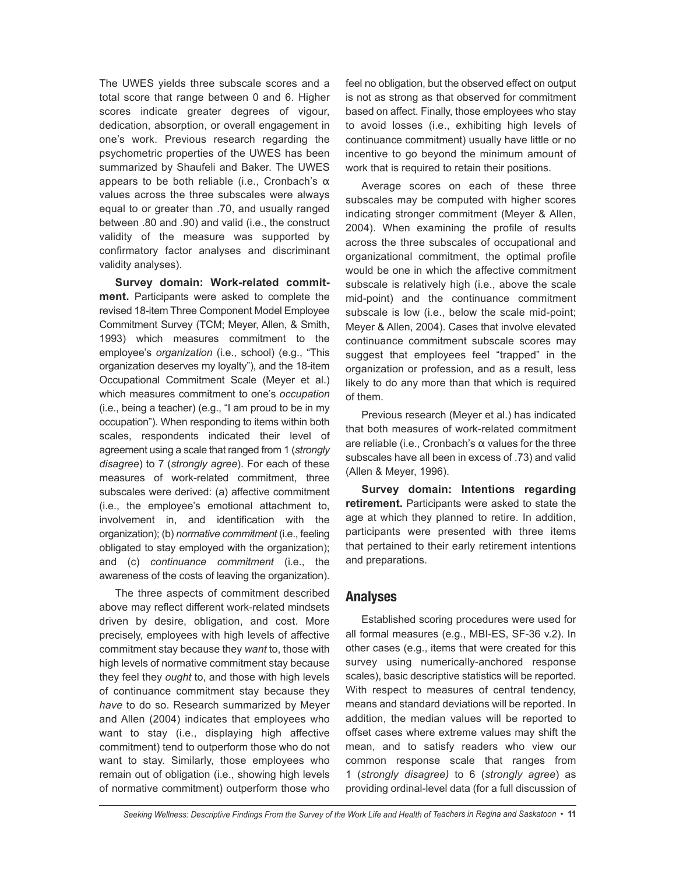The UWES yields three subscale scores and a total score that range between 0 and 6. Higher scores indicate greater degrees of vigour, dedication, absorption, or overall engagement in one's work. Previous research regarding the psychometric properties of the UWES has been summarized by Shaufeli and Baker. The UWES appears to be both reliable (i.e., Cronbach's  $α$ values across the three subscales were always equal to or greater than .70, and usually ranged between .80 and .90) and valid (i.e., the construct validity of the measure was supported by confirmatory factor analyses and discriminant validity analyses).

**Survey domain: Work-related commitment.** Participants were asked to complete the revised 18-item Three Component Model Employee Commitment Survey (TCM; Meyer, Allen, & Smith, 1993) which measures commitment to the employee's *organization* (i.e., school) (e.g., "This organization deserves my loyalty"), and the 18-item Occupational Commitment Scale (Meyer et al.) which measures commitment to one's *occupation* (i.e., being a teacher) (e.g., "I am proud to be in my occupation"). When responding to items within both scales, respondents indicated their level of agreement using a scale that ranged from 1 (*strongly disagree*) to 7 (*strongly agree*). For each of these measures of work-related commitment, three subscales were derived: (a) affective commitment (i.e., the employee's emotional attachment to, involvement in, and identification with the organization); (b) *normative commitment* (i.e., feeling obligated to stay employed with the organization); and (c) *continuance commitment* (i.e., the awareness of the costs of leaving the organization).

The three aspects of commitment described above may reflect different work-related mindsets driven by desire, obligation, and cost. More precisely, employees with high levels of affective commitment stay because they *want* to, those with high levels of normative commitment stay because they feel they *ought* to, and those with high levels of continuance commitment stay because they *have* to do so. Research summarized by Meyer and Allen (2004) indicates that employees who want to stay (i.e., displaying high affective commitment) tend to outperform those who do not want to stay. Similarly, those employees who remain out of obligation (i.e., showing high levels of normative commitment) outperform those who

feel no obligation, but the observed effect on output is not as strong as that observed for commitment based on affect. Finally, those employees who stay to avoid losses (i.e., exhibiting high levels of continuance commitment) usually have little or no incentive to go beyond the minimum amount of work that is required to retain their positions.

Average scores on each of these three subscales may be computed with higher scores indicating stronger commitment (Meyer & Allen, 2004). When examining the profile of results across the three subscales of occupational and organizational commitment, the optimal profile would be one in which the affective commitment subscale is relatively high (i.e., above the scale mid-point) and the continuance commitment subscale is low (i.e., below the scale mid-point; Meyer & Allen, 2004). Cases that involve elevated continuance commitment subscale scores may suggest that employees feel "trapped" in the organization or profession, and as a result, less likely to do any more than that which is required of them.

Previous research (Meyer et al.) has indicated that both measures of work-related commitment are reliable (i.e., Cronbach's α values for the three subscales have all been in excess of .73) and valid (Allen & Meyer, 1996).

**Survey domain: Intentions regarding retirement.** Participants were asked to state the age at which they planned to retire. In addition, participants were presented with three items that pertained to their early retirement intentions and preparations.

#### **Analyses**

Established scoring procedures were used for all formal measures (e.g., MBI-ES, SF-36 v.2). In other cases (e.g., items that were created for this survey using numerically-anchored response scales), basic descriptive statistics will be reported. With respect to measures of central tendency, means and standard deviations will be reported. In addition, the median values will be reported to offset cases where extreme values may shift the mean, and to satisfy readers who view our common response scale that ranges from 1 (*strongly disagree)* to 6 (*strongly agree*) as providing ordinal-level data (for a full discussion of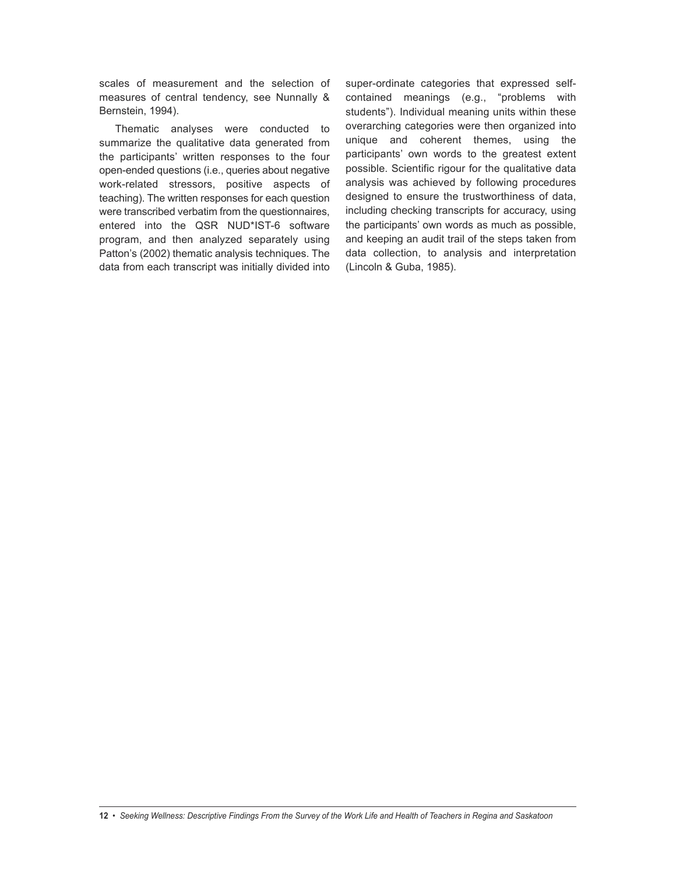scales of measurement and the selection of measures of central tendency, see Nunnally & Bernstein, 1994).

Thematic analyses were conducted to summarize the qualitative data generated from the participants' written responses to the four open-ended questions (i.e., queries about negative work-related stressors, positive aspects of teaching). The written responses for each question were transcribed verbatim from the questionnaires, entered into the QSR NUD\*IST-6 software program, and then analyzed separately using Patton's (2002) thematic analysis techniques. The data from each transcript was initially divided into super-ordinate categories that expressed selfcontained meanings (e.g., "problems with students"). Individual meaning units within these overarching categories were then organized into unique and coherent themes, using the participants' own words to the greatest extent possible. Scientific rigour for the qualitative data analysis was achieved by following procedures designed to ensure the trustworthiness of data, including checking transcripts for accuracy, using the participants' own words as much as possible, and keeping an audit trail of the steps taken from data collection, to analysis and interpretation (Lincoln & Guba, 1985).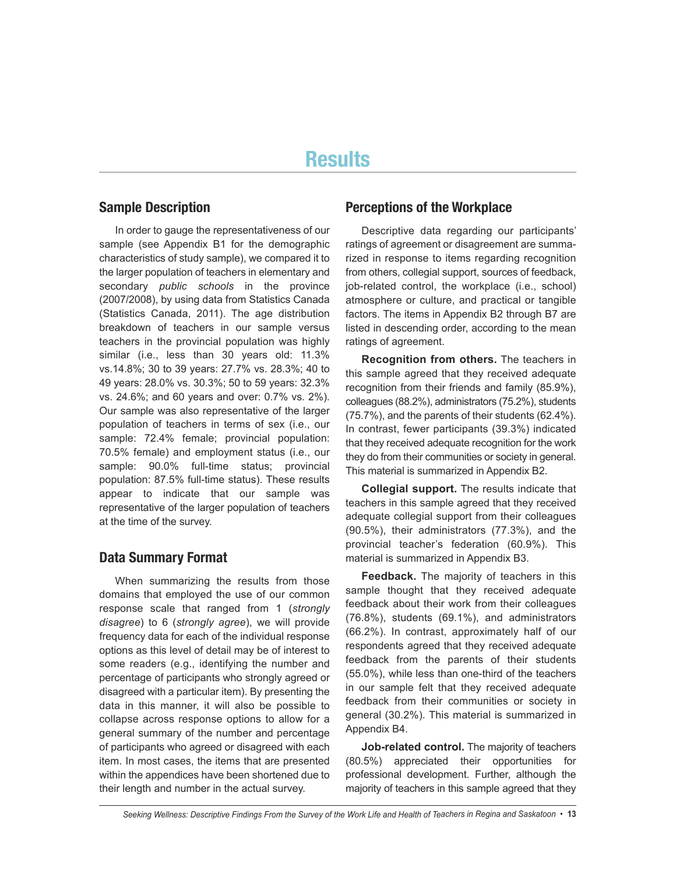# **Results**

#### **Sample Description**

In order to gauge the representativeness of our sample (see Appendix B1 for the demographic characteristics of study sample), we compared it to the larger population of teachers in elementary and secondary *public schools* in the province (2007/2008), by using data from Statistics Canada (Statistics Canada, 2011). The age distribution breakdown of teachers in our sample versus teachers in the provincial population was highly similar (i.e., less than 30 years old: 11.3% vs.14.8%; 30 to 39 years: 27.7% vs. 28.3%; 40 to 49 years: 28.0% vs. 30.3%; 50 to 59 years: 32.3% vs. 24.6%; and 60 years and over: 0.7% vs. 2%). Our sample was also representative of the larger population of teachers in terms of sex (i.e., our sample: 72.4% female; provincial population: 70.5% female) and employment status (i.e., our sample: 90.0% full-time status; provincial population: 87.5% full-time status). These results appear to indicate that our sample was representative of the larger population of teachers at the time of the survey.

#### **Data Summary Format**

When summarizing the results from those domains that employed the use of our common response scale that ranged from 1 (*strongly disagree*) to 6 (*strongly agree*), we will provide frequency data for each of the individual response options as this level of detail may be of interest to some readers (e.g., identifying the number and percentage of participants who strongly agreed or disagreed with a particular item). By presenting the data in this manner, it will also be possible to collapse across response options to allow for a general summary of the number and percentage of participants who agreed or disagreed with each item. In most cases, the items that are presented within the appendices have been shortened due to their length and number in the actual survey.

#### **Perceptions of the Workplace**

Descriptive data regarding our participants' ratings of agreement or disagreement are summarized in response to items regarding recognition from others, collegial support, sources of feedback, job-related control, the workplace (i.e., school) atmosphere or culture, and practical or tangible factors. The items in Appendix B2 through B7 are listed in descending order, according to the mean ratings of agreement.

**Recognition from others.** The teachers in this sample agreed that they received adequate recognition from their friends and family (85.9%), colleagues (88.2%), administrators (75.2%), students (75.7%), and the parents of their students (62.4%). In contrast, fewer participants (39.3%) indicated that they received adequate recognition for the work they do from their communities or society in general. This material is summarized in Appendix B2.

**Collegial support.** The results indicate that teachers in this sample agreed that they received adequate collegial support from their colleagues (90.5%), their administrators (77.3%), and the provincial teacher's federation (60.9%). This material is summarized in Appendix B3.

**Feedback.** The majority of teachers in this sample thought that they received adequate feedback about their work from their colleagues (76.8%), students (69.1%), and administrators (66.2%). In contrast, approximately half of our respondents agreed that they received adequate feedback from the parents of their students (55.0%), while less than one-third of the teachers in our sample felt that they received adequate feedback from their communities or society in general (30.2%). This material is summarized in Appendix B4.

**Job-related control.** The majority of teachers (80.5%) appreciated their opportunities for professional development. Further, although the majority of teachers in this sample agreed that they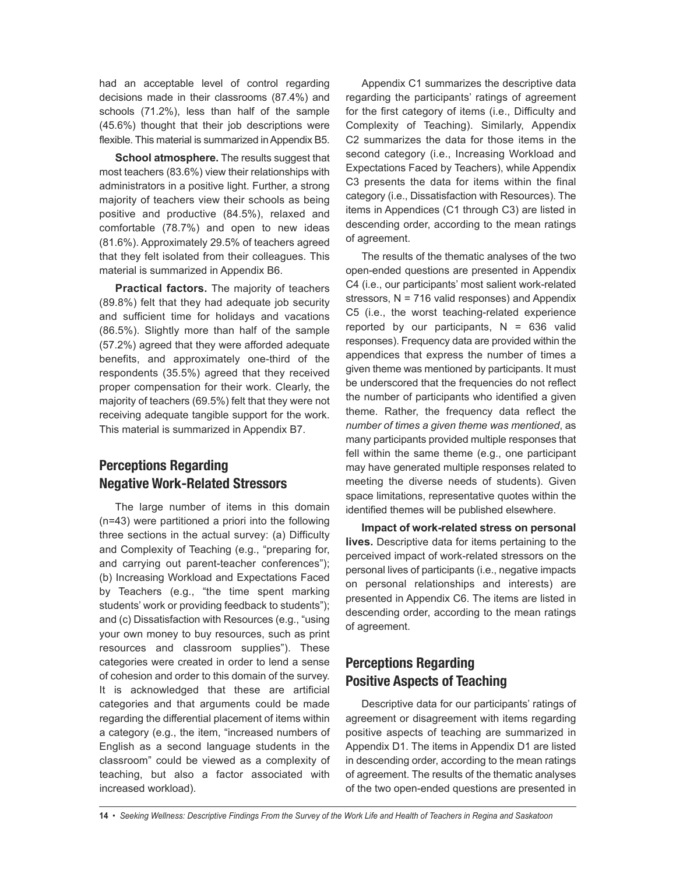had an acceptable level of control regarding decisions made in their classrooms (87.4%) and schools (71.2%), less than half of the sample (45.6%) thought that their job descriptions were flexible. This material is summarized in Appendix B5.

**School atmosphere.** The results suggest that most teachers (83.6%) view their relationships with administrators in a positive light. Further, a strong majority of teachers view their schools as being positive and productive (84.5%), relaxed and comfortable (78.7%) and open to new ideas (81.6%). Approximately 29.5% of teachers agreed that they felt isolated from their colleagues. This material is summarized in Appendix B6.

**Practical factors.** The majority of teachers (89.8%) felt that they had adequate job security and sufficient time for holidays and vacations (86.5%). Slightly more than half of the sample (57.2%) agreed that they were afforded adequate benefits, and approximately one-third of the respondents (35.5%) agreed that they received proper compensation for their work. Clearly, the majority of teachers (69.5%) felt that they were not receiving adequate tangible support for the work. This material is summarized in Appendix B7.

## **Perceptions Regarding Negative Work-Related Stressors**

The large number of items in this domain (n=43) were partitioned a priori into the following three sections in the actual survey: (a) Difficulty and Complexity of Teaching (e.g., "preparing for, and carrying out parent-teacher conferences"); (b) Increasing Workload and Expectations Faced by Teachers (e.g., "the time spent marking students' work or providing feedback to students"); and (c) Dissatisfaction with Resources (e.g., "using your own money to buy resources, such as print resources and classroom supplies"). These categories were created in order to lend a sense of cohesion and order to this domain of the survey. It is acknowledged that these are artificial categories and that arguments could be made regarding the differential placement of items within a category (e.g., the item, "increased numbers of English as a second language students in the classroom" could be viewed as a complexity of teaching, but also a factor associated with increased workload).

Appendix C1 summarizes the descriptive data regarding the participants' ratings of agreement for the first category of items (i.e., Difficulty and Complexity of Teaching). Similarly, Appendix C2 summarizes the data for those items in the second category (i.e., Increasing Workload and Expectations Faced by Teachers), while Appendix C3 presents the data for items within the final category (i.e., Dissatisfaction with Resources). The items in Appendices (C1 through C3) are listed in descending order, according to the mean ratings of agreement.

The results of the thematic analyses of the two open-ended questions are presented in Appendix C4 (i.e., our participants' most salient work-related stressors,  $N = 716$  valid responses) and Appendix C5 (i.e., the worst teaching-related experience reported by our participants,  $N = 636$  valid responses). Frequency data are provided within the appendices that express the number of times a given theme was mentioned by participants. It must be underscored that the frequencies do not reflect the number of participants who identified a given theme. Rather, the frequency data reflect the *number of times a given theme was mentioned*, as many participants provided multiple responses that fell within the same theme (e.g., one participant may have generated multiple responses related to meeting the diverse needs of students). Given space limitations, representative quotes within the identified themes will be published elsewhere.

**Impact of work-related stress on personal lives.** Descriptive data for items pertaining to the perceived impact of work-related stressors on the personal lives of participants (i.e., negative impacts on personal relationships and interests) are presented in Appendix C6. The items are listed in descending order, according to the mean ratings of agreement.

## **Perceptions Regarding Positive Aspects of Teaching**

Descriptive data for our participants' ratings of agreement or disagreement with items regarding positive aspects of teaching are summarized in Appendix D1. The items in Appendix D1 are listed in descending order, according to the mean ratings of agreement. The results of the thematic analyses of the two open-ended questions are presented in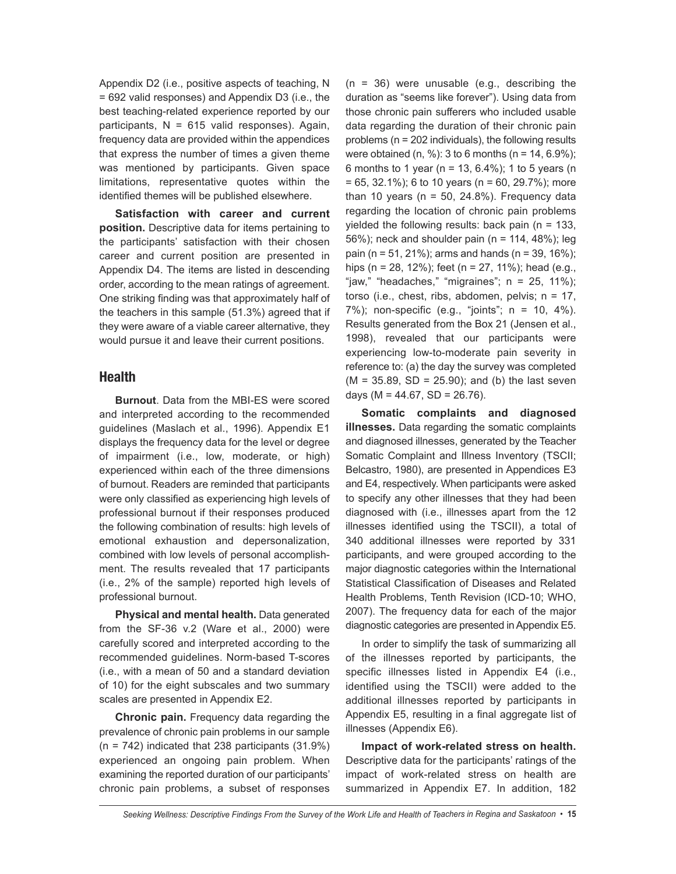Appendix D2 (i.e., positive aspects of teaching, N = 692 valid responses) and Appendix D3 (i.e., the best teaching-related experience reported by our participants,  $N = 615$  valid responses). Again, frequency data are provided within the appendices that express the number of times a given theme was mentioned by participants. Given space limitations, representative quotes within the identified themes will be published elsewhere.

**Satisfaction with career and current position.** Descriptive data for items pertaining to the participants' satisfaction with their chosen career and current position are presented in Appendix D4. The items are listed in descending order, according to the mean ratings of agreement. One striking finding was that approximately half of the teachers in this sample (51.3%) agreed that if they were aware of a viable career alternative, they would pursue it and leave their current positions.

#### **Health**

**Burnout**. Data from the MBI-ES were scored and interpreted according to the recommended guidelines (Maslach et al., 1996). Appendix E1 displays the frequency data for the level or degree of impairment (i.e., low, moderate, or high) experienced within each of the three dimensions of burnout. Readers are reminded that participants were only classified as experiencing high levels of professional burnout if their responses produced the following combination of results: high levels of emotional exhaustion and depersonalization, combined with low levels of personal accomplishment. The results revealed that 17 participants (i.e., 2% of the sample) reported high levels of professional burnout.

**Physical and mental health.** Data generated from the SF-36 v.2 (Ware et al., 2000) were carefully scored and interpreted according to the recommended guidelines. Norm-based T-scores (i.e., with a mean of 50 and a standard deviation of 10) for the eight subscales and two summary scales are presented in Appendix E2.

**Chronic pain.** Frequency data regarding the prevalence of chronic pain problems in our sample  $(n = 742)$  indicated that 238 participants  $(31.9\%)$ experienced an ongoing pain problem. When examining the reported duration of our participants' chronic pain problems, a subset of responses  $(n = 36)$  were unusable (e.g., describing the duration as "seems like forever"). Using data from those chronic pain sufferers who included usable data regarding the duration of their chronic pain problems (n = 202 individuals), the following results were obtained (n, %): 3 to 6 months (n =  $14, 6.9\%$ ): 6 months to 1 year (n = 13, 6.4%); 1 to 5 years (n  $= 65, 32.1\%$ ; 6 to 10 years (n = 60, 29.7%); more than 10 years ( $n = 50$ , 24.8%). Frequency data regarding the location of chronic pain problems yielded the following results: back pain ( $n = 133$ , 56%); neck and shoulder pain (n = 114, 48%); leg pain (n = 51, 21%); arms and hands (n = 39, 16%); hips (n = 28, 12%); feet (n = 27, 11%); head (e.g., "jaw," "headaches," "migraines";  $n = 25, 11\%$ ; torso (i.e., chest, ribs, abdomen, pelvis;  $n = 17$ , 7%); non-specific (e.g., "joints"; n = 10, 4%). Results generated from the Box 21 (Jensen et al., 1998), revealed that our participants were experiencing low-to-moderate pain severity in reference to: (a) the day the survey was completed  $(M = 35.89, SD = 25.90)$ ; and (b) the last seven days ( $M = 44.67$ ,  $SD = 26.76$ ).

**Somatic complaints and diagnosed illnesses.** Data regarding the somatic complaints and diagnosed illnesses, generated by the Teacher Somatic Complaint and Illness Inventory (TSCII; Belcastro, 1980), are presented in Appendices E3 and E4, respectively. When participants were asked to specify any other illnesses that they had been diagnosed with (i.e., illnesses apart from the 12 illnesses identified using the TSCII), a total of 340 additional illnesses were reported by 331 participants, and were grouped according to the major diagnostic categories within the International Statistical Classification of Diseases and Related Health Problems, Tenth Revision (ICD-10; WHO, 2007). The frequency data for each of the major diagnostic categories are presented in Appendix E5.

In order to simplify the task of summarizing all of the illnesses reported by participants, the specific illnesses listed in Appendix E4 (i.e., identified using the TSCII) were added to the additional illnesses reported by participants in Appendix E5, resulting in a final aggregate list of illnesses (Appendix E6).

**Impact of work-related stress on health.** Descriptive data for the participants' ratings of the impact of work-related stress on health are summarized in Appendix E7. In addition, 182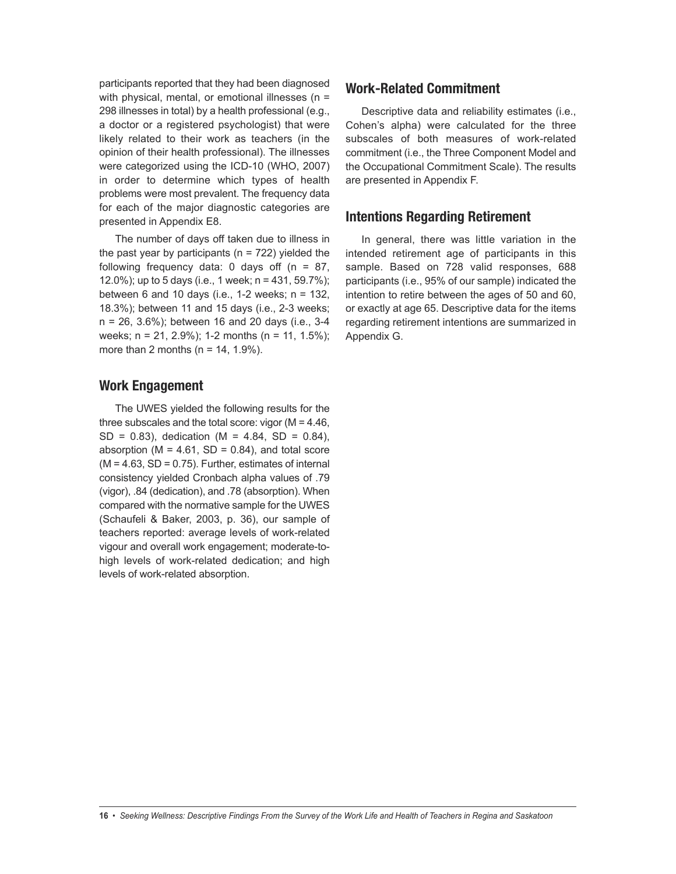participants reported that they had been diagnosed with physical, mental, or emotional illnesses ( $n =$ 298 illnesses in total) by a health professional (e.g., a doctor or a registered psychologist) that were likely related to their work as teachers (in the opinion of their health professional). The illnesses were categorized using the ICD-10 (WHO, 2007) in order to determine which types of health problems were most prevalent. The frequency data for each of the major diagnostic categories are presented in Appendix E8.

The number of days off taken due to illness in the past year by participants ( $n = 722$ ) yielded the following frequency data: 0 days off  $(n = 87)$ , 12.0%); up to 5 days (i.e., 1 week;  $n = 431, 59.7\%$ ); between 6 and 10 days (i.e., 1-2 weeks;  $n = 132$ , 18.3%); between 11 and 15 days (i.e., 2-3 weeks; n = 26, 3.6%); between 16 and 20 days (i.e., 3-4 weeks; n = 21, 2.9%); 1-2 months (n = 11, 1.5%); more than 2 months ( $n = 14, 1.9\%$ ).

#### **Work Engagement**

The UWES yielded the following results for the three subscales and the total score: vigor  $(M = 4.46)$ ,  $SD = 0.83$ ), dedication (M = 4.84, SD = 0.84), absorption ( $M = 4.61$ ,  $SD = 0.84$ ), and total score  $(M = 4.63, SD = 0.75)$ . Further, estimates of internal consistency yielded Cronbach alpha values of .79 (vigor), .84 (dedication), and .78 (absorption). When compared with the normative sample for the UWES (Schaufeli & Baker, 2003, p. 36), our sample of teachers reported: average levels of work-related vigour and overall work engagement; moderate-tohigh levels of work-related dedication; and high levels of work-related absorption.

#### **Work-Related Commitment**

Descriptive data and reliability estimates (i.e., Cohen's alpha) were calculated for the three subscales of both measures of work-related commitment (i.e., the Three Component Model and the Occupational Commitment Scale). The results are presented in Appendix F.

#### **Intentions Regarding Retirement**

In general, there was little variation in the intended retirement age of participants in this sample. Based on 728 valid responses, 688 participants (i.e., 95% of our sample) indicated the intention to retire between the ages of 50 and 60, or exactly at age 65. Descriptive data for the items regarding retirement intentions are summarized in Appendix G.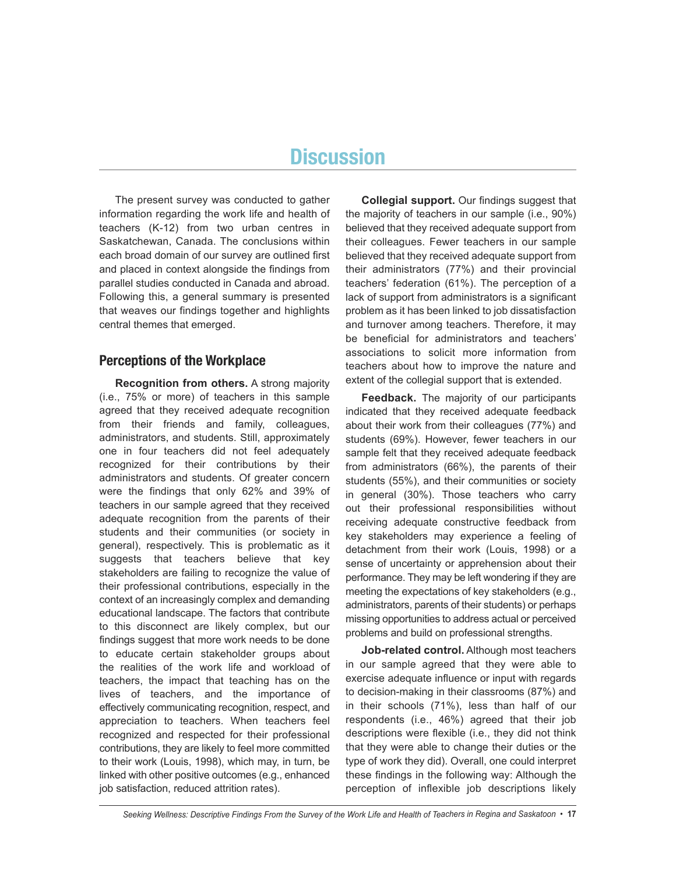# **Discussion**

The present survey was conducted to gather information regarding the work life and health of teachers (K-12) from two urban centres in Saskatchewan, Canada. The conclusions within each broad domain of our survey are outlined first and placed in context alongside the findings from parallel studies conducted in Canada and abroad. Following this, a general summary is presented that weaves our findings together and highlights central themes that emerged.

#### **Perceptions of the Workplace**

**Recognition from others.** A strong majority (i.e., 75% or more) of teachers in this sample agreed that they received adequate recognition from their friends and family, colleagues, administrators, and students. Still, approximately one in four teachers did not feel adequately recognized for their contributions by their administrators and students. Of greater concern were the findings that only 62% and 39% of teachers in our sample agreed that they received adequate recognition from the parents of their students and their communities (or society in general), respectively. This is problematic as it suggests that teachers believe that key stakeholders are failing to recognize the value of their professional contributions, especially in the context of an increasingly complex and demanding educational landscape. The factors that contribute to this disconnect are likely complex, but our findings suggest that more work needs to be done to educate certain stakeholder groups about the realities of the work life and workload of teachers, the impact that teaching has on the lives of teachers, and the importance of effectively communicating recognition, respect, and appreciation to teachers. When teachers feel recognized and respected for their professional contributions, they are likely to feel more committed to their work (Louis, 1998), which may, in turn, be linked with other positive outcomes (e.g., enhanced job satisfaction, reduced attrition rates).

**Collegial support.** Our findings suggest that the majority of teachers in our sample (i.e., 90%) believed that they received adequate support from their colleagues. Fewer teachers in our sample believed that they received adequate support from their administrators (77%) and their provincial teachers' federation (61%). The perception of a lack of support from administrators is a significant problem as it has been linked to job dissatisfaction and turnover among teachers. Therefore, it may be beneficial for administrators and teachers' associations to solicit more information from teachers about how to improve the nature and extent of the collegial support that is extended.

**Feedback.** The majority of our participants indicated that they received adequate feedback about their work from their colleagues (77%) and students (69%). However, fewer teachers in our sample felt that they received adequate feedback from administrators (66%), the parents of their students (55%), and their communities or society in general (30%). Those teachers who carry out their professional responsibilities without receiving adequate constructive feedback from key stakeholders may experience a feeling of detachment from their work (Louis, 1998) or a sense of uncertainty or apprehension about their performance. They may be left wondering if they are meeting the expectations of key stakeholders (e.g., administrators, parents of their students) or perhaps missing opportunities to address actual or perceived problems and build on professional strengths.

**Job-related control.** Although most teachers in our sample agreed that they were able to exercise adequate influence or input with regards to decision-making in their classrooms (87%) and in their schools (71%), less than half of our respondents (i.e., 46%) agreed that their job descriptions were flexible (i.e., they did not think that they were able to change their duties or the type of work they did). Overall, one could interpret these findings in the following way: Although the perception of inflexible job descriptions likely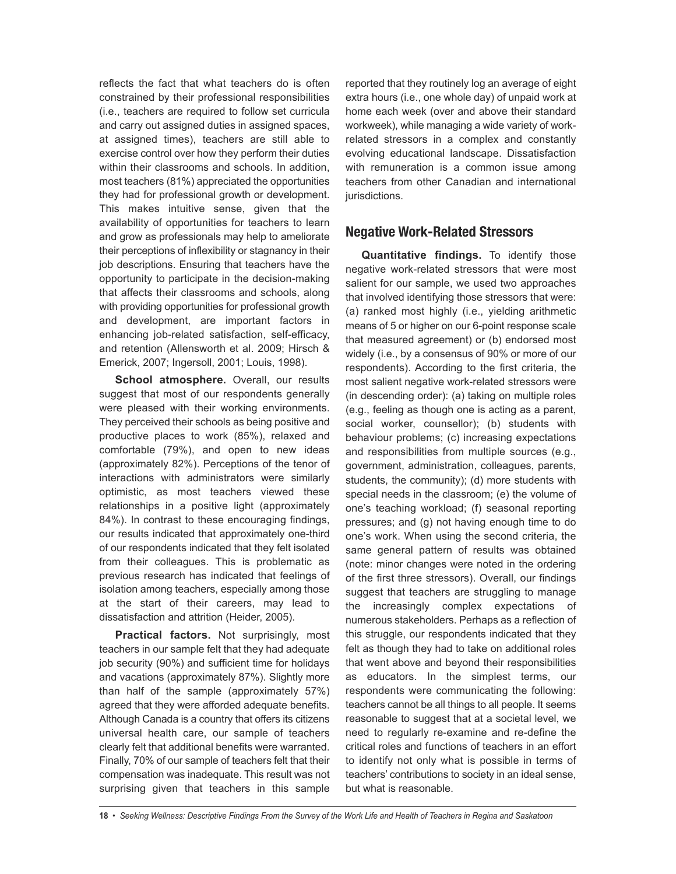reflects the fact that what teachers do is often constrained by their professional responsibilities (i.e., teachers are required to follow set curricula and carry out assigned duties in assigned spaces, at assigned times), teachers are still able to exercise control over how they perform their duties within their classrooms and schools. In addition, most teachers (81%) appreciated the opportunities they had for professional growth or development. This makes intuitive sense, given that the availability of opportunities for teachers to learn and grow as professionals may help to ameliorate their perceptions of inflexibility or stagnancy in their job descriptions. Ensuring that teachers have the opportunity to participate in the decision-making that affects their classrooms and schools, along with providing opportunities for professional growth and development, are important factors in enhancing job-related satisfaction, self-efficacy, and retention (Allensworth et al. 2009; Hirsch & Emerick, 2007; Ingersoll, 2001; Louis, 1998).

**School atmosphere.** Overall, our results suggest that most of our respondents generally were pleased with their working environments. They perceived their schools as being positive and productive places to work (85%), relaxed and comfortable (79%), and open to new ideas (approximately 82%). Perceptions of the tenor of interactions with administrators were similarly optimistic, as most teachers viewed these relationships in a positive light (approximately 84%). In contrast to these encouraging findings, our results indicated that approximately one-third of our respondents indicated that they felt isolated from their colleagues. This is problematic as previous research has indicated that feelings of isolation among teachers, especially among those at the start of their careers, may lead to dissatisfaction and attrition (Heider, 2005).

**Practical factors.** Not surprisingly, most teachers in our sample felt that they had adequate job security (90%) and sufficient time for holidays and vacations (approximately 87%). Slightly more than half of the sample (approximately 57%) agreed that they were afforded adequate benefits. Although Canada is a country that offers its citizens universal health care, our sample of teachers clearly felt that additional benefits were warranted. Finally, 70% of our sample of teachers felt that their compensation was inadequate. This result was not surprising given that teachers in this sample

reported that they routinely log an average of eight extra hours (i.e., one whole day) of unpaid work at home each week (over and above their standard workweek), while managing a wide variety of workrelated stressors in a complex and constantly evolving educational landscape. Dissatisfaction with remuneration is a common issue among teachers from other Canadian and international jurisdictions.

#### **Negative Work-Related Stressors**

**Quantitative findings.** To identify those negative work-related stressors that were most salient for our sample, we used two approaches that involved identifying those stressors that were: (a) ranked most highly (i.e., yielding arithmetic means of 5 or higher on our 6-point response scale that measured agreement) or (b) endorsed most widely (i.e., by a consensus of 90% or more of our respondents). According to the first criteria, the most salient negative work-related stressors were (in descending order): (a) taking on multiple roles (e.g., feeling as though one is acting as a parent, social worker, counsellor); (b) students with behaviour problems; (c) increasing expectations and responsibilities from multiple sources (e.g., government, administration, colleagues, parents, students, the community); (d) more students with special needs in the classroom; (e) the volume of one's teaching workload; (f) seasonal reporting pressures; and (g) not having enough time to do one's work. When using the second criteria, the same general pattern of results was obtained (note: minor changes were noted in the ordering of the first three stressors). Overall, our findings suggest that teachers are struggling to manage the increasingly complex expectations of numerous stakeholders. Perhaps as a reflection of this struggle, our respondents indicated that they felt as though they had to take on additional roles that went above and beyond their responsibilities as educators. In the simplest terms, our respondents were communicating the following: teachers cannot be all things to all people. It seems reasonable to suggest that at a societal level, we need to regularly re-examine and re-define the critical roles and functions of teachers in an effort to identify not only what is possible in terms of teachers' contributions to society in an ideal sense, but what is reasonable.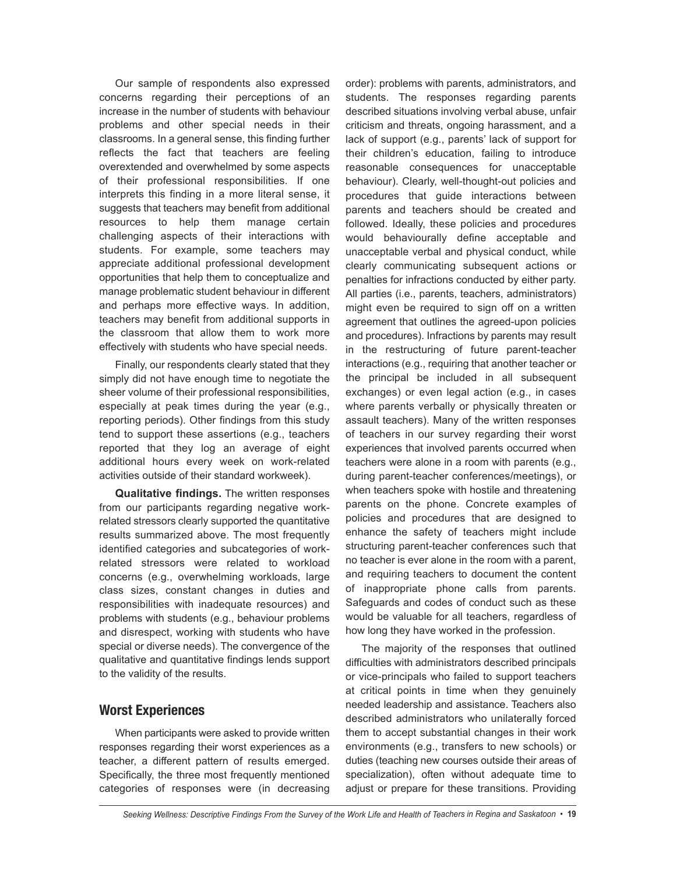Our sample of respondents also expressed concerns regarding their perceptions of an increase in the number of students with behaviour problems and other special needs in their classrooms. In a general sense, this finding further reflects the fact that teachers are feeling overextended and overwhelmed by some aspects of their professional responsibilities. If one interprets this finding in a more literal sense, it suggests that teachers may benefit from additional resources to help them manage certain challenging aspects of their interactions with students. For example, some teachers may appreciate additional professional development opportunities that help them to conceptualize and manage problematic student behaviour in different and perhaps more effective ways. In addition, teachers may benefit from additional supports in the classroom that allow them to work more effectively with students who have special needs.

Finally, our respondents clearly stated that they simply did not have enough time to negotiate the sheer volume of their professional responsibilities, especially at peak times during the year (e.g., reporting periods). Other findings from this study tend to support these assertions (e.g., teachers reported that they log an average of eight additional hours every week on work-related activities outside of their standard workweek).

**Qualitative findings.** The written responses from our participants regarding negative workrelated stressors clearly supported the quantitative results summarized above. The most frequently identified categories and subcategories of workrelated stressors were related to workload concerns (e.g., overwhelming workloads, large class sizes, constant changes in duties and responsibilities with inadequate resources) and problems with students (e.g., behaviour problems and disrespect, working with students who have special or diverse needs). The convergence of the qualitative and quantitative findings lends support to the validity of the results.

#### **Worst Experiences**

When participants were asked to provide written responses regarding their worst experiences as a teacher, a different pattern of results emerged. Specifically, the three most frequently mentioned categories of responses were (in decreasing order): problems with parents, administrators, and students. The responses regarding parents described situations involving verbal abuse, unfair criticism and threats, ongoing harassment, and a lack of support (e.g., parents' lack of support for their children's education, failing to introduce reasonable consequences for unacceptable behaviour). Clearly, well-thought-out policies and procedures that guide interactions between parents and teachers should be created and followed. Ideally, these policies and procedures would behaviourally define acceptable and unacceptable verbal and physical conduct, while clearly communicating subsequent actions or penalties for infractions conducted by either party. All parties (i.e., parents, teachers, administrators) might even be required to sign off on a written agreement that outlines the agreed-upon policies and procedures). Infractions by parents may result in the restructuring of future parent-teacher interactions (e.g., requiring that another teacher or the principal be included in all subsequent exchanges) or even legal action (e.g., in cases where parents verbally or physically threaten or assault teachers). Many of the written responses of teachers in our survey regarding their worst experiences that involved parents occurred when teachers were alone in a room with parents (e.g., during parent-teacher conferences/meetings), or when teachers spoke with hostile and threatening parents on the phone. Concrete examples of policies and procedures that are designed to enhance the safety of teachers might include structuring parent-teacher conferences such that no teacher is ever alone in the room with a parent, and requiring teachers to document the content of inappropriate phone calls from parents. Safeguards and codes of conduct such as these would be valuable for all teachers, regardless of how long they have worked in the profession.

The majority of the responses that outlined difficulties with administrators described principals or vice-principals who failed to support teachers at critical points in time when they genuinely needed leadership and assistance. Teachers also described administrators who unilaterally forced them to accept substantial changes in their work environments (e.g., transfers to new schools) or duties (teaching new courses outside their areas of specialization), often without adequate time to adjust or prepare for these transitions. Providing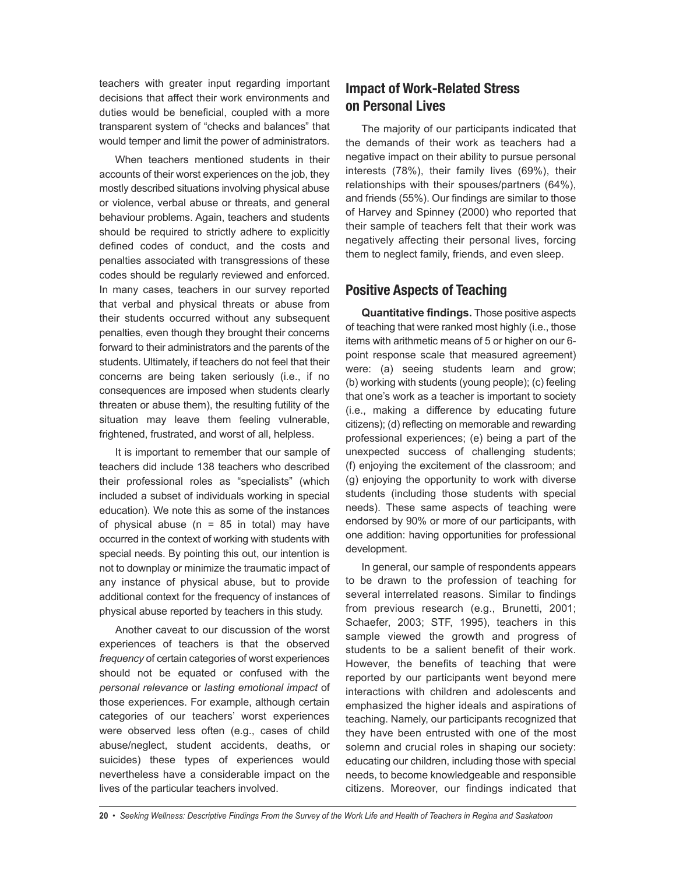teachers with greater input regarding important decisions that affect their work environments and duties would be beneficial, coupled with a more transparent system of "checks and balances" that would temper and limit the power of administrators.

When teachers mentioned students in their accounts of their worst experiences on the job, they mostly described situations involving physical abuse or violence, verbal abuse or threats, and general behaviour problems. Again, teachers and students should be required to strictly adhere to explicitly defined codes of conduct, and the costs and penalties associated with transgressions of these codes should be regularly reviewed and enforced. In many cases, teachers in our survey reported that verbal and physical threats or abuse from their students occurred without any subsequent penalties, even though they brought their concerns forward to their administrators and the parents of the students. Ultimately, if teachers do not feel that their concerns are being taken seriously (i.e., if no consequences are imposed when students clearly threaten or abuse them), the resulting futility of the situation may leave them feeling vulnerable, frightened, frustrated, and worst of all, helpless.

It is important to remember that our sample of teachers did include 138 teachers who described their professional roles as "specialists" (which included a subset of individuals working in special education). We note this as some of the instances of physical abuse ( $n = 85$  in total) may have occurred in the context of working with students with special needs. By pointing this out, our intention is not to downplay or minimize the traumatic impact of any instance of physical abuse, but to provide additional context for the frequency of instances of physical abuse reported by teachers in this study.

Another caveat to our discussion of the worst experiences of teachers is that the observed *frequency* of certain categories of worst experiences should not be equated or confused with the *personal relevance* or *lasting emotional impact* of those experiences. For example, although certain categories of our teachers' worst experiences were observed less often (e.g., cases of child abuse/neglect, student accidents, deaths, or suicides) these types of experiences would nevertheless have a considerable impact on the lives of the particular teachers involved.

## **Impact of Work-Related Stress on Personal Lives**

The majority of our participants indicated that the demands of their work as teachers had a negative impact on their ability to pursue personal interests (78%), their family lives (69%), their relationships with their spouses/partners (64%), and friends (55%). Our findings are similar to those of Harvey and Spinney (2000) who reported that their sample of teachers felt that their work was negatively affecting their personal lives, forcing them to neglect family, friends, and even sleep.

## **Positive Aspects of Teaching**

**Quantitative findings.** Those positive aspects of teaching that were ranked most highly (i.e., those items with arithmetic means of 5 or higher on our 6 point response scale that measured agreement) were: (a) seeing students learn and grow; (b) working with students (young people); (c) feeling that one's work as a teacher is important to society (i.e., making a difference by educating future citizens); (d) reflecting on memorable and rewarding professional experiences; (e) being a part of the unexpected success of challenging students; (f) enjoying the excitement of the classroom; and (g) enjoying the opportunity to work with diverse students (including those students with special needs). These same aspects of teaching were endorsed by 90% or more of our participants, with one addition: having opportunities for professional development.

In general, our sample of respondents appears to be drawn to the profession of teaching for several interrelated reasons. Similar to findings from previous research (e.g., Brunetti, 2001; Schaefer, 2003; STF, 1995), teachers in this sample viewed the growth and progress of students to be a salient benefit of their work. However, the benefits of teaching that were reported by our participants went beyond mere interactions with children and adolescents and emphasized the higher ideals and aspirations of teaching. Namely, our participants recognized that they have been entrusted with one of the most solemn and crucial roles in shaping our society: educating our children, including those with special needs, to become knowledgeable and responsible citizens. Moreover, our findings indicated that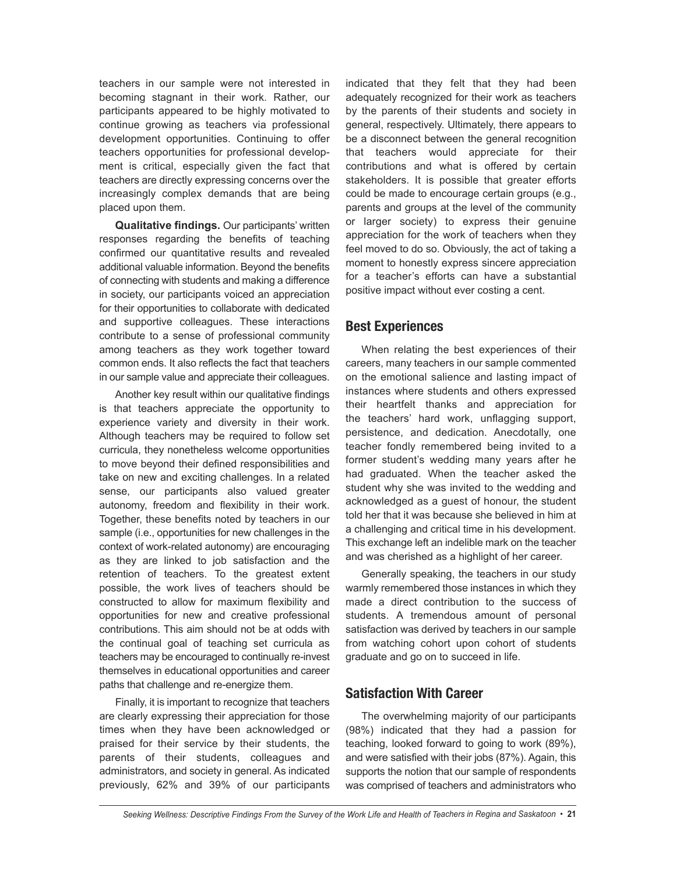teachers in our sample were not interested in becoming stagnant in their work. Rather, our participants appeared to be highly motivated to continue growing as teachers via professional development opportunities. Continuing to offer teachers opportunities for professional development is critical, especially given the fact that teachers are directly expressing concerns over the increasingly complex demands that are being placed upon them.

**Qualitative findings.** Our participants' written responses regarding the benefits of teaching confirmed our quantitative results and revealed additional valuable information. Beyond the benefits of connecting with students and making a difference in society, our participants voiced an appreciation for their opportunities to collaborate with dedicated and supportive colleagues. These interactions contribute to a sense of professional community among teachers as they work together toward common ends. It also reflects the fact that teachers in our sample value and appreciate their colleagues.

Another key result within our qualitative findings is that teachers appreciate the opportunity to experience variety and diversity in their work. Although teachers may be required to follow set curricula, they nonetheless welcome opportunities to move beyond their defined responsibilities and take on new and exciting challenges. In a related sense, our participants also valued greater autonomy, freedom and flexibility in their work. Together, these benefits noted by teachers in our sample (i.e., opportunities for new challenges in the context of work-related autonomy) are encouraging as they are linked to job satisfaction and the retention of teachers. To the greatest extent possible, the work lives of teachers should be constructed to allow for maximum flexibility and opportunities for new and creative professional contributions. This aim should not be at odds with the continual goal of teaching set curricula as teachers may be encouraged to continually re-invest themselves in educational opportunities and career paths that challenge and re-energize them.

Finally, it is important to recognize that teachers are clearly expressing their appreciation for those times when they have been acknowledged or praised for their service by their students, the parents of their students, colleagues and administrators, and society in general. As indicated previously, 62% and 39% of our participants indicated that they felt that they had been adequately recognized for their work as teachers by the parents of their students and society in general, respectively. Ultimately, there appears to be a disconnect between the general recognition that teachers would appreciate for their contributions and what is offered by certain stakeholders. It is possible that greater efforts could be made to encourage certain groups (e.g., parents and groups at the level of the community or larger society) to express their genuine appreciation for the work of teachers when they feel moved to do so. Obviously, the act of taking a moment to honestly express sincere appreciation for a teacher's efforts can have a substantial positive impact without ever costing a cent.

#### **Best Experiences**

When relating the best experiences of their careers, many teachers in our sample commented on the emotional salience and lasting impact of instances where students and others expressed their heartfelt thanks and appreciation for the teachers' hard work, unflagging support, persistence, and dedication. Anecdotally, one teacher fondly remembered being invited to a former student's wedding many years after he had graduated. When the teacher asked the student why she was invited to the wedding and acknowledged as a guest of honour, the student told her that it was because she believed in him at a challenging and critical time in his development. This exchange left an indelible mark on the teacher and was cherished as a highlight of her career.

Generally speaking, the teachers in our study warmly remembered those instances in which they made a direct contribution to the success of students. A tremendous amount of personal satisfaction was derived by teachers in our sample from watching cohort upon cohort of students graduate and go on to succeed in life.

#### **Satisfaction With Career**

The overwhelming majority of our participants (98%) indicated that they had a passion for teaching, looked forward to going to work (89%), and were satisfied with their jobs (87%). Again, this supports the notion that our sample of respondents was comprised of teachers and administrators who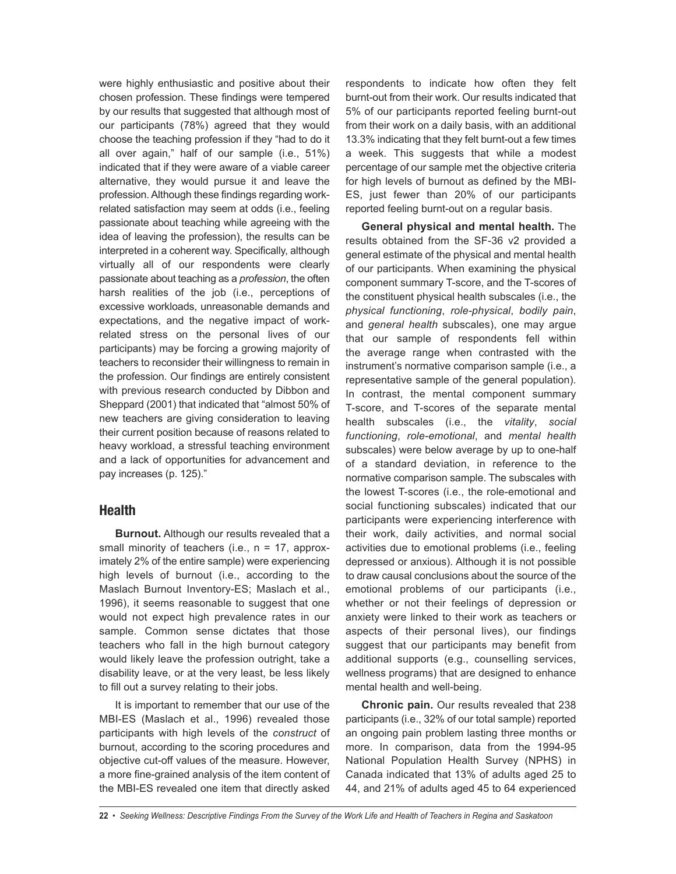were highly enthusiastic and positive about their chosen profession. These findings were tempered by our results that suggested that although most of our participants (78%) agreed that they would choose the teaching profession if they "had to do it all over again," half of our sample (i.e., 51%) indicated that if they were aware of a viable career alternative, they would pursue it and leave the profession.Although these findings regarding workrelated satisfaction may seem at odds (i.e., feeling passionate about teaching while agreeing with the idea of leaving the profession), the results can be interpreted in a coherent way. Specifically, although virtually all of our respondents were clearly passionate about teaching as a *profession*, the often harsh realities of the job (i.e., perceptions of excessive workloads, unreasonable demands and expectations, and the negative impact of workrelated stress on the personal lives of our participants) may be forcing a growing majority of teachers to reconsider their willingness to remain in the profession. Our findings are entirely consistent with previous research conducted by Dibbon and Sheppard (2001) that indicated that "almost 50% of new teachers are giving consideration to leaving their current position because of reasons related to heavy workload, a stressful teaching environment and a lack of opportunities for advancement and pay increases (p. 125)."

#### **Health**

**Burnout.** Although our results revealed that a small minority of teachers (i.e.,  $n = 17$ , approximately 2% of the entire sample) were experiencing high levels of burnout (i.e., according to the Maslach Burnout Inventory-ES; Maslach et al., 1996), it seems reasonable to suggest that one would not expect high prevalence rates in our sample. Common sense dictates that those teachers who fall in the high burnout category would likely leave the profession outright, take a disability leave, or at the very least, be less likely to fill out a survey relating to their jobs.

It is important to remember that our use of the MBI-ES (Maslach et al., 1996) revealed those participants with high levels of the *construct* of burnout, according to the scoring procedures and objective cut-off values of the measure. However, a more fine-grained analysis of the item content of the MBI-ES revealed one item that directly asked respondents to indicate how often they felt burnt-out from their work. Our results indicated that 5% of our participants reported feeling burnt-out from their work on a daily basis, with an additional 13.3% indicating that they felt burnt-out a few times a week. This suggests that while a modest percentage of our sample met the objective criteria for high levels of burnout as defined by the MBI-ES, just fewer than 20% of our participants reported feeling burnt-out on a regular basis.

**General physical and mental health.** The results obtained from the SF-36 v2 provided a general estimate of the physical and mental health of our participants. When examining the physical component summary T-score, and the T-scores of the constituent physical health subscales (i.e., the *physical functioning*, *role-physical*, *bodily pain*, and *general health* subscales), one may argue that our sample of respondents fell within the average range when contrasted with the instrument's normative comparison sample (i.e., a representative sample of the general population). In contrast, the mental component summary T-score, and T-scores of the separate mental health subscales (i.e., the *vitality*, *social functioning*, *role-emotional*, and *mental health* subscales) were below average by up to one-half of a standard deviation, in reference to the normative comparison sample. The subscales with the lowest T-scores (i.e., the role-emotional and social functioning subscales) indicated that our participants were experiencing interference with their work, daily activities, and normal social activities due to emotional problems (i.e., feeling depressed or anxious). Although it is not possible to draw causal conclusions about the source of the emotional problems of our participants (i.e., whether or not their feelings of depression or anxiety were linked to their work as teachers or aspects of their personal lives), our findings suggest that our participants may benefit from additional supports (e.g., counselling services, wellness programs) that are designed to enhance mental health and well-being.

**Chronic pain.** Our results revealed that 238 participants (i.e., 32% of our total sample) reported an ongoing pain problem lasting three months or more. In comparison, data from the 1994-95 National Population Health Survey (NPHS) in Canada indicated that 13% of adults aged 25 to 44, and 21% of adults aged 45 to 64 experienced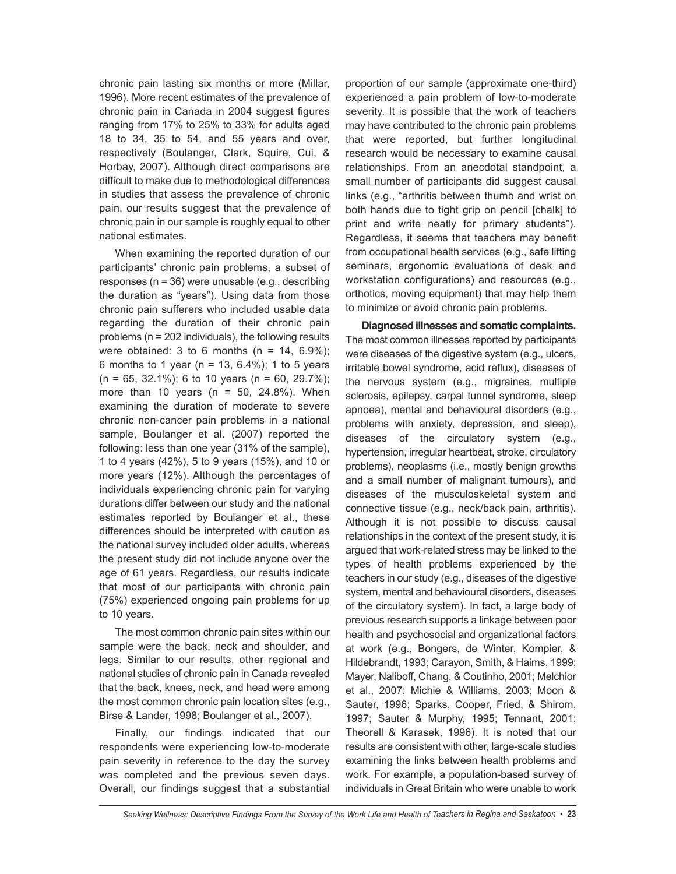chronic pain lasting six months or more (Millar, 1996). More recent estimates of the prevalence of chronic pain in Canada in 2004 suggest figures ranging from 17% to 25% to 33% for adults aged 18 to 34, 35 to 54, and 55 years and over, respectively (Boulanger, Clark, Squire, Cui, & Horbay, 2007). Although direct comparisons are difficult to make due to methodological differences in studies that assess the prevalence of chronic pain, our results suggest that the prevalence of chronic pain in our sample is roughly equal to other national estimates.

When examining the reported duration of our participants' chronic pain problems, a subset of responses (n = 36) were unusable (e.g., describing the duration as "years"). Using data from those chronic pain sufferers who included usable data regarding the duration of their chronic pain problems (n = 202 individuals), the following results were obtained: 3 to 6 months ( $n = 14, 6.9\%$ ); 6 months to 1 year ( $n = 13, 6.4\%$ ); 1 to 5 years  $(n = 65, 32.1\%)$ ; 6 to 10 years  $(n = 60, 29.7\%)$ ; more than 10 years ( $n = 50$ , 24.8%). When examining the duration of moderate to severe chronic non-cancer pain problems in a national sample, Boulanger et al. (2007) reported the following: less than one year (31% of the sample), 1 to 4 years (42%), 5 to 9 years (15%), and 10 or more years (12%). Although the percentages of individuals experiencing chronic pain for varying durations differ between our study and the national estimates reported by Boulanger et al., these differences should be interpreted with caution as the national survey included older adults, whereas the present study did not include anyone over the age of 61 years. Regardless, our results indicate that most of our participants with chronic pain (75%) experienced ongoing pain problems for up to 10 years.

The most common chronic pain sites within our sample were the back, neck and shoulder, and legs. Similar to our results, other regional and national studies of chronic pain in Canada revealed that the back, knees, neck, and head were among the most common chronic pain location sites (e.g., Birse & Lander, 1998; Boulanger et al., 2007).

Finally, our findings indicated that our respondents were experiencing low-to-moderate pain severity in reference to the day the survey was completed and the previous seven days. Overall, our findings suggest that a substantial proportion of our sample (approximate one-third) experienced a pain problem of low-to-moderate severity. It is possible that the work of teachers may have contributed to the chronic pain problems that were reported, but further longitudinal research would be necessary to examine causal relationships. From an anecdotal standpoint, a small number of participants did suggest causal links (e.g., "arthritis between thumb and wrist on both hands due to tight grip on pencil [chalk] to print and write neatly for primary students"). Regardless, it seems that teachers may benefit from occupational health services (e.g., safe lifting seminars, ergonomic evaluations of desk and workstation configurations) and resources (e.g., orthotics, moving equipment) that may help them to minimize or avoid chronic pain problems.

**Diagnosedillnesses andsomatic complaints.** The most common illnesses reported by participants were diseases of the digestive system (e.g., ulcers, irritable bowel syndrome, acid reflux), diseases of the nervous system (e.g., migraines, multiple sclerosis, epilepsy, carpal tunnel syndrome, sleep apnoea), mental and behavioural disorders (e.g., problems with anxiety, depression, and sleep), diseases of the circulatory system (e.g., hypertension, irregular heartbeat, stroke, circulatory problems), neoplasms (i.e., mostly benign growths and a small number of malignant tumours), and diseases of the musculoskeletal system and connective tissue (e.g., neck/back pain, arthritis). Although it is not possible to discuss causal relationships in the context of the present study, it is argued that work-related stress may be linked to the types of health problems experienced by the teachers in our study (e.g., diseases of the digestive system, mental and behavioural disorders, diseases of the circulatory system). In fact, a large body of previous research supports a linkage between poor health and psychosocial and organizational factors at work (e.g., Bongers, de Winter, Kompier, & Hildebrandt, 1993; Carayon, Smith, & Haims, 1999; Mayer, Naliboff, Chang, & Coutinho, 2001; Melchior et al., 2007; Michie & Williams, 2003; Moon & Sauter, 1996; Sparks, Cooper, Fried, & Shirom, 1997; Sauter & Murphy, 1995; Tennant, 2001; Theorell & Karasek, 1996). It is noted that our results are consistent with other, large-scale studies examining the links between health problems and work. For example, a population-based survey of individuals in Great Britain who were unable to work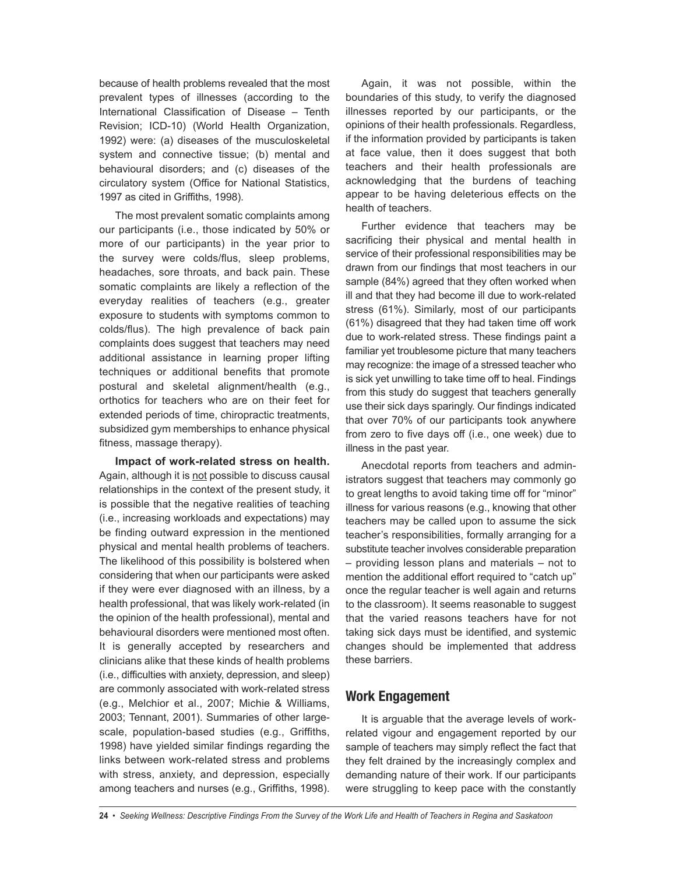because of health problems revealed that the most prevalent types of illnesses (according to the International Classification of Disease – Tenth Revision; ICD-10) (World Health Organization, 1992) were: (a) diseases of the musculoskeletal system and connective tissue; (b) mental and behavioural disorders; and (c) diseases of the circulatory system (Office for National Statistics, 1997 as cited in Griffiths, 1998).

The most prevalent somatic complaints among our participants (i.e., those indicated by 50% or more of our participants) in the year prior to the survey were colds/flus, sleep problems, headaches, sore throats, and back pain. These somatic complaints are likely a reflection of the everyday realities of teachers (e.g., greater exposure to students with symptoms common to colds/flus). The high prevalence of back pain complaints does suggest that teachers may need additional assistance in learning proper lifting techniques or additional benefits that promote postural and skeletal alignment/health (e.g., orthotics for teachers who are on their feet for extended periods of time, chiropractic treatments, subsidized gym memberships to enhance physical fitness, massage therapy).

**Impact of work-related stress on health.** Again, although it is not possible to discuss causal relationships in the context of the present study, it is possible that the negative realities of teaching (i.e., increasing workloads and expectations) may be finding outward expression in the mentioned physical and mental health problems of teachers. The likelihood of this possibility is bolstered when considering that when our participants were asked if they were ever diagnosed with an illness, by a health professional, that was likely work-related (in the opinion of the health professional), mental and behavioural disorders were mentioned most often. It is generally accepted by researchers and clinicians alike that these kinds of health problems (i.e., difficulties with anxiety, depression, and sleep) are commonly associated with work-related stress (e.g., Melchior et al., 2007; Michie & Williams, 2003; Tennant, 2001). Summaries of other largescale, population-based studies (e.g., Griffiths, 1998) have yielded similar findings regarding the links between work-related stress and problems with stress, anxiety, and depression, especially among teachers and nurses (e.g., Griffiths, 1998).

Again, it was not possible, within the boundaries of this study, to verify the diagnosed illnesses reported by our participants, or the opinions of their health professionals. Regardless, if the information provided by participants is taken at face value, then it does suggest that both teachers and their health professionals are acknowledging that the burdens of teaching appear to be having deleterious effects on the health of teachers.

Further evidence that teachers may be sacrificing their physical and mental health in service of their professional responsibilities may be drawn from our findings that most teachers in our sample (84%) agreed that they often worked when ill and that they had become ill due to work-related stress (61%). Similarly, most of our participants (61%) disagreed that they had taken time off work due to work-related stress. These findings paint a familiar yet troublesome picture that many teachers may recognize: the image of a stressed teacher who is sick yet unwilling to take time off to heal. Findings from this study do suggest that teachers generally use their sick days sparingly. Our findings indicated that over 70% of our participants took anywhere from zero to five days off (i.e., one week) due to illness in the past year.

Anecdotal reports from teachers and administrators suggest that teachers may commonly go to great lengths to avoid taking time off for "minor" illness for various reasons (e.g., knowing that other teachers may be called upon to assume the sick teacher's responsibilities, formally arranging for a substitute teacher involves considerable preparation – providing lesson plans and materials – not to mention the additional effort required to "catch up" once the regular teacher is well again and returns to the classroom). It seems reasonable to suggest that the varied reasons teachers have for not taking sick days must be identified, and systemic changes should be implemented that address these barriers.

## **Work Engagement**

It is arguable that the average levels of workrelated vigour and engagement reported by our sample of teachers may simply reflect the fact that they felt drained by the increasingly complex and demanding nature of their work. If our participants were struggling to keep pace with the constantly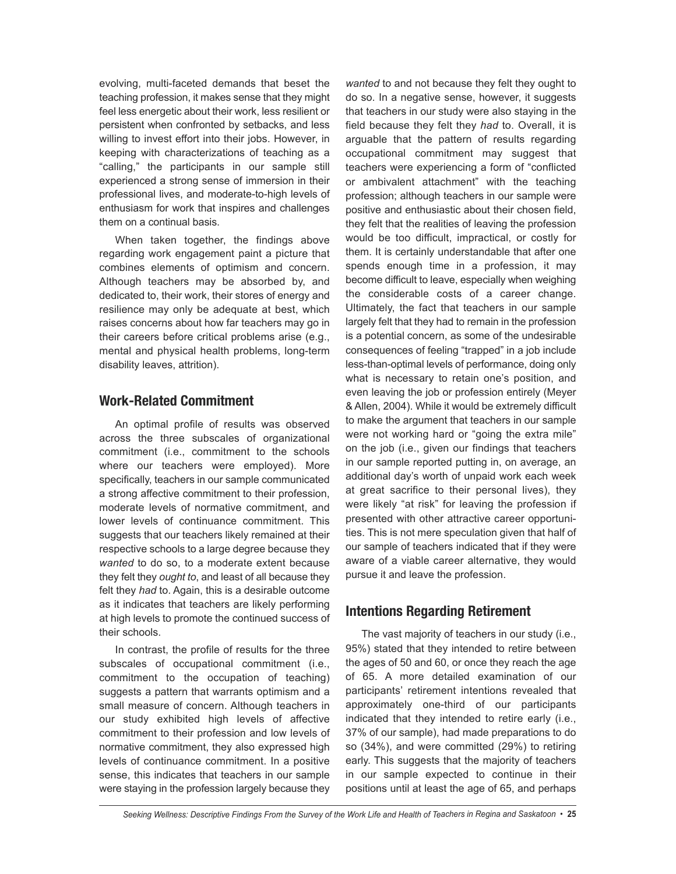evolving, multi-faceted demands that beset the teaching profession, it makes sense that they might feel less energetic about their work, less resilient or persistent when confronted by setbacks, and less willing to invest effort into their jobs. However, in keeping with characterizations of teaching as a "calling," the participants in our sample still experienced a strong sense of immersion in their professional lives, and moderate-to-high levels of enthusiasm for work that inspires and challenges them on a continual basis.

When taken together, the findings above regarding work engagement paint a picture that combines elements of optimism and concern. Although teachers may be absorbed by, and dedicated to, their work, their stores of energy and resilience may only be adequate at best, which raises concerns about how far teachers may go in their careers before critical problems arise (e.g., mental and physical health problems, long-term disability leaves, attrition).

#### **Work-Related Commitment**

An optimal profile of results was observed across the three subscales of organizational commitment (i.e., commitment to the schools where our teachers were employed). More specifically, teachers in our sample communicated a strong affective commitment to their profession, moderate levels of normative commitment, and lower levels of continuance commitment. This suggests that our teachers likely remained at their respective schools to a large degree because they *wanted* to do so, to a moderate extent because they felt they *ought to*, and least of all because they felt they *had* to. Again, this is a desirable outcome as it indicates that teachers are likely performing at high levels to promote the continued success of their schools.

In contrast, the profile of results for the three subscales of occupational commitment (i.e., commitment to the occupation of teaching) suggests a pattern that warrants optimism and a small measure of concern. Although teachers in our study exhibited high levels of affective commitment to their profession and low levels of normative commitment, they also expressed high levels of continuance commitment. In a positive sense, this indicates that teachers in our sample were staying in the profession largely because they *wanted* to and not because they felt they ought to do so. In a negative sense, however, it suggests that teachers in our study were also staying in the field because they felt they *had* to. Overall, it is arguable that the pattern of results regarding occupational commitment may suggest that teachers were experiencing a form of "conflicted or ambivalent attachment" with the teaching profession; although teachers in our sample were positive and enthusiastic about their chosen field, they felt that the realities of leaving the profession would be too difficult, impractical, or costly for them. It is certainly understandable that after one spends enough time in a profession, it may become difficult to leave, especially when weighing the considerable costs of a career change. Ultimately, the fact that teachers in our sample largely felt that they had to remain in the profession is a potential concern, as some of the undesirable consequences of feeling "trapped" in a job include less-than-optimal levels of performance, doing only what is necessary to retain one's position, and even leaving the job or profession entirely (Meyer & Allen, 2004). While it would be extremely difficult to make the argument that teachers in our sample were not working hard or "going the extra mile" on the job (i.e., given our findings that teachers in our sample reported putting in, on average, an additional day's worth of unpaid work each week at great sacrifice to their personal lives), they were likely "at risk" for leaving the profession if presented with other attractive career opportunities. This is not mere speculation given that half of our sample of teachers indicated that if they were aware of a viable career alternative, they would pursue it and leave the profession.

#### **Intentions Regarding Retirement**

The vast majority of teachers in our study (i.e., 95%) stated that they intended to retire between the ages of 50 and 60, or once they reach the age of 65. A more detailed examination of our participants' retirement intentions revealed that approximately one-third of our participants indicated that they intended to retire early (i.e., 37% of our sample), had made preparations to do so (34%), and were committed (29%) to retiring early. This suggests that the majority of teachers in our sample expected to continue in their positions until at least the age of 65, and perhaps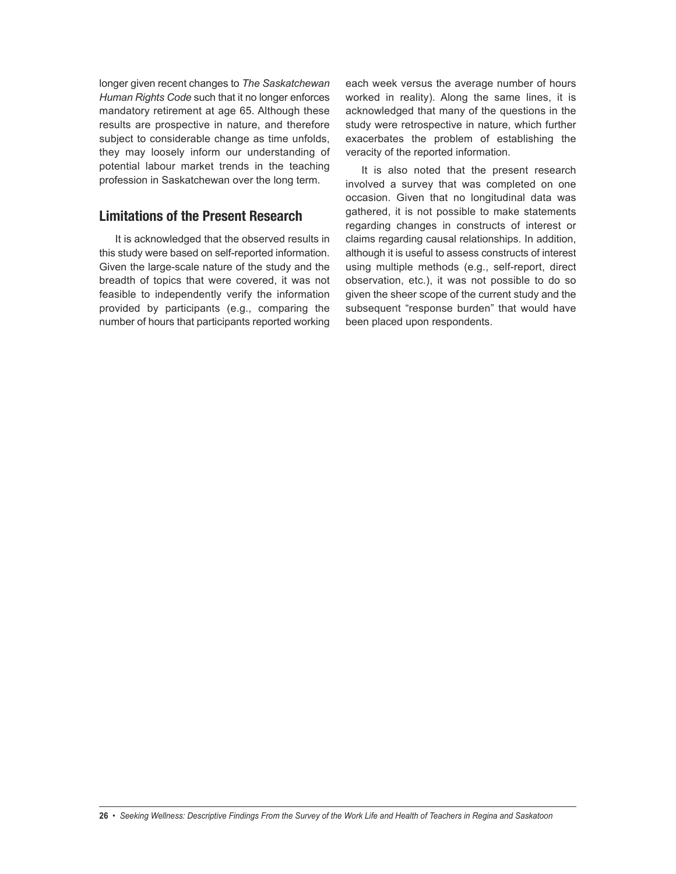longer given recent changes to *The Saskatchewan Human Rights Code* such that it no longer enforces mandatory retirement at age 65. Although these results are prospective in nature, and therefore subject to considerable change as time unfolds, they may loosely inform our understanding of potential labour market trends in the teaching profession in Saskatchewan over the long term.

#### **Limitations of the Present Research**

It is acknowledged that the observed results in this study were based on self-reported information. Given the large-scale nature of the study and the breadth of topics that were covered, it was not feasible to independently verify the information provided by participants (e.g., comparing the number of hours that participants reported working each week versus the average number of hours worked in reality). Along the same lines, it is acknowledged that many of the questions in the study were retrospective in nature, which further exacerbates the problem of establishing the veracity of the reported information.

It is also noted that the present research involved a survey that was completed on one occasion. Given that no longitudinal data was gathered, it is not possible to make statements regarding changes in constructs of interest or claims regarding causal relationships. In addition, although it is useful to assess constructs of interest using multiple methods (e.g., self-report, direct observation, etc.), it was not possible to do so given the sheer scope of the current study and the subsequent "response burden" that would have been placed upon respondents.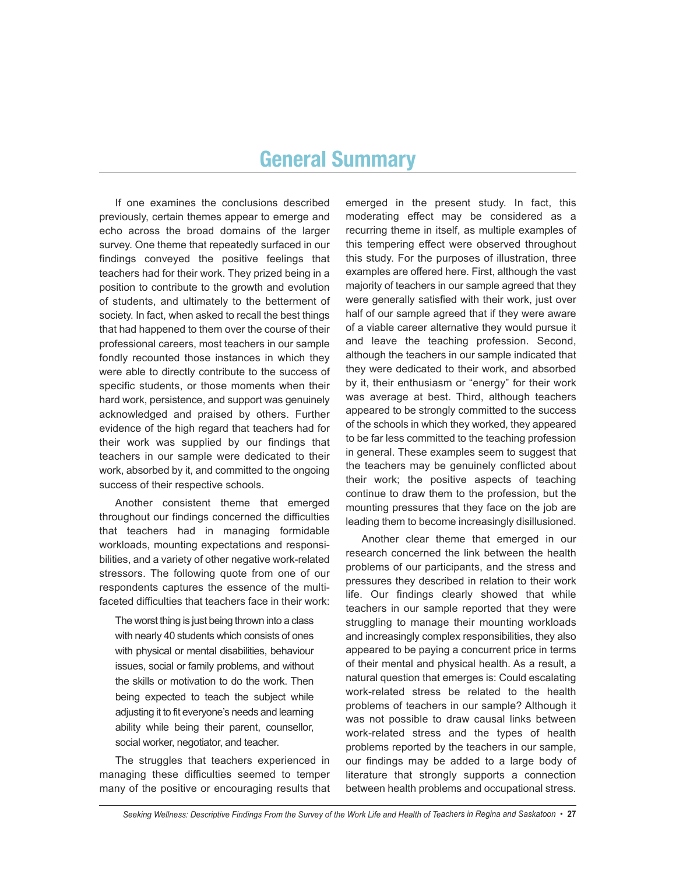# **General Summary**

If one examines the conclusions described previously, certain themes appear to emerge and echo across the broad domains of the larger survey. One theme that repeatedly surfaced in our findings conveyed the positive feelings that teachers had for their work. They prized being in a position to contribute to the growth and evolution of students, and ultimately to the betterment of society. In fact, when asked to recall the best things that had happened to them over the course of their professional careers, most teachers in our sample fondly recounted those instances in which they were able to directly contribute to the success of specific students, or those moments when their hard work, persistence, and support was genuinely acknowledged and praised by others. Further evidence of the high regard that teachers had for their work was supplied by our findings that teachers in our sample were dedicated to their work, absorbed by it, and committed to the ongoing success of their respective schools.

Another consistent theme that emerged throughout our findings concerned the difficulties that teachers had in managing formidable workloads, mounting expectations and responsibilities, and a variety of other negative work-related stressors. The following quote from one of our respondents captures the essence of the multifaceted difficulties that teachers face in their work:

The worst thing is just being thrown into a class with nearly 40 students which consists of ones with physical or mental disabilities, behaviour issues, social or family problems, and without the skills or motivation to do the work. Then being expected to teach the subject while adjusting it to fit everyone's needs and learning ability while being their parent, counsellor, social worker, negotiator, and teacher.

The struggles that teachers experienced in managing these difficulties seemed to temper many of the positive or encouraging results that emerged in the present study. In fact, this moderating effect may be considered as a recurring theme in itself, as multiple examples of this tempering effect were observed throughout this study. For the purposes of illustration, three examples are offered here. First, although the vast majority of teachers in our sample agreed that they were generally satisfied with their work, just over half of our sample agreed that if they were aware of a viable career alternative they would pursue it and leave the teaching profession. Second, although the teachers in our sample indicated that they were dedicated to their work, and absorbed by it, their enthusiasm or "energy" for their work was average at best. Third, although teachers appeared to be strongly committed to the success of the schools in which they worked, they appeared to be far less committed to the teaching profession in general. These examples seem to suggest that the teachers may be genuinely conflicted about their work; the positive aspects of teaching continue to draw them to the profession, but the mounting pressures that they face on the job are leading them to become increasingly disillusioned.

Another clear theme that emerged in our research concerned the link between the health problems of our participants, and the stress and pressures they described in relation to their work life. Our findings clearly showed that while teachers in our sample reported that they were struggling to manage their mounting workloads and increasingly complex responsibilities, they also appeared to be paying a concurrent price in terms of their mental and physical health. As a result, a natural question that emerges is: Could escalating work-related stress be related to the health problems of teachers in our sample? Although it was not possible to draw causal links between work-related stress and the types of health problems reported by the teachers in our sample, our findings may be added to a large body of literature that strongly supports a connection between health problems and occupational stress.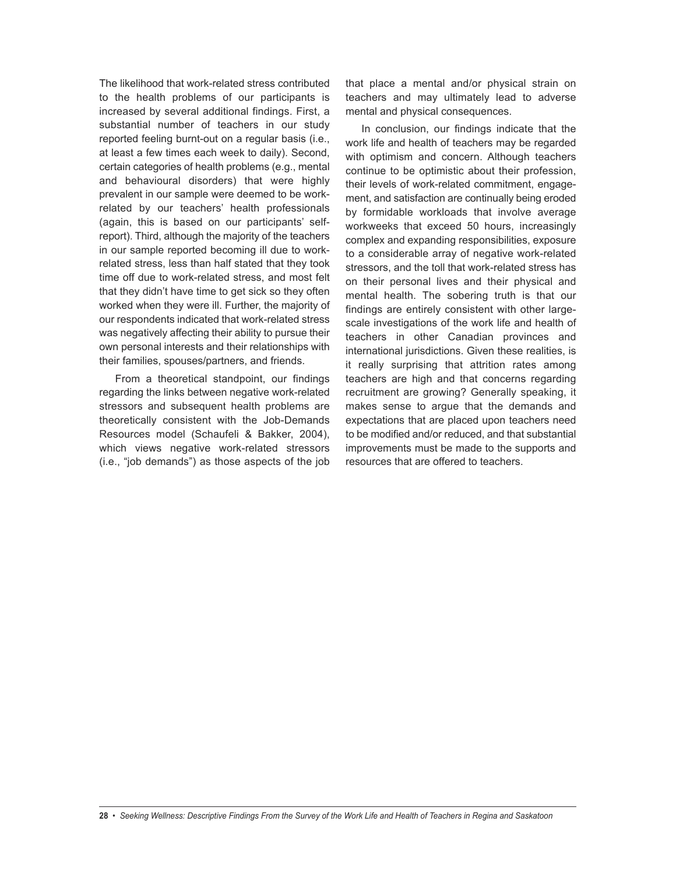The likelihood that work-related stress contributed to the health problems of our participants is increased by several additional findings. First, a substantial number of teachers in our study reported feeling burnt-out on a regular basis (i.e., at least a few times each week to daily). Second, certain categories of health problems (e.g., mental and behavioural disorders) that were highly prevalent in our sample were deemed to be workrelated by our teachers' health professionals (again, this is based on our participants' selfreport). Third, although the majority of the teachers in our sample reported becoming ill due to workrelated stress, less than half stated that they took time off due to work-related stress, and most felt that they didn't have time to get sick so they often worked when they were ill. Further, the majority of our respondents indicated that work-related stress was negatively affecting their ability to pursue their own personal interests and their relationships with their families, spouses/partners, and friends.

From a theoretical standpoint, our findings regarding the links between negative work-related stressors and subsequent health problems are theoretically consistent with the Job-Demands Resources model (Schaufeli & Bakker, 2004), which views negative work-related stressors (i.e., "job demands") as those aspects of the job that place a mental and/or physical strain on teachers and may ultimately lead to adverse mental and physical consequences.

In conclusion, our findings indicate that the work life and health of teachers may be regarded with optimism and concern. Although teachers continue to be optimistic about their profession, their levels of work-related commitment, engagement, and satisfaction are continually being eroded by formidable workloads that involve average workweeks that exceed 50 hours, increasingly complex and expanding responsibilities, exposure to a considerable array of negative work-related stressors, and the toll that work-related stress has on their personal lives and their physical and mental health. The sobering truth is that our findings are entirely consistent with other largescale investigations of the work life and health of teachers in other Canadian provinces and international jurisdictions. Given these realities, is it really surprising that attrition rates among teachers are high and that concerns regarding recruitment are growing? Generally speaking, it makes sense to argue that the demands and expectations that are placed upon teachers need to be modified and/or reduced, and that substantial improvements must be made to the supports and resources that are offered to teachers.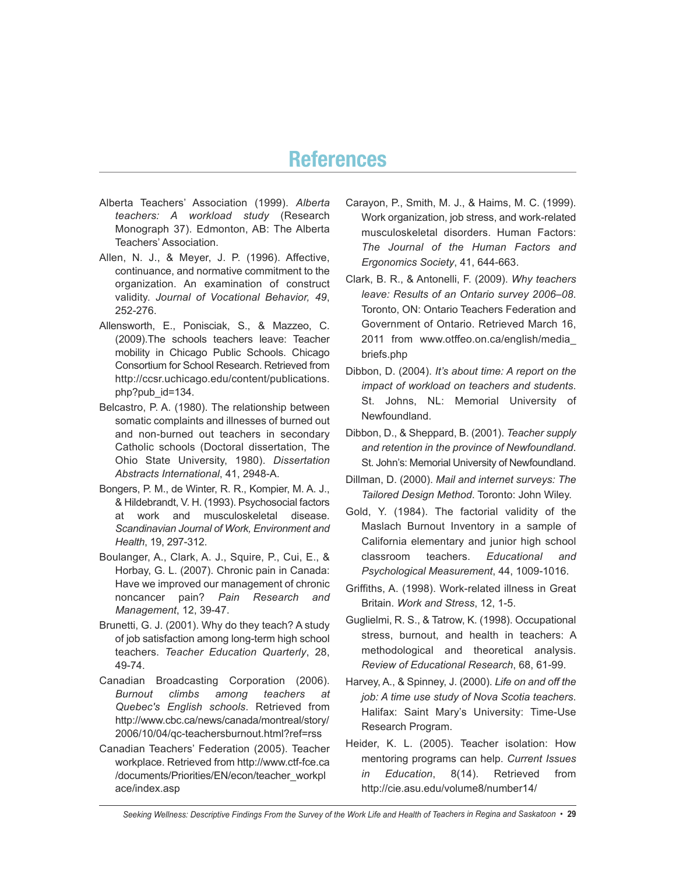# **References**

- Alberta Teachers' Association (1999). *Alberta teachers: A workload study* (Research Monograph 37). Edmonton, AB: The Alberta Teachers' Association.
- Allen, N. J., & Meyer, J. P. (1996). Affective, continuance, and normative commitment to the organization. An examination of construct validity. *Journal of Vocational Behavior, 49*, 252-276.
- Allensworth, E., Ponisciak, S., & Mazzeo, C. (2009).The schools teachers leave: Teacher mobility in Chicago Public Schools. Chicago Consortium for School Research. Retrieved from http://ccsr.uchicago.edu/content/publications. php?pub\_id=134.
- Belcastro, P. A. (1980). The relationship between somatic complaints and illnesses of burned out and non-burned out teachers in secondary Catholic schools (Doctoral dissertation, The Ohio State University, 1980). *Dissertation Abstracts International*, 41, 2948-A.
- Bongers, P. M., de Winter, R. R., Kompier, M. A. J., & Hildebrandt, V. H. (1993). Psychosocial factors at work and musculoskeletal disease. *Scandinavian Journal of Work, Environment and Health*, 19, 297-312.
- Boulanger, A., Clark, A. J., Squire, P., Cui, E., & Horbay, G. L. (2007). Chronic pain in Canada: Have we improved our management of chronic noncancer pain? *Pain Research and Management*, 12, 39-47.
- Brunetti, G. J. (2001). Why do they teach? A study of job satisfaction among long-term high school teachers. *Teacher Education Quarterly*, 28, 49-74.
- Canadian Broadcasting Corporation (2006). *Burnout climbs among teachers at Quebec's English schools*. Retrieved from http://www.cbc.ca/news/canada/montreal/story/ 2006/10/04/qc-teachersburnout.html?ref=rss
- Canadian Teachers' Federation (2005). Teacher workplace. Retrieved from http://www.ctf-fce.ca /documents/Priorities/EN/econ/teacher\_workpl ace/index.asp
- Carayon, P., Smith, M. J., & Haims, M. C. (1999). Work organization, job stress, and work-related musculoskeletal disorders. Human Factors: *The Journal of the Human Factors and Ergonomics Society*, 41, 644-663.
- Clark, B. R., & Antonelli, F. (2009). *Why teachers leave: Results of an Ontario survey 2006–08*. Toronto, ON: Ontario Teachers Federation and Government of Ontario. Retrieved March 16, 2011 from www.otffeo.on.ca/english/media\_ briefs.php
- Dibbon, D. (2004). *It's about time: A report on the impact of workload on teachers and students*. St. Johns, NL: Memorial University of Newfoundland.
- Dibbon, D., & Sheppard, B. (2001). *Teacher supply and retention in the province of Newfoundland*. St. John's: Memorial University of Newfoundland.
- Dillman, D. (2000). *Mail and internet surveys: The Tailored Design Method*. Toronto: John Wiley.
- Gold, Y. (1984). The factorial validity of the Maslach Burnout Inventory in a sample of California elementary and junior high school classroom teachers. *Educational and Psychological Measurement*, 44, 1009-1016.
- Griffiths, A. (1998). Work-related illness in Great Britain. *Work and Stress*, 12, 1-5.
- Guglielmi, R. S., & Tatrow, K. (1998). Occupational stress, burnout, and health in teachers: A methodological and theoretical analysis. *Review of Educational Research*, 68, 61-99.
- Harvey, A., & Spinney, J. (2000). *Life on and off the job: A time use study of Nova Scotia teachers*. Halifax: Saint Mary's University: Time-Use Research Program.
- Heider, K. L. (2005). Teacher isolation: How mentoring programs can help. *Current Issues in Education*, 8(14). Retrieved from http://cie.asu.edu/volume8/number14/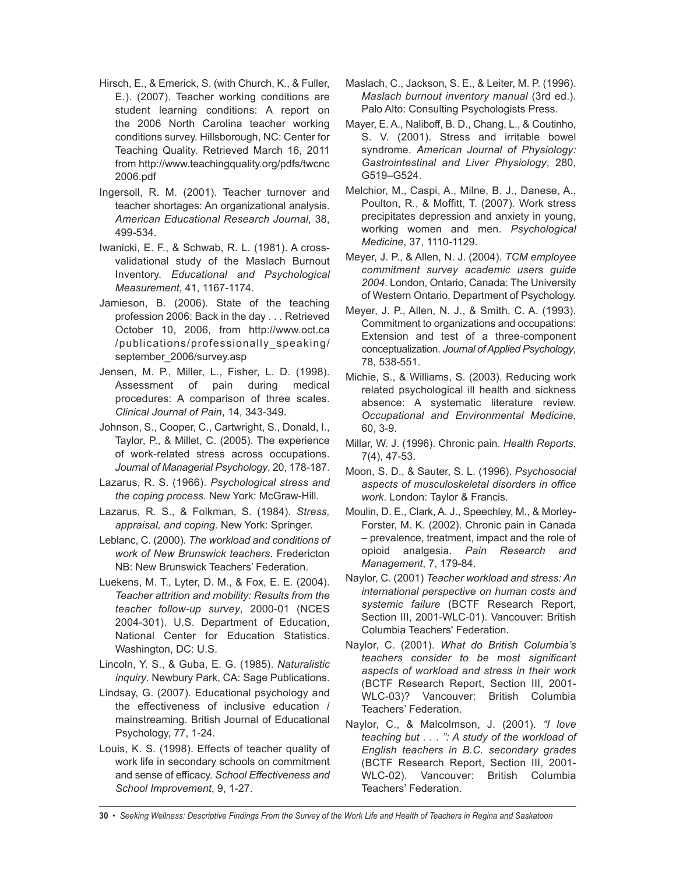- Hirsch, E., & Emerick, S. (with Church, K., & Fuller, E.). (2007). Teacher working conditions are student learning conditions: A report on the 2006 North Carolina teacher working conditions survey. Hillsborough, NC: Center for Teaching Quality. Retrieved March 16, 2011 from http://www.teachingquality.org/pdfs/twcnc 2006.pdf
- Ingersoll, R. M. (2001). Teacher turnover and teacher shortages: An organizational analysis. *American Educational Research Journal*, 38, 499-534.
- Iwanicki, E. F., & Schwab, R. L. (1981). A crossvalidational study of the Maslach Burnout Inventory. *Educational and Psychological Measurement*, 41, 1167-1174.
- Jamieson, B. (2006). State of the teaching profession 2006: Back in the day . . . Retrieved October 10, 2006, from http://www.oct.ca /publications/professionally\_speaking/ september\_2006/survey.asp
- Jensen, M. P., Miller, L., Fisher, L. D. (1998). Assessment of pain during medical procedures: A comparison of three scales. *Clinical Journal of Pain*, 14, 343-349.
- Johnson, S., Cooper, C., Cartwright, S., Donald, I., Taylor, P., & Millet, C. (2005). The experience of work-related stress across occupations. *Journal of Managerial Psychology*, 20, 178-187.
- Lazarus, R. S. (1966). *Psychological stress and the coping process*. New York: McGraw-Hill.
- Lazarus, R. S., & Folkman, S. (1984). *Stress, appraisal, and coping*. New York: Springer.
- Leblanc, C. (2000). *The workload and conditions of work of New Brunswick teachers*. Fredericton NB: New Brunswick Teachers' Federation.
- Luekens, M. T., Lyter, D. M., & Fox, E. E. (2004). *Teacher attrition and mobility: Results from the teacher follow-up survey*, 2000-01 (NCES 2004-301). U.S. Department of Education, National Center for Education Statistics. Washington, DC: U.S.
- Lincoln, Y. S., & Guba, E. G. (1985). *Naturalistic inquiry*. Newbury Park, CA: Sage Publications.
- Lindsay, G. (2007). Educational psychology and the effectiveness of inclusive education / mainstreaming. British Journal of Educational Psychology, 77, 1-24.
- Louis, K. S. (1998). Effects of teacher quality of work life in secondary schools on commitment and sense of efficacy. *School Effectiveness and School Improvement*, 9, 1-27.
- Maslach, C., Jackson, S. E., & Leiter, M. P. (1996). *Maslach burnout inventory manual* (3rd ed.). Palo Alto: Consulting Psychologists Press.
- Mayer, E. A., Naliboff, B. D., Chang, L., & Coutinho, S. V. (2001). Stress and irritable bowel syndrome. *American Journal of Physiology: Gastrointestinal and Liver Physiology*, 280, G519–G524.
- Melchior, M., Caspi, A., Milne, B. J., Danese, A., Poulton, R., & Moffitt, T. (2007). Work stress precipitates depression and anxiety in young, working women and men. *Psychological Medicine*, 37, 1110-1129.
- Meyer, J. P., & Allen, N. J. (2004). *TCM employee commitment survey academic users guide 2004*. London, Ontario, Canada: The University of Western Ontario, Department of Psychology.
- Meyer, J. P., Allen, N. J., & Smith, C. A. (1993). Commitment to organizations and occupations: Extension and test of a three-component conceptualization. *Journal ofApplied Psychology*, 78, 538-551.
- Michie, S., & Williams, S. (2003). Reducing work related psychological ill health and sickness absence: A systematic literature review. *Occupational and Environmental Medicine*, 60, 3-9.
- Millar, W. J. (1996). Chronic pain. *Health Reports*, 7(4), 47-53.
- Moon, S. D., & Sauter, S. L. (1996). *Psychosocial aspects of musculoskeletal disorders in office work*. London: Taylor & Francis.
- Moulin, D. E., Clark, A. J., Speechley, M., & Morley-Forster, M. K. (2002). Chronic pain in Canada – prevalence, treatment, impact and the role of opioid analgesia. *Pain Research and Management*, 7, 179-84.
- Naylor, C. (2001) *Teacher workload and stress: An international perspective on human costs and systemic failure* (BCTF Research Report, Section III, 2001-WLC-01). Vancouver: British Columbia Teachers' Federation.
- Naylor, C. (2001). *What do British Columbia's teachers consider to be most significant aspects of workload and stress in their work* (BCTF Research Report, Section III, 2001- WLC-03)? Vancouver: British Columbia Teachers' Federation.
- Naylor, C., & Malcolmson, J. (2001). *"I love teaching but . . . ": A study of the workload of English teachers in B.C. secondary grades* (BCTF Research Report, Section III, 2001- WLC-02). Vancouver: British Columbia Teachers' Federation.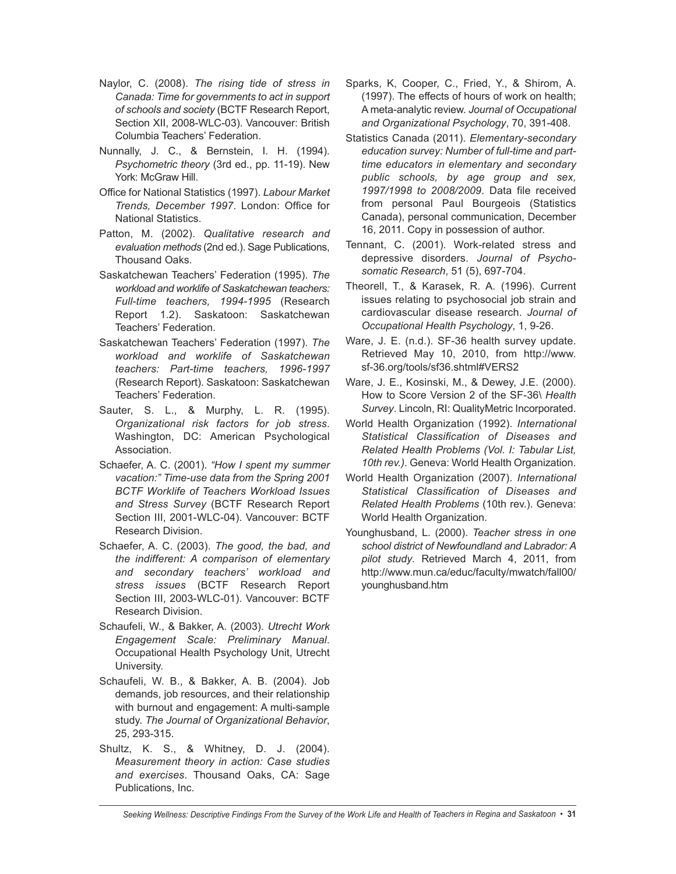- Naylor, C. (2008). *The rising tide of stress in Canada: Time for governments to act in support of schools and society* (BCTF Research Report, Section XII, 2008-WLC-03). Vancouver: British Columbia Teachers' Federation.
- Nunnally, J. C., & Bernstein, I. H. (1994). *Psychometric theory* (3rd ed., pp. 11-19). New York: McGraw Hill.
- Office for National Statistics (1997). *Labour Market Trends, December 1997*. London: Office for National Statistics.
- Patton, M. (2002). *Qualitative research and evaluation methods* (2nd ed.). Sage Publications, Thousand Oaks.
- Saskatchewan Teachers' Federation (1995). *The workload and worklife of Saskatchewan teachers: Full-time teachers, 1994-1995* (Research Report 1.2). Saskatoon: Saskatchewan Teachers' Federation.
- Saskatchewan Teachers' Federation (1997). *The workload and worklife of Saskatchewan teachers: Part-time teachers, 1996-1997* (Research Report). Saskatoon: Saskatchewan Teachers' Federation.
- Sauter, S. L., & Murphy, L. R. (1995). *Organizational risk factors for job stress*. Washington, DC: American Psychological Association.
- Schaefer, A. C. (2001). *"How I spent my summer vacation:" Time-use data from the Spring 2001 BCTF Worklife of Teachers Workload Issues and Stress Survey* (BCTF Research Report Section III, 2001-WLC-04). Vancouver: BCTF Research Division.
- Schaefer, A. C. (2003). *The good, the bad, and the indifferent: A comparison of elementary and secondary teachers' workload and stress issues* (BCTF Research Report Section III, 2003-WLC-01). Vancouver: BCTF Research Division.
- Schaufeli, W., & Bakker, A. (2003). *Utrecht Work Engagement Scale: Preliminary Manual*. Occupational Health Psychology Unit, Utrecht University.
- Schaufeli, W. B., & Bakker, A. B. (2004). Job demands, job resources, and their relationship with burnout and engagement: A multi-sample study. *The Journal of Organizational Behavior*, 25, 293-315.
- Shultz, K. S., & Whitney, D. J. (2004). *Measurement theory in action: Case studies and exercises*. Thousand Oaks, CA: Sage Publications, Inc.
- Sparks, K, Cooper, C., Fried, Y., & Shirom, A. (1997). The effects of hours of work on health; A meta-analytic review. *Journal of Occupational and Organizational Psychology*, 70, 391-408.
- Statistics Canada (2011). *Elementary-secondary education survey: Number of full-time and parttime educators in elementary and secondary public schools, by age group and sex, 1997/1998 to 2008/2009*. Data file received from personal Paul Bourgeois (Statistics Canada), personal communication, December 16, 2011. Copy in possession of author.
- Tennant, C. (2001). Work-related stress and depressive disorders. *Journal of Psychosomatic Research*, 51 (5), 697-704.
- Theorell, T., & Karasek, R. A. (1996). Current issues relating to psychosocial job strain and cardiovascular disease research. *Journal of Occupational Health Psychology*, 1, 9-26.
- Ware, J. E. (n.d.). SF-36 health survey update. Retrieved May 10, 2010, from http://www. sf-36.org/tools/sf36.shtml#VERS2
- Ware, J. E., Kosinski, M., & Dewey, J.E. (2000). How to Score Version 2 of the SF-36\ *Health Survey*. Lincoln, RI: QualityMetric Incorporated.
- World Health Organization (1992). *International Statistical Classification of Diseases and Related Health Problems (Vol. I: Tabular List, 10th rev.)*. Geneva: World Health Organization.
- World Health Organization (2007). *International Statistical Classification of Diseases and Related Health Problems* (10th rev.). Geneva: World Health Organization.
- Younghusband, L. (2000). *Teacher stress in one school district of Newfoundland and Labrador: A pilot study*. Retrieved March 4, 2011, from http://www.mun.ca/educ/faculty/mwatch/fall00/ younghusband.htm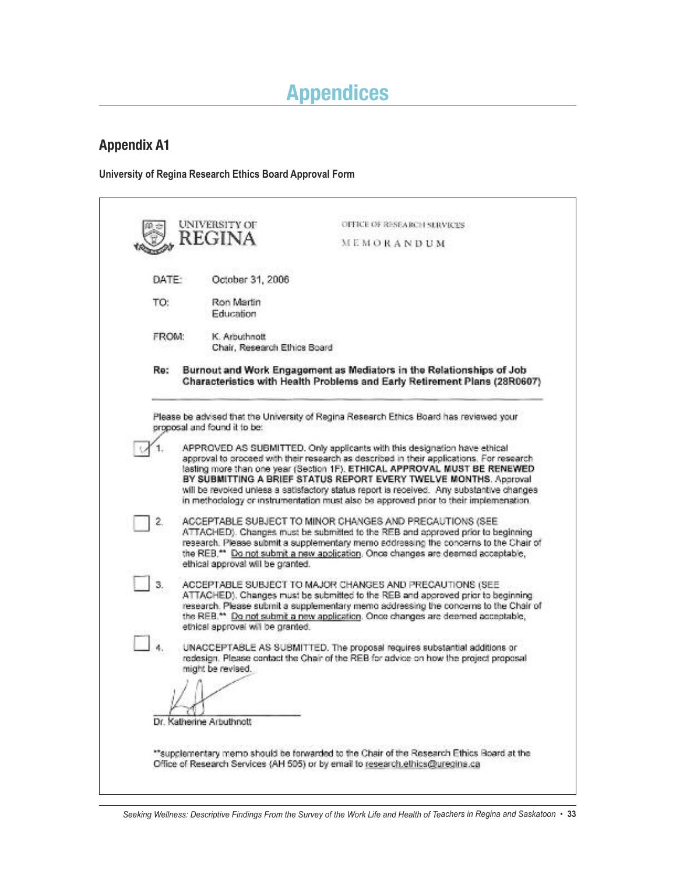# **Appendices**

## **Appendix A1**

**University of Regina Research Ethics Board Approval Form**

|       | REGINA                                        | MEMORANDUM                                                                                                                                                                                                                                                                                                                                                                                                                                                                                                   |
|-------|-----------------------------------------------|--------------------------------------------------------------------------------------------------------------------------------------------------------------------------------------------------------------------------------------------------------------------------------------------------------------------------------------------------------------------------------------------------------------------------------------------------------------------------------------------------------------|
|       |                                               |                                                                                                                                                                                                                                                                                                                                                                                                                                                                                                              |
| DATE: | October 31, 2006                              |                                                                                                                                                                                                                                                                                                                                                                                                                                                                                                              |
| TO:   | Ron Martin<br>Education                       |                                                                                                                                                                                                                                                                                                                                                                                                                                                                                                              |
| FROM: | K. Arbuthnott<br>Chair, Research Ethics Board |                                                                                                                                                                                                                                                                                                                                                                                                                                                                                                              |
| Re:   |                                               | Burnout and Work Engagement as Mediators in the Relationships of Job<br>Characteristics with Health Problems and Early Retirement Plans (28R0607)                                                                                                                                                                                                                                                                                                                                                            |
|       | proposal and found it to be:                  | Please be advised that the University of Regina Research Ethics Board has reviewed your                                                                                                                                                                                                                                                                                                                                                                                                                      |
|       |                                               | APPROVED AS SUBMITTED. Only applicants with this designation have ethical<br>approval to proceed with their research as described in their applications. For research<br>lasting more than one year (Section 1F), ETHICAL APPROVAL MUST BE RENEWED<br>BY SUBMITTING A BRIEF STATUS REPORT EVERY TWELVE MONTHS. Approval<br>will be revoked unless a satisfactory status report is received. Any substantive changes<br>in methodology or instrumentation must also be approved prior to their implemenation. |
| 2.    | ethical approval will be granted.             | ACCEPTABLE SUBJECT TO MINOR CHANGES AND PRECAUTIONS (SEE<br>ATTACHED). Changes must be submitted to the REB and approved prior to beginning<br>research. Please submit a supplementary memo addressing the concerns to the Chair of<br>the REB.** Do not submit a new application. Once changes are deemed acceptable,                                                                                                                                                                                       |
| 3.    | ethical approval will be granted.             | ACCEPTABLE SUBJECT TO MAJOR CHANGES AND PRECAUTIONS (SEE<br>ATTACHED). Changes must be submitted to the REB and approved prior to beginning.<br>research. Please submit a supplementary memo addressing the concerns to the Chair of<br>the REB.** Do not submit a new application. Once changes are deemed acceptable,                                                                                                                                                                                      |
|       | might be revised.                             | UNACCEPTABLE AS SUBMITTED. The proposal requires substantial additions or<br>redesign. Please contact the Chair of the REB for advice on how the project proposal                                                                                                                                                                                                                                                                                                                                            |
|       |                                               |                                                                                                                                                                                                                                                                                                                                                                                                                                                                                                              |
|       | Dr. Katherine Arbuthnott                      |                                                                                                                                                                                                                                                                                                                                                                                                                                                                                                              |
|       |                                               |                                                                                                                                                                                                                                                                                                                                                                                                                                                                                                              |

Seeking Wellness: Descriptive Findings From the Survey of the Work Life and Health of Teachers in Regina and Saskatoon • 33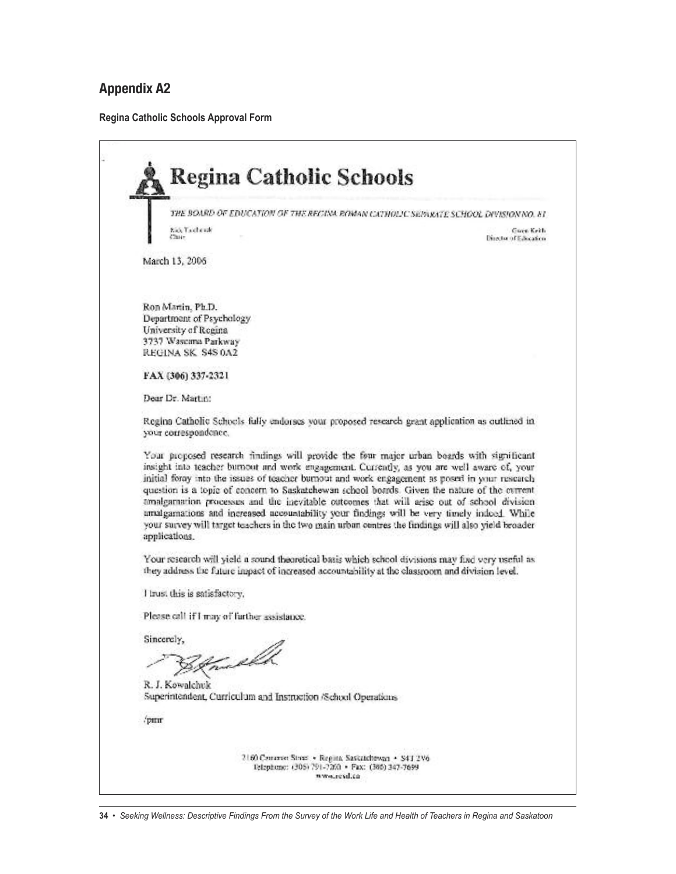# **Appendix A2**

**Regina Catholic Schools Approval Form**

|                                                                                                 | THE BOARD OF EDUCATION OF THE RECINA ROMAN CATHOLIC SEPARATE SCHOOL DIVISION NO. 81                                                                                                                                                                                                                                                                                                                                                                                                                                                                                                                                                                                                            |
|-------------------------------------------------------------------------------------------------|------------------------------------------------------------------------------------------------------------------------------------------------------------------------------------------------------------------------------------------------------------------------------------------------------------------------------------------------------------------------------------------------------------------------------------------------------------------------------------------------------------------------------------------------------------------------------------------------------------------------------------------------------------------------------------------------|
| Kio, Tacherak<br>Chuir.                                                                         | Gues Keith<br>Director of Education                                                                                                                                                                                                                                                                                                                                                                                                                                                                                                                                                                                                                                                            |
| March 13, 2006                                                                                  |                                                                                                                                                                                                                                                                                                                                                                                                                                                                                                                                                                                                                                                                                                |
| Ron Martin, Ph.D.                                                                               |                                                                                                                                                                                                                                                                                                                                                                                                                                                                                                                                                                                                                                                                                                |
| Department of Psychology                                                                        |                                                                                                                                                                                                                                                                                                                                                                                                                                                                                                                                                                                                                                                                                                |
| University of Regina                                                                            |                                                                                                                                                                                                                                                                                                                                                                                                                                                                                                                                                                                                                                                                                                |
| 3737 Wascama Parkway                                                                            |                                                                                                                                                                                                                                                                                                                                                                                                                                                                                                                                                                                                                                                                                                |
| REGINA SK S4S 0A2                                                                               |                                                                                                                                                                                                                                                                                                                                                                                                                                                                                                                                                                                                                                                                                                |
| FAX (306) 337-2321                                                                              |                                                                                                                                                                                                                                                                                                                                                                                                                                                                                                                                                                                                                                                                                                |
| Dear Dr. Martin:                                                                                |                                                                                                                                                                                                                                                                                                                                                                                                                                                                                                                                                                                                                                                                                                |
| your correspondence.                                                                            | Regina Catholic Schools fully endorses your proposed research grant application as outlined in                                                                                                                                                                                                                                                                                                                                                                                                                                                                                                                                                                                                 |
| applications.                                                                                   | Your proposed research findings will provide the four major urban boards with significant<br>insight into teacher burnout and work engagement. Currently, as you are well aware of, your<br>initial foray into the issues of teacher burnout and work engagement as posed in your research<br>question is a topic of concern to Saskatchewan school boards. Given the nature of the current<br>amalgarnation processes and the inevitable outcomes that will arise out of school division<br>amalgamations and increased accountability your findings will be very timely indoed. While<br>your survey will target teachers in the two main urban centres the findings will also yield broader |
| they address the future impact of increased accountability at the classroom and division level. | Your research will yield a sound theoretical basis which school divisions may find very useful as                                                                                                                                                                                                                                                                                                                                                                                                                                                                                                                                                                                              |
| I trust this is satisfactory.                                                                   |                                                                                                                                                                                                                                                                                                                                                                                                                                                                                                                                                                                                                                                                                                |
| Please call if I may of further assistance.                                                     |                                                                                                                                                                                                                                                                                                                                                                                                                                                                                                                                                                                                                                                                                                |
| Sincerely,                                                                                      |                                                                                                                                                                                                                                                                                                                                                                                                                                                                                                                                                                                                                                                                                                |
| Tuello                                                                                          |                                                                                                                                                                                                                                                                                                                                                                                                                                                                                                                                                                                                                                                                                                |
| R. J. Kowalchuk<br>Superintendent, Curriculum and Instruction /School Operations                |                                                                                                                                                                                                                                                                                                                                                                                                                                                                                                                                                                                                                                                                                                |
| /pmr                                                                                            |                                                                                                                                                                                                                                                                                                                                                                                                                                                                                                                                                                                                                                                                                                |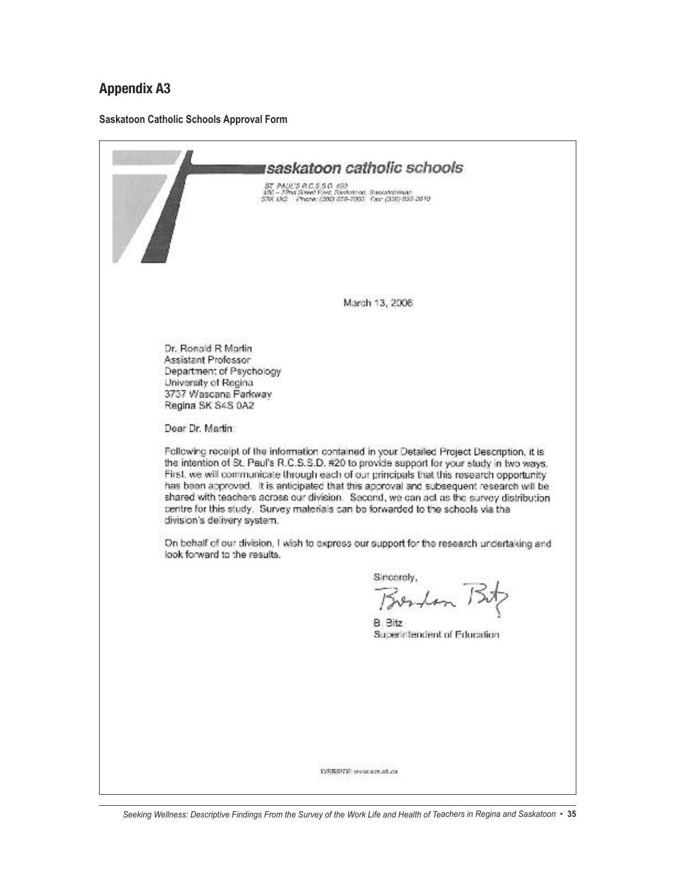### **Appendix A3**

#### **Saskatoon Catholic Schools Approval Form**

tsaskatoon catholic schools ST, PAUL'S R.C.S.S.D. #30<br>190 – J.Pad Simel Ford, Saskatoon, Saskatolinian<br>57K DG – Phone: (200) 059-7003 - Fair (336) 833 2010 March 13, 2006 Dr. Ronald R Martin Assistant Professor Department of Psychology University of Regina 3737 Wascana Parkway Regina SK S4S 0A2 Dear Dr. Martin: Following receipt of the information contained in your Detailed Project Description, it is the intention of St. Paul's R.C.S.S.D. #20 to provide support for your study in two ways. First, we will communicate through each of our principals that this research opportunity has been approved. It is anticipated that this approval and subsequent research will be shared with teachers across our division. Second, we can act as the survey distribution centre for this study. Survey materials can be forwarded to the schools via the division's delivery system. On behalf of our division, I wish to express our support for the research undertaking and look forward to the results. Sincerely, Boston Bitz B. Bitz Superintendent of Education. **USBSITE: www.sce.ak.ca**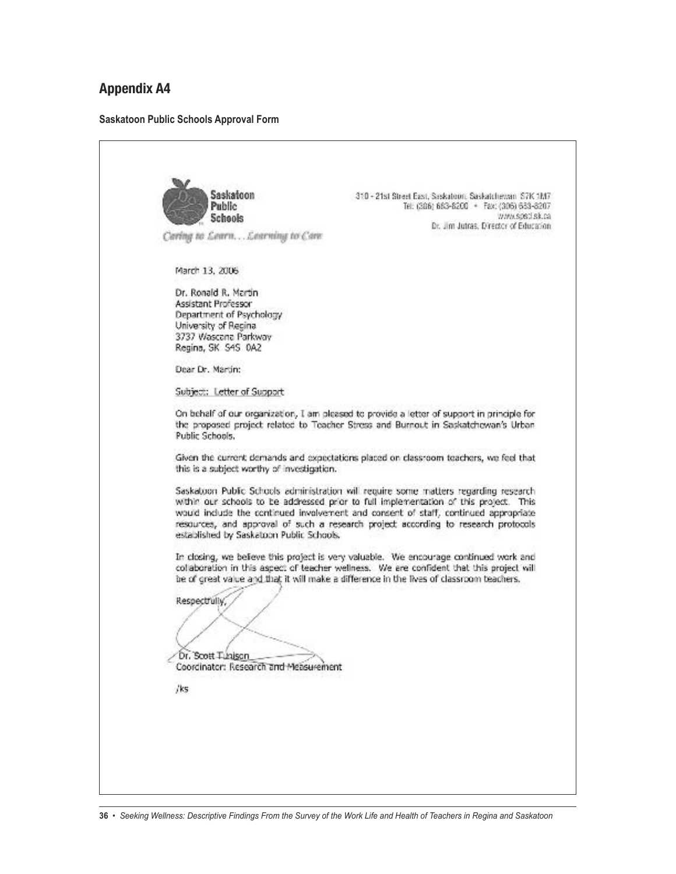### **Appendix A4**

#### **Saskatoon Public Schools Approval Form**

Saskatoon 310 - 21st Street East, Saskatoon: Saskatchewan S7K 1M7 Public Tel: (386) 663-6200 + Fax: (306) 633-8207 www.spsd.sk.ca **Schools** Dr. Jim Jutras, Director of Education Carlog to Learn... Learning to Care March 13, 2006 Dr. Ronald R. Martin Assistant Professor Department of Psychology University of Recinal 3737 Wascana Parkway Regina, SK S4S 0A2 Dear Dr. Martin: Subject: Letter of Support On behalf of our organization, I am pleased to provide a letter of support in principle for the proposed project related to Teacher Stress and Burnout in Saskatchewan's Urban Public Schools. Given the current demands and expectations placed on classroom teachers, we feel that this is a subject worthy of investigation. Saskatoon Public Schools administration will require some matters regarding research within our schools to be addressed prior to full implementation of this project. This would include the continued involvement and consent of staff, continued appropriate resources, and approval of such a research project according to research protocols established by Saskatoon Public Schools. In closing, we believe this project is very valuable. We encourage continued work and collaboration in this aspect of teacher wellness. We are confident that this project will be of great value and that it will make a difference in the lives of classroom teachers. Respectfully, Dr. Scott Tubison Coordinator: Research and Measurement /ks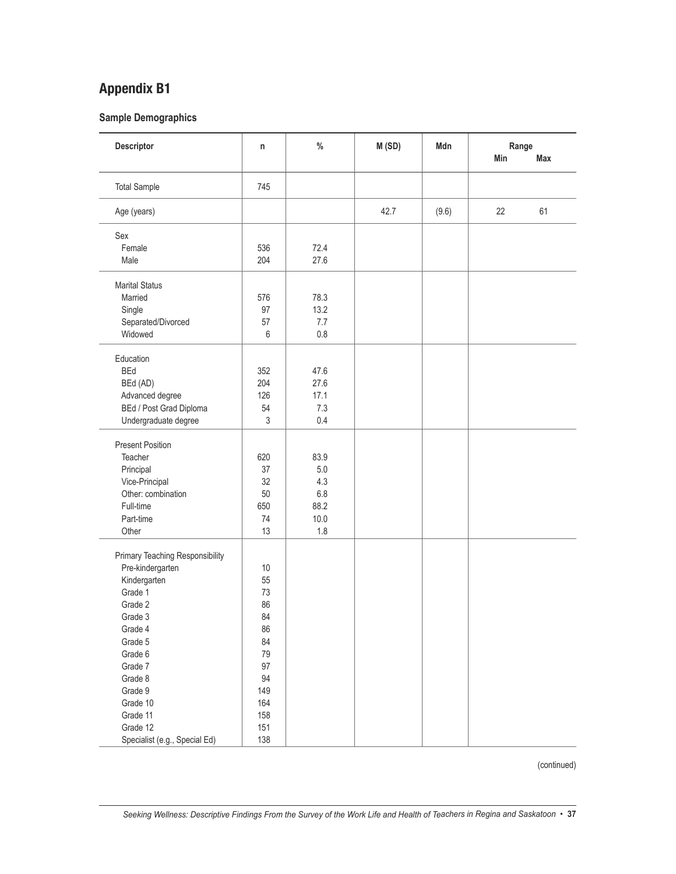**Sample Demographics**

| Descriptor                      | n          | $\%$  | M(SD) | Mdn   | Range<br>Min | Max |
|---------------------------------|------------|-------|-------|-------|--------------|-----|
| <b>Total Sample</b>             | 745        |       |       |       |              |     |
| Age (years)                     |            |       | 42.7  | (9.6) | 22           | 61  |
| Sex                             |            |       |       |       |              |     |
| Female                          | 536        | 72.4  |       |       |              |     |
| Male                            | 204        | 27.6  |       |       |              |     |
| <b>Marital Status</b>           |            |       |       |       |              |     |
| Married                         | 576        | 78.3  |       |       |              |     |
| Single                          | 97         | 13.2  |       |       |              |     |
| Separated/Divorced              | 57         | 7.7   |       |       |              |     |
| Widowed                         | 6          | 0.8   |       |       |              |     |
| Education                       |            |       |       |       |              |     |
| <b>BEd</b>                      | 352        | 47.6  |       |       |              |     |
| BEd (AD)                        | 204        | 27.6  |       |       |              |     |
| Advanced degree                 | 126        | 17.1  |       |       |              |     |
| BEd / Post Grad Diploma         | 54         | 7.3   |       |       |              |     |
| Undergraduate degree            | $\sqrt{3}$ | 0.4   |       |       |              |     |
|                                 |            |       |       |       |              |     |
| <b>Present Position</b>         |            |       |       |       |              |     |
| Teacher                         | 620        | 83.9  |       |       |              |     |
| Principal                       | 37         | $5.0$ |       |       |              |     |
| Vice-Principal                  | 32         | 4.3   |       |       |              |     |
| Other: combination              | 50         | 6.8   |       |       |              |     |
| Full-time                       | 650        | 88.2  |       |       |              |     |
| Part-time                       | 74         | 10.0  |       |       |              |     |
| Other                           | 13         | 1.8   |       |       |              |     |
| Primary Teaching Responsibility |            |       |       |       |              |     |
| Pre-kindergarten                | 10         |       |       |       |              |     |
| Kindergarten                    | 55         |       |       |       |              |     |
| Grade 1                         | 73         |       |       |       |              |     |
| Grade 2                         | 86         |       |       |       |              |     |
| Grade 3                         | 84         |       |       |       |              |     |
| Grade 4                         | 86         |       |       |       |              |     |
| Grade 5                         | 84         |       |       |       |              |     |
| Grade 6                         | 79         |       |       |       |              |     |
| Grade 7                         | 97         |       |       |       |              |     |
| Grade 8                         | 94         |       |       |       |              |     |
| Grade 9                         | 149        |       |       |       |              |     |
| Grade 10                        | 164        |       |       |       |              |     |
| Grade 11                        | 158        |       |       |       |              |     |
| Grade 12                        | 151        |       |       |       |              |     |
| Specialist (e.g., Special Ed)   | 138        |       |       |       |              |     |

(continued)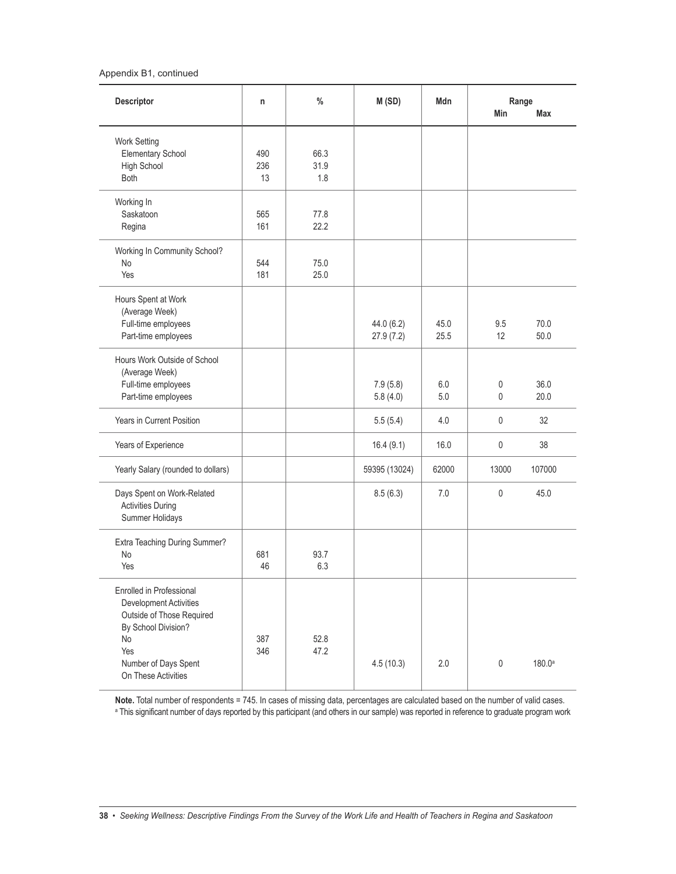#### Appendix B1, continued

| Descriptor                                                                                                                                                         | n                | $\frac{0}{0}$       | M(SD)                   | Mdn          | Range<br>Min | Max                |
|--------------------------------------------------------------------------------------------------------------------------------------------------------------------|------------------|---------------------|-------------------------|--------------|--------------|--------------------|
| Work Setting<br><b>Elementary School</b><br>High School<br><b>Both</b>                                                                                             | 490<br>236<br>13 | 66.3<br>31.9<br>1.8 |                         |              |              |                    |
| Working In<br>Saskatoon<br>Regina                                                                                                                                  | 565<br>161       | 77.8<br>22.2        |                         |              |              |                    |
| Working In Community School?<br>No<br>Yes                                                                                                                          | 544<br>181       | 75.0<br>25.0        |                         |              |              |                    |
| Hours Spent at Work<br>(Average Week)<br>Full-time employees<br>Part-time employees                                                                                |                  |                     | 44.0 (6.2)<br>27.9(7.2) | 45.0<br>25.5 | 9.5<br>12    | 70.0<br>50.0       |
| Hours Work Outside of School<br>(Average Week)<br>Full-time employees<br>Part-time employees                                                                       |                  |                     | 7.9(5.8)<br>5.8(4.0)    | 6.0<br>5.0   | 0<br>0       | 36.0<br>20.0       |
| Years in Current Position                                                                                                                                          |                  |                     | 5.5(5.4)                | 4.0          | 0            | 32                 |
| Years of Experience                                                                                                                                                |                  |                     | 16.4(9.1)               | 16.0         | 0            | 38                 |
| Yearly Salary (rounded to dollars)                                                                                                                                 |                  |                     | 59395 (13024)           | 62000        | 13000        | 107000             |
| Days Spent on Work-Related<br><b>Activities During</b><br>Summer Holidays                                                                                          |                  |                     | 8.5(6.3)                | 7.0          | 0            | 45.0               |
| Extra Teaching During Summer?<br>No<br>Yes                                                                                                                         | 681<br>46        | 93.7<br>6.3         |                         |              |              |                    |
| Enrolled in Professional<br>Development Activities<br>Outside of Those Required<br>By School Division?<br>No<br>Yes<br>Number of Days Spent<br>On These Activities | 387<br>346       | 52.8<br>47.2        | 4.5(10.3)               | 2.0          | $\pmb{0}$    | 180.0 <sup>a</sup> |

**Note.** Total number of respondents = 745. In cases of missing data, percentages are calculated based on the number of valid cases. <sup>a</sup> This significant number of days reported by this participant (and others in our sample) was reported in reference to graduate program work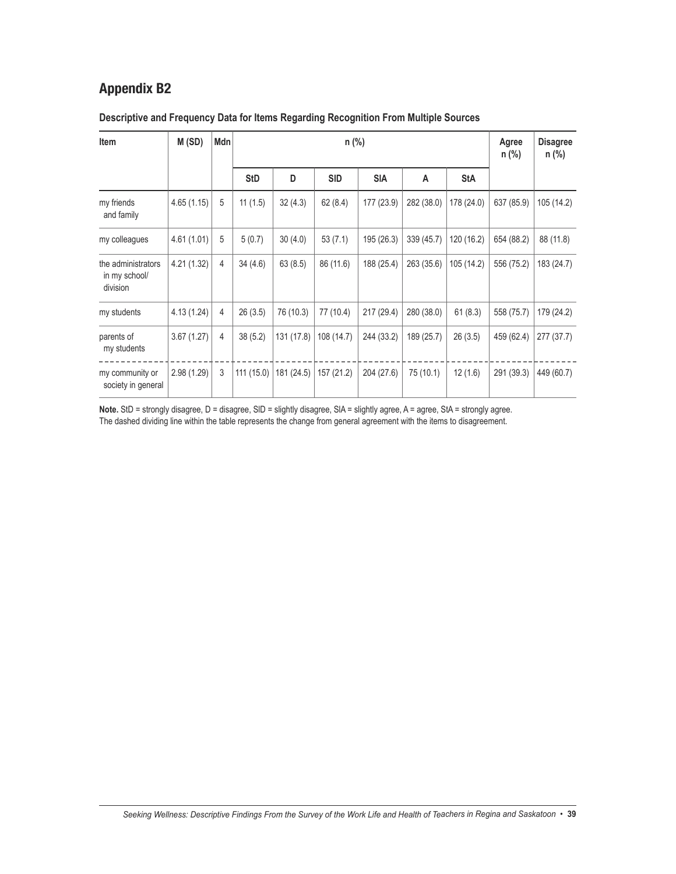| Item                                            | M(SD)       | Mdn |            |            |            | Agree<br>$n$ (%) | <b>Disagree</b><br>$n$ (%) |            |            |            |
|-------------------------------------------------|-------------|-----|------------|------------|------------|------------------|----------------------------|------------|------------|------------|
|                                                 |             |     | <b>StD</b> | D          | <b>SID</b> | <b>SIA</b>       | A                          | <b>StA</b> |            |            |
| my friends<br>and family                        | 4.65(1.15)  | 5   | 11(1.5)    | 32(4.3)    | 62(8.4)    | 177 (23.9)       | 282 (38.0)                 | 178 (24.0) | 637 (85.9) | 105 (14.2) |
| my colleagues                                   | 4.61(1.01)  | 5   | 5(0.7)     | 30(4.0)    | 53(7.1)    | 195 (26.3)       | 339 (45.7)                 | 120 (16.2) | 654 (88.2) | 88 (11.8)  |
| the administrators<br>in my school/<br>division | 4.21 (1.32) | 4   | 34(4.6)    | 63(8.5)    | 86 (11.6)  | 188 (25.4)       | 263 (35.6)                 | 105 (14.2) | 556 (75.2) | 183 (24.7) |
| my students                                     | 4.13(1.24)  | 4   | 26(3.5)    | 76 (10.3)  | 77 (10.4)  | 217 (29.4)       | 280 (38.0)                 | 61(8.3)    | 558 (75.7) | 179 (24.2) |
| parents of<br>my students                       | 3.67(1.27)  | 4   | 38(5.2)    | 131 (17.8) | 108 (14.7) | 244 (33.2)       | 189 (25.7)                 | 26(3.5)    | 459 (62.4) | 277 (37.7) |
| my community or<br>society in general           | 2.98(1.29)  | 3   | 111(15.0)  | 181 (24.5) | 157 (21.2) | 204 (27.6)       | 75 (10.1)                  | 12(1.6)    | 291 (39.3) | 449 (60.7) |

### **Descriptive and Frequency Data for Items Regarding Recognition From Multiple Sources**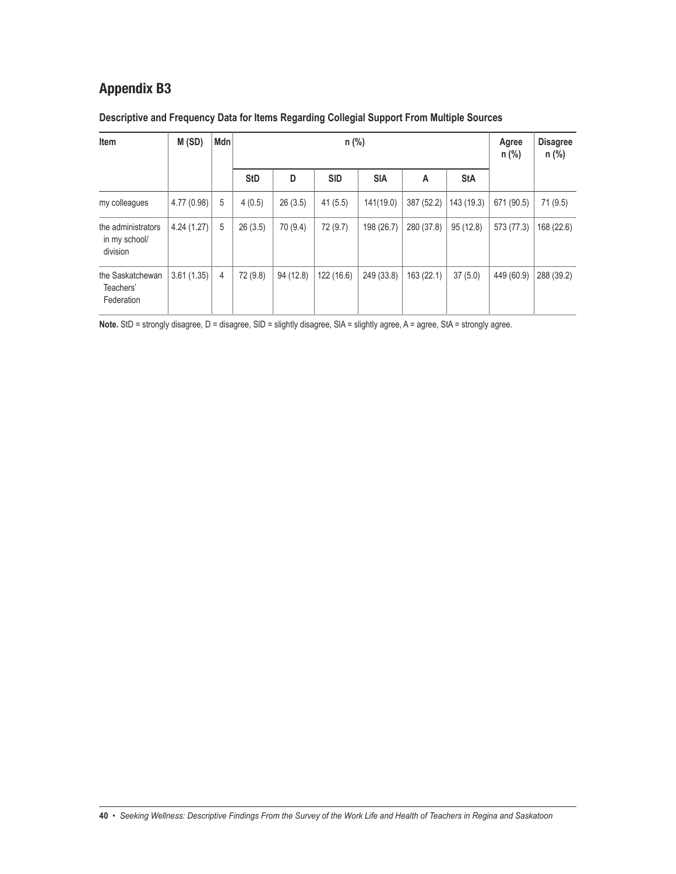| Item                                            | M(SD)      | Mdn |            |           | Agree<br>n (%) | <b>Disagree</b><br>$n$ (%) |            |            |            |            |
|-------------------------------------------------|------------|-----|------------|-----------|----------------|----------------------------|------------|------------|------------|------------|
|                                                 |            |     | <b>StD</b> | D         | <b>SID</b>     | <b>SIA</b>                 | A          | <b>StA</b> |            |            |
| my colleagues                                   | 4.77(0.98) | 5   | 4(0.5)     | 26(3.5)   | 41(5.5)        | 141(19.0)                  | 387 (52.2) | 143 (19.3) | 671 (90.5) | 71 (9.5)   |
| the administrators<br>in my school/<br>division | 4.24(1.27) | 5   | 26(3.5)    | 70 (9.4)  | 72 (9.7)       | 198 (26.7)                 | 280 (37.8) | 95(12.8)   | 573 (77.3) | 168 (22.6) |
| the Saskatchewan<br>Teachers'<br>Federation     | 3.61(1.35) | 4   | 72 (9.8)   | 94 (12.8) | 122 (16.6)     | 249 (33.8)                 | 163 (22.1) | 37(5.0)    | 449 (60.9) | 288 (39.2) |

### **Descriptive and Frequency Data for Items Regarding Collegial Support From Multiple Sources**

Note. StD = strongly disagree, D = disagree, SID = slightly disagree, SIA = slightly agree, A = agree, StA = strongly agree.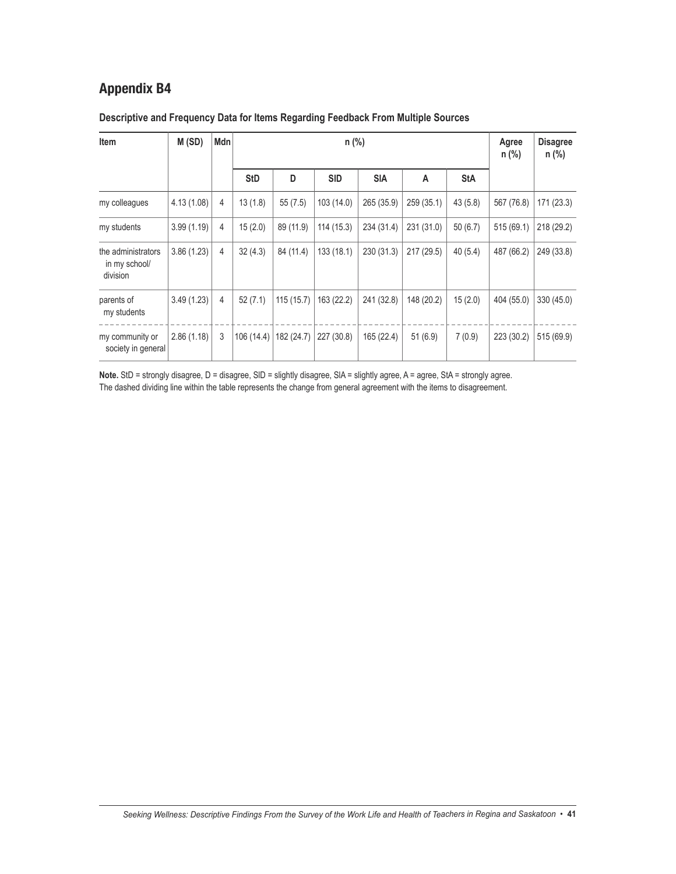| Item                                            | M(SD)       | Mdn |            |            | Agree<br>n (%) | <b>Disagree</b><br>n (%) |            |            |            |            |
|-------------------------------------------------|-------------|-----|------------|------------|----------------|--------------------------|------------|------------|------------|------------|
|                                                 |             |     | <b>StD</b> | D          | <b>SID</b>     | <b>SIA</b>               | A          | <b>StA</b> |            |            |
| my colleagues                                   | 4.13 (1.08) | 4   | 13(1.8)    | 55(7.5)    | 103(14.0)      | 265 (35.9)               | 259 (35.1) | 43(5.8)    | 567 (76.8) | 171 (23.3) |
| my students                                     | 3.99(1.19)  | 4   | 15(2.0)    | 89 (11.9)  | 114 (15.3)     | 234 (31.4)               | 231 (31.0) | 50(6.7)    | 515 (69.1) | 218 (29.2) |
| the administrators<br>in my school/<br>division | 3.86(1.23)  | 4   | 32(4.3)    | 84 (11.4)  | 133 (18.1)     | 230 (31.3)               | 217 (29.5) | 40(5.4)    | 487 (66.2) | 249 (33.8) |
| parents of<br>my students                       | 3.49(1.23)  | 4   | 52(7.1)    | 115(15.7)  | 163 (22.2)     | 241 (32.8)               | 148 (20.2) | 15(2.0)    | 404 (55.0) | 330 (45.0) |
| my community or<br>society in general           | 2.86(1.18)  | 3   | 106 (14.4) | 182 (24.7) | 227 (30.8)     | 165 (22.4)               | 51(6.9)    | 7(0.9)     | 223 (30.2) | 515 (69.9) |

### **Descriptive and Frequency Data for Items Regarding Feedback From Multiple Sources**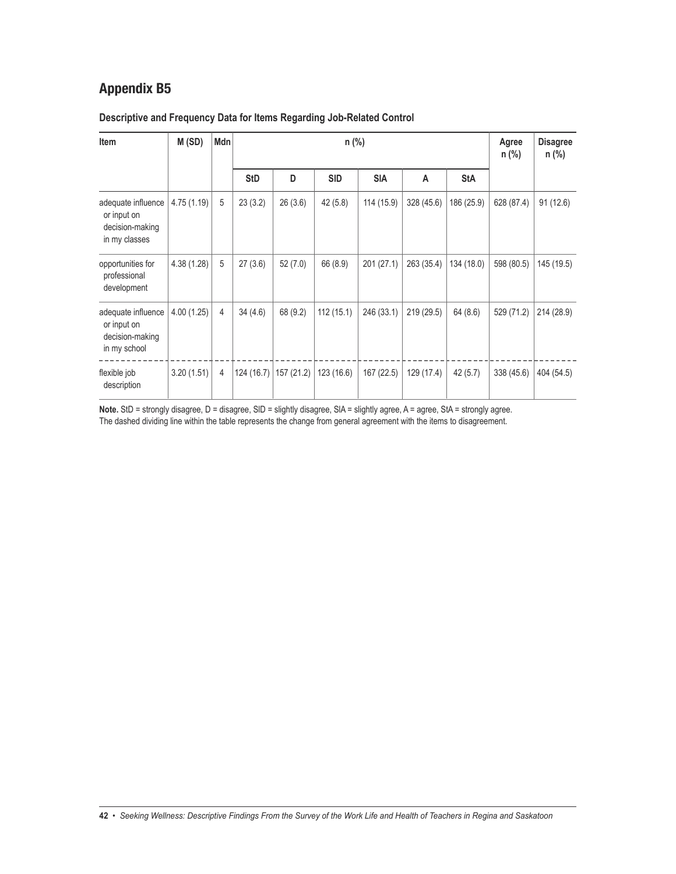### **Descriptive and Frequency Data for Items Regarding Job-Related Control**

| Item                                                                  | M(SD)       | Mdn            |            |           |            | Agree<br>$n$ (%) | <b>Disagree</b><br>$n$ (%) |            |            |            |
|-----------------------------------------------------------------------|-------------|----------------|------------|-----------|------------|------------------|----------------------------|------------|------------|------------|
|                                                                       |             |                | <b>StD</b> | D         | <b>SID</b> | <b>SIA</b>       | A                          | <b>StA</b> |            |            |
| adequate influence<br>or input on<br>decision-making<br>in my classes | 4.75(1.19)  | 5              | 23(3.2)    | 26(3.6)   | 42 (5.8)   | 114 (15.9)       | 328 (45.6)                 | 186 (25.9) | 628 (87.4) | 91(12.6)   |
| opportunities for<br>professional<br>development                      | 4.38 (1.28) | 5              | 27(3.6)    | 52(7.0)   | 66 (8.9)   | 201 (27.1)       | 263 (35.4)                 | 134 (18.0) | 598 (80.5) | 145 (19.5) |
| adequate influence<br>or input on<br>decision-making<br>in my school  | 4.00(1.25)  | $\overline{4}$ | 34(4.6)    | 68 (9.2)  | 112(15.1)  | 246 (33.1)       | 219 (29.5)                 | 64 (8.6)   | 529 (71.2) | 214 (28.9) |
| flexible job<br>description                                           | 3.20(1.51)  | 4              | 124 (16.7) | 157(21.2) | 123(16.6)  | 167 (22.5)       | 129 (17.4)                 | 42(5.7)    | 338 (45.6) | 404 (54.5) |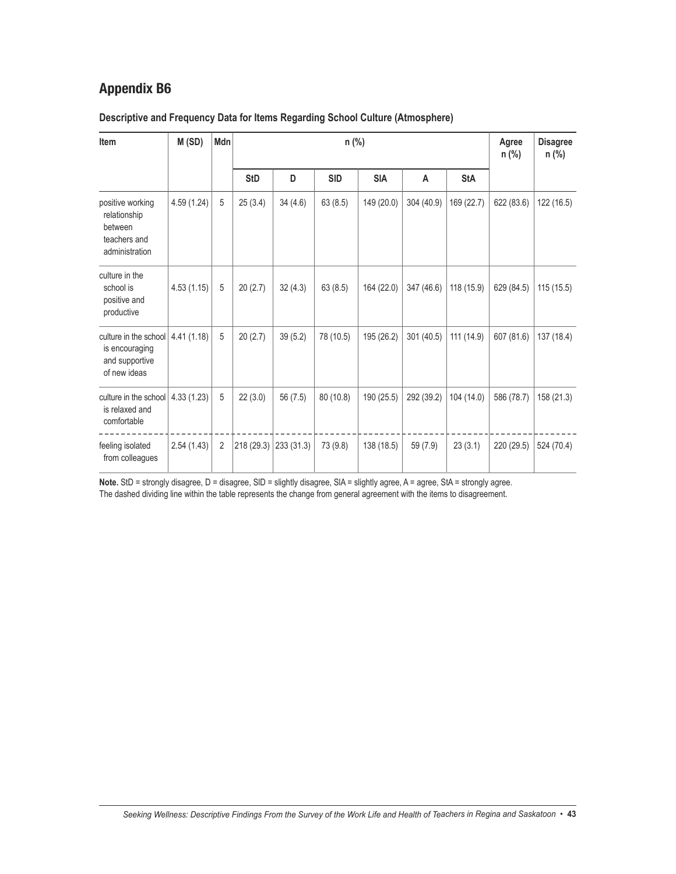| Item                                                                                     | M(SD)       | Mdn |            |           |            | Agree<br>$n$ (%) | <b>Disagree</b><br>n (%) |            |            |            |
|------------------------------------------------------------------------------------------|-------------|-----|------------|-----------|------------|------------------|--------------------------|------------|------------|------------|
|                                                                                          |             |     | <b>StD</b> | D         | <b>SID</b> | <b>SIA</b>       | A                        | <b>StA</b> |            |            |
| positive working<br>relationship<br>between<br>teachers and<br>administration            | 4.59 (1.24) | 5   | 25(3.4)    | 34(4.6)   | 63(8.5)    | 149 (20.0)       | 304 (40.9)               | 169 (22.7) | 622 (83.6) | 122 (16.5) |
| culture in the<br>school is<br>positive and<br>productive                                | 4.53(1.15)  | 5   | 20(2.7)    | 32(4.3)   | 63(8.5)    | 164 (22.0)       | 347 (46.6)               | 118 (15.9) | 629 (84.5) | 115(15.5)  |
| culture in the school $ 4.41(1.18) $<br>is encouraging<br>and supportive<br>of new ideas |             | 5   | 20(2.7)    | 39(5.2)   | 78 (10.5)  | 195 (26.2)       | 301(40.5)                | 111 (14.9) | 607 (81.6) | 137 (18.4) |
| culture in the school<br>is relaxed and<br>comfortable                                   | 4.33(1.23)  | 5   | 22(3.0)    | 56 (7.5)  | 80(10.8)   | 190 (25.5)       | 292 (39.2)               | 104 (14.0) | 586 (78.7) | 158 (21.3) |
| feeling isolated<br>from colleagues                                                      | 2.54(1.43)  | 2   | 218 (29.3) | 233(31.3) | 73 (9.8)   | 138 (18.5)       | 59 (7.9)                 | 23(3.1)    | 220 (29.5) | 524 (70.4) |

### **Descriptive and Frequency Data for Items Regarding School Culture (Atmosphere)**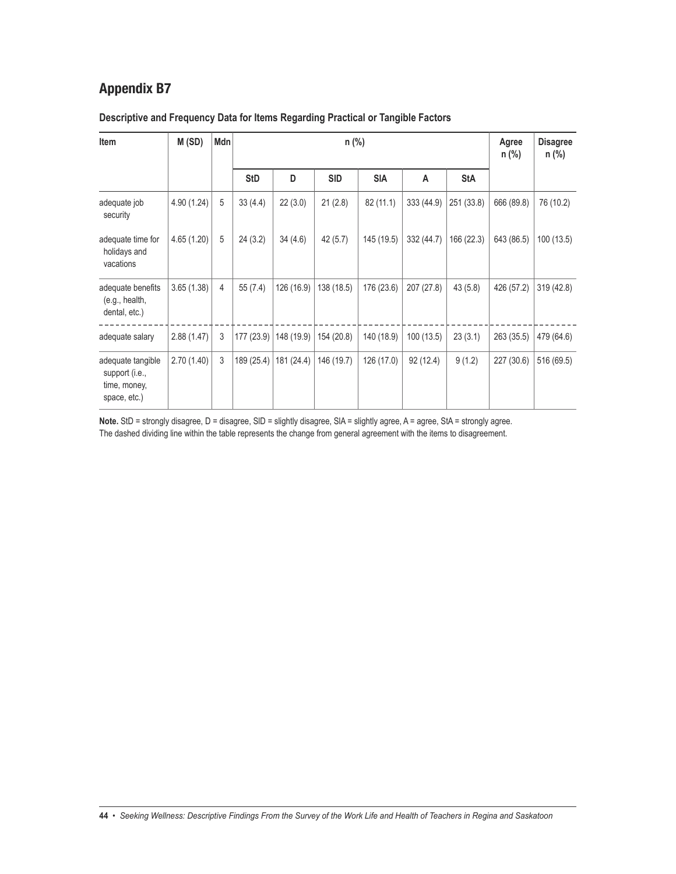| Item                                                                | M(SD)       | Mdn |            |            |            | Agree<br>$n$ (%) | <b>Disagree</b><br>$n$ (%) |            |            |            |
|---------------------------------------------------------------------|-------------|-----|------------|------------|------------|------------------|----------------------------|------------|------------|------------|
|                                                                     |             |     | <b>StD</b> | D          | <b>SID</b> | <b>SIA</b>       | A                          | <b>StA</b> |            |            |
| adequate job<br>security                                            | 4.90 (1.24) | 5   | 33(4.4)    | 22(3.0)    | 21(2.8)    | 82 (11.1)        | 333 (44.9)                 | 251 (33.8) | 666 (89.8) | 76 (10.2)  |
| adequate time for<br>holidays and<br>vacations                      | 4.65 (1.20) | 5   | 24(3.2)    | 34(4.6)    | 42(5.7)    | 145 (19.5)       | 332 (44.7)                 | 166 (22.3) | 643 (86.5) | 100(13.5)  |
| adequate benefits<br>(e.g., health,<br>dental, etc.)                | 3.65(1.38)  | 4   | 55(7.4)    | 126 (16.9) | 138 (18.5) | 176 (23.6)       | 207 (27.8)                 | 43(5.8)    | 426 (57.2) | 319 (42.8) |
| adequate salary                                                     | 2.88(1.47)  | 3   | 177 (23.9) | 148 (19.9) | 154 (20.8) | 140 (18.9)       | 100 (13.5)                 | 23(3.1)    | 263 (35.5) | 479 (64.6) |
| adequate tangible<br>support (i.e.,<br>time, money,<br>space, etc.) | 2.70(1.40)  | 3   | 189 (25.4) | 181 (24.4) | 146 (19.7) | 126 (17.0)       | 92 (12.4)                  | 9(1.2)     | 227 (30.6) | 516 (69.5) |

### **Descriptive and Frequency Data for Items Regarding Practical or Tangible Factors**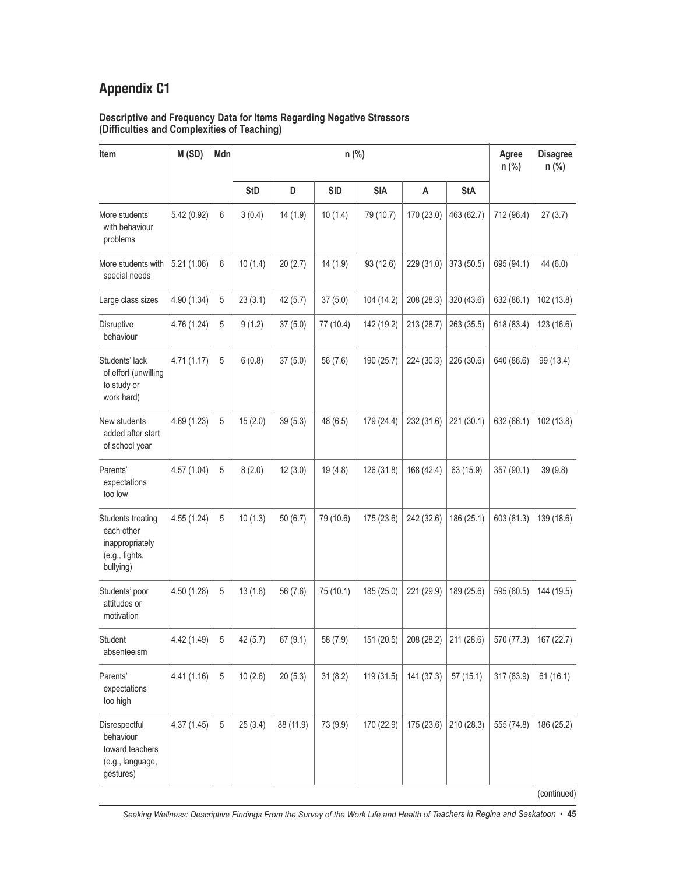#### **Descriptive and Frequency Data for Items Regarding Negative Stressors (Difficulties and Complexities of Teaching)**

| Item                                                                              | M (SD)      | Mdn            |            |           |            | Agree<br>n (%) | <b>Disagree</b><br>n (%) |            |            |            |
|-----------------------------------------------------------------------------------|-------------|----------------|------------|-----------|------------|----------------|--------------------------|------------|------------|------------|
|                                                                                   |             |                | <b>StD</b> | D         | <b>SID</b> | <b>SIA</b>     | A                        | <b>StA</b> |            |            |
| More students<br>with behaviour<br>problems                                       | 5.42 (0.92) | 6              | 3(0.4)     | 14(1.9)   | 10(1.4)    | 79 (10.7)      | 170 (23.0)               | 463 (62.7) | 712 (96.4) | 27(3.7)    |
| More students with<br>special needs                                               | 5.21(1.06)  | 6              | 10(1.4)    | 20(2.7)   | 14(1.9)    | 93 (12.6)      | 229 (31.0)               | 373 (50.5) | 695 (94.1) | 44 (6.0)   |
| Large class sizes                                                                 | 4.90 (1.34) | 5              | 23(3.1)    | 42(5.7)   | 37(5.0)    | 104 (14.2)     | 208 (28.3)               | 320 (43.6) | 632 (86.1) | 102 (13.8) |
| Disruptive<br>behaviour                                                           | 4.76 (1.24) | 5              | 9(1.2)     | 37(5.0)   | 77 (10.4)  | 142 (19.2)     | 213 (28.7)               | 263 (35.5) | 618 (83.4) | 123 (16.6) |
| Students' lack<br>of effort (unwilling<br>to study or<br>work hard)               | 4.71(1.17)  | 5              | 6(0.8)     | 37(5.0)   | 56 (7.6)   | 190 (25.7)     | 224 (30.3)               | 226 (30.6) | 640 (86.6) | 99 (13.4)  |
| New students<br>added after start<br>of school year                               | 4.69 (1.23) | 5              | 15(2.0)    | 39(5.3)   | 48 (6.5)   | 179 (24.4)     | 232 (31.6)               | 221 (30.1) | 632 (86.1) | 102 (13.8) |
| Parents'<br>expectations<br>too low                                               | 4.57(1.04)  | 5              | 8(2.0)     | 12(3.0)   | 19(4.8)    | 126 (31.8)     | 168 (42.4)               | 63 (15.9)  | 357 (90.1) | 39 (9.8)   |
| Students treating<br>each other<br>inappropriately<br>(e.g., fights,<br>bullying) | 4.55 (1.24) | 5              | 10(1.3)    | 50(6.7)   | 79 (10.6)  | 175 (23.6)     | 242 (32.6)               | 186 (25.1) | 603 (81.3) | 139 (18.6) |
| Students' poor<br>attitudes or<br>motivation                                      | 4.50 (1.28) | 5              | 13(1.8)    | 56 (7.6)  | 75 (10.1)  | 185 (25.0)     | 221 (29.9)               | 189 (25.6) | 595 (80.5) | 144 (19.5) |
| Student<br>absenteeism                                                            | 4.42 (1.49) | 5 <sup>5</sup> | 42(5.7)    | 67(9.1)   | 58 (7.9)   | 151 (20.5)     | 208 (28.2)               | 211 (28.6) | 570 (77.3) | 167 (22.7) |
| Parents'<br>expectations<br>too high                                              | 4.41(1.16)  | 5              | 10(2.6)    | 20(5.3)   | 31(8.2)    | 119 (31.5)     | 141 (37.3)               | 57(15.1)   | 317 (83.9) | 61(16.1)   |
| Disrespectful<br>behaviour<br>toward teachers<br>(e.g., language,<br>gestures)    | 4.37(1.45)  | 5              | 25(3.4)    | 88 (11.9) | 73 (9.9)   | 170 (22.9)     | 175 (23.6)               | 210 (28.3) | 555 (74.8) | 186 (25.2) |

(continued)

Seeking Wellness: Descriptive Findings From the Survey of the Work Life and Health of Teachers in Regina and Saskatoon • 45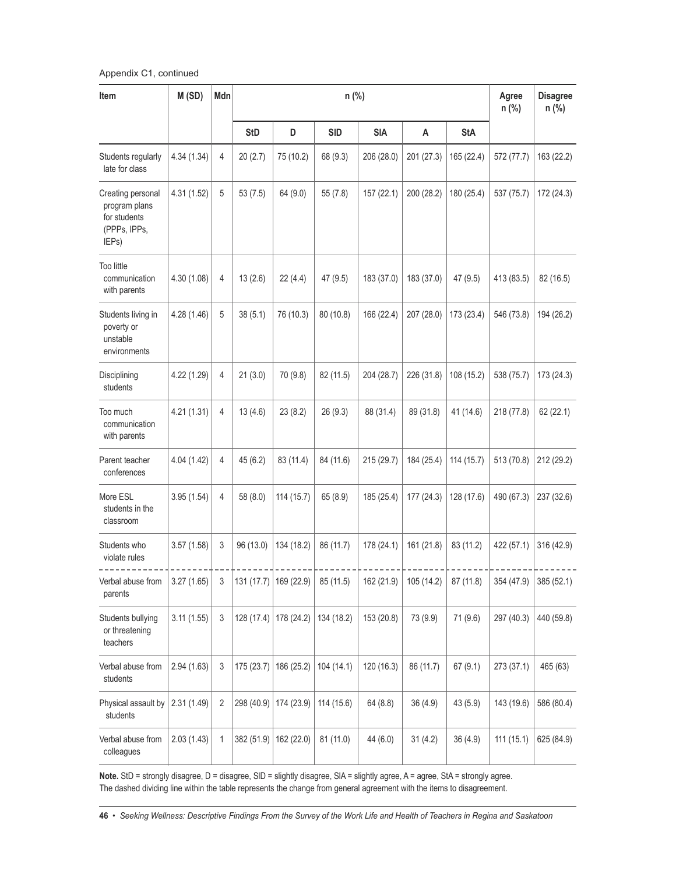Appendix C1, continued

| Item                                                                        | M(SD)       | Mdn |            |                         |            | Agree<br>$n$ (%) | <b>Disagree</b><br>$n$ (%) |            |            |            |
|-----------------------------------------------------------------------------|-------------|-----|------------|-------------------------|------------|------------------|----------------------------|------------|------------|------------|
|                                                                             |             |     | <b>StD</b> | D                       | <b>SID</b> | <b>SIA</b>       | A                          | <b>StA</b> |            |            |
| Students regularly<br>late for class                                        | 4.34 (1.34) | 4   | 20(2.7)    | 75 (10.2)               | 68 (9.3)   | 206 (28.0)       | 201 (27.3)                 | 165 (22.4) | 572 (77.7) | 163 (22.2) |
| Creating personal<br>program plans<br>for students<br>(PPPs, IPPs,<br>IEPs) | 4.31 (1.52) | 5   | 53(7.5)    | 64 (9.0)                | 55(7.8)    | 157(22.1)        | 200 (28.2)                 | 180 (25.4) | 537 (75.7) | 172 (24.3) |
| <b>Too little</b><br>communication<br>with parents                          | 4.30 (1.08) | 4   | 13(2.6)    | 22(4.4)                 | 47 (9.5)   | 183 (37.0)       | 183 (37.0)                 | 47 (9.5)   | 413 (83.5) | 82 (16.5)  |
| Students living in<br>poverty or<br>unstable<br>environments                | 4.28 (1.46) | 5   | 38(5.1)    | 76 (10.3)               | 80 (10.8)  | 166 (22.4)       | 207 (28.0)                 | 173 (23.4) | 546 (73.8) | 194 (26.2) |
| Disciplining<br>students                                                    | 4.22 (1.29) | 4   | 21(3.0)    | 70 (9.8)                | 82 (11.5)  | 204 (28.7)       | 226 (31.8)                 | 108 (15.2) | 538 (75.7) | 173 (24.3) |
| Too much<br>communication<br>with parents                                   | 4.21(1.31)  | 4   | 13(4.6)    | 23(8.2)                 | 26(9.3)    | 88 (31.4)        | 89 (31.8)                  | 41 (14.6)  | 218 (77.8) | 62 (22.1)  |
| Parent teacher<br>conferences                                               | 4.04 (1.42) | 4   | 45(6.2)    | 83 (11.4)               | 84 (11.6)  | 215 (29.7)       | 184 (25.4)                 | 114 (15.7) | 513 (70.8) | 212 (29.2) |
| More ESL<br>students in the<br>classroom                                    | 3.95(1.54)  | 4   | 58 (8.0)   | 114 (15.7)              | 65 (8.9)   | 185 (25.4)       | 177 (24.3)                 | 128 (17.6) | 490 (67.3) | 237 (32.6) |
| Students who<br>violate rules                                               | 3.57(1.58)  | 3   | 96 (13.0)  | 134 (18.2)              | 86 (11.7)  | 178 (24.1)       | 161 (21.8)                 | 83 (11.2)  | 422 (57.1) | 316 (42.9) |
| Verbal abuse from<br>parents                                                | 3.27(1.65)  | 3   |            | 131 (17.7)   169 (22.9) | 85 (11.5)  | 162 (21.9)       | 105 (14.2)                 | 87 (11.8)  | 354 (47.9) | 385 (52.1) |
| Students bullying<br>or threatening<br>teachers                             | 3.11(1.55)  | 3   | 128 (17.4) | 178 (24.2)              | 134 (18.2) | 153 (20.8)       | 73 (9.9)                   | 71 (9.6)   | 297 (40.3) | 440 (59.8) |
| Verbal abuse from<br>students                                               | 2.94(1.63)  | 3   | 175(23.7)  | 186 (25.2)              | 104 (14.1) | 120(16.3)        | 86 (11.7)                  | 67(9.1)    | 273 (37.1) | 465 (63)   |
| Physical assault by<br>students                                             | 2.31 (1.49) | 2   | 298 (40.9) | 174 (23.9)              | 114 (15.6) | 64(8.8)          | 36(4.9)                    | 43 (5.9)   | 143 (19.6) | 586 (80.4) |
| Verbal abuse from<br>colleagues                                             | 2.03(1.43)  | 1   | 382 (51.9) | 162 (22.0)              | 81 (11.0)  | 44 (6.0)         | 31(4.2)                    | 36 (4.9)   | 111(15.1)  | 625 (84.9) |

Note. StD = strongly disagree, D = disagree, SID = slightly disagree, SIA = slightly agree, A = agree, StA = strongly agree. The dashed dividing line within the table represents the change from general agreement with the items to disagreement.

46 • Seeking Wellness: Descriptive Findings From the Survey of the Work Life and Health of Teachers in Regina and Saskatoon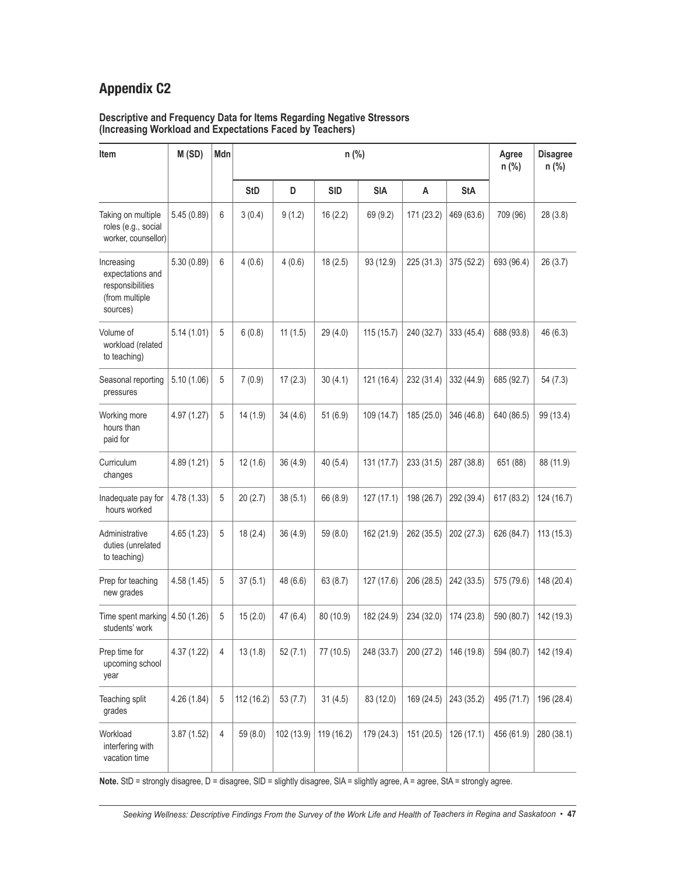#### **Descriptive and Frequency Data for Items Regarding Negative Stressors (Increasing Workload and Expectations Faced by Teachers)**

| Item                                                                             | M(SD)       | Mdn            |            |            |            | Agree<br>n (%) | <b>Disagree</b><br>n (%) |            |            |            |
|----------------------------------------------------------------------------------|-------------|----------------|------------|------------|------------|----------------|--------------------------|------------|------------|------------|
|                                                                                  |             |                | <b>StD</b> | D          | <b>SID</b> | <b>SIA</b>     | A                        | <b>StA</b> |            |            |
| Taking on multiple<br>roles (e.g., social<br>worker, counsellor)                 | 5.45(0.89)  | 6              | 3(0.4)     | 9(1.2)     | 16(2.2)    | 69 (9.2)       | 171 (23.2)               | 469 (63.6) | 709 (96)   | 28 (3.8)   |
| Increasing<br>expectations and<br>responsibilities<br>(from multiple<br>sources) | 5.30(0.89)  | 6              | 4(0.6)     | 4(0.6)     | 18(2.5)    | 93 (12.9)      | 225 (31.3)               | 375 (52.2) | 693 (96.4) | 26(3.7)    |
| Volume of<br>workload (related<br>to teaching)                                   | 5.14(1.01)  | 5              | 6(0.8)     | 11(1.5)    | 29 (4.0)   | 115(15.7)      | 240 (32.7)               | 333 (45.4) | 688 (93.8) | 46 (6.3)   |
| Seasonal reporting<br>pressures                                                  | 5.10(1.06)  | 5              | 7(0.9)     | 17(2.3)    | 30(4.1)    | 121 (16.4)     | 232 (31.4)               | 332 (44.9) | 685 (92.7) | 54(7.3)    |
| Working more<br>hours than<br>paid for                                           | 4.97 (1.27) | 5              | 14(1.9)    | 34(4.6)    | 51(6.9)    | 109 (14.7)     | 185 (25.0)               | 346 (46.8) | 640 (86.5) | 99 (13.4)  |
| Curriculum<br>changes                                                            | 4.89(1.21)  | 5              | 12(1.6)    | 36(4.9)    | 40(5.4)    | 131 (17.7)     | 233 (31.5)               | 287 (38.8) | 651 (88)   | 88 (11.9)  |
| Inadequate pay for<br>hours worked                                               | 4.78 (1.33) | 5              | 20(2.7)    | 38(5.1)    | 66 (8.9)   | 127(17.1)      | 198 (26.7)               | 292 (39.4) | 617 (83.2) | 124 (16.7) |
| Administrative<br>duties (unrelated<br>to teaching)                              | 4.65(1.23)  | 5              | 18(2.4)    | 36 (4.9)   | 59(8.0)    | 162 (21.9)     | 262 (35.5)               | 202 (27.3) | 626 (84.7) | 113(15.3)  |
| Prep for teaching<br>new grades                                                  | 4.58 (1.45) | 5              | 37(5.1)    | 48 (6.6)   | 63(8.7)    | 127 (17.6)     | 206 (28.5)               | 242 (33.5) | 575 (79.6) | 148 (20.4) |
| Time spent marking<br>students' work                                             | 4.50 (1.26) | 5              | 15(2.0)    | 47 (6.4)   | 80 (10.9)  | 182 (24.9)     | 234 (32.0)               | 174 (23.8) | 590 (80.7) | 142 (19.3) |
| Prep time for<br>upcoming school<br>year                                         | 4.37(1.22)  | 4              | 13(1.8)    | 52(7.1)    | 77 (10.5)  | 248 (33.7)     | 200 (27.2)               | 146 (19.8) | 594 (80.7) | 142 (19.4) |
| Teaching split<br>grades                                                         | 4.26 (1.84) | 5              | 112 (16.2) | 53(7.7)    | 31(4.5)    | 83 (12.0)      | 169 (24.5)               | 243 (35.2) | 495 (71.7) | 196 (28.4) |
| Workload<br>interfering with<br>vacation time                                    | 3.87(1.52)  | $\overline{4}$ | 59 (8.0)   | 102 (13.9) | 119 (16.2) | 179 (24.3)     | 151 (20.5)               | 126 (17.1) | 456 (61.9) | 280 (38.1) |

Note. StD = strongly disagree, D = disagree, SID = slightly disagree, SIA = slightly agree, A = agree, StA = strongly agree.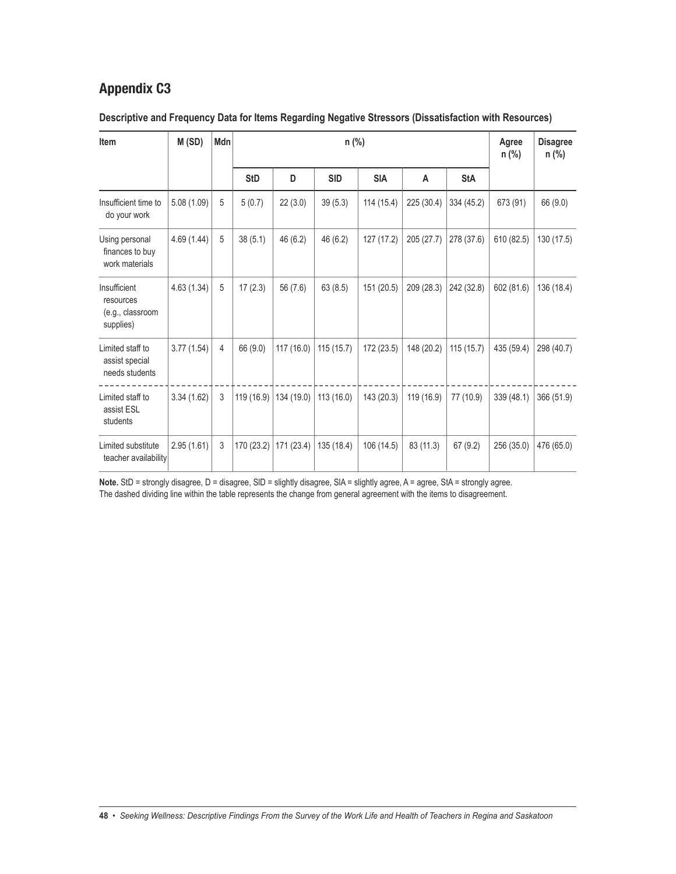| Item                                                       | M(SD)       | Mdn |            |            |            | Agree<br>$n$ (%) | <b>Disagree</b><br>$n$ (%) |            |            |            |
|------------------------------------------------------------|-------------|-----|------------|------------|------------|------------------|----------------------------|------------|------------|------------|
|                                                            |             |     | <b>StD</b> | D          | <b>SID</b> | <b>SIA</b>       | A                          | <b>StA</b> |            |            |
| Insufficient time to<br>do your work                       | 5.08(1.09)  | 5   | 5(0.7)     | 22(3.0)    | 39(5.3)    | 114 (15.4)       | 225 (30.4)                 | 334 (45.2) | 673 (91)   | 66 (9.0)   |
| Using personal<br>finances to buy<br>work materials        | 4.69 (1.44) | 5   | 38(5.1)    | 46 (6.2)   | 46(6.2)    | 127 (17.2)       | 205 (27.7)                 | 278 (37.6) | 610 (82.5) | 130 (17.5) |
| Insufficient<br>resources<br>(e.g., classroom<br>supplies) | 4.63(1.34)  | 5   | 17(2.3)    | 56 (7.6)   | 63(8.5)    | 151 (20.5)       | 209 (28.3)                 | 242 (32.8) | 602 (81.6) | 136 (18.4) |
| Limited staff to<br>assist special<br>needs students       | 3.77(1.54)  | 4   | 66 (9.0)   | 117 (16.0) | 115(15.7)  | 172 (23.5)       | 148 (20.2)                 | 115(15.7)  | 435 (59.4) | 298 (40.7) |
| Limited staff to<br>assist ESL<br>students                 | 3.34(1.62)  | 3   | 119 (16.9) | 134 (19.0) | 113(16.0)  | 143 (20.3)       | 119 (16.9)                 | 77 (10.9)  | 339 (48.1) | 366 (51.9) |
| Limited substitute<br>teacher availability                 | 2.95(1.61)  | 3   | 170 (23.2) | 171 (23.4) | 135 (18.4) | 106 (14.5)       | 83 (11.3)                  | 67(9.2)    | 256 (35.0) | 476 (65.0) |

### **Descriptive and Frequency Data for Items Regarding Negative Stressors (Dissatisfaction with Resources)**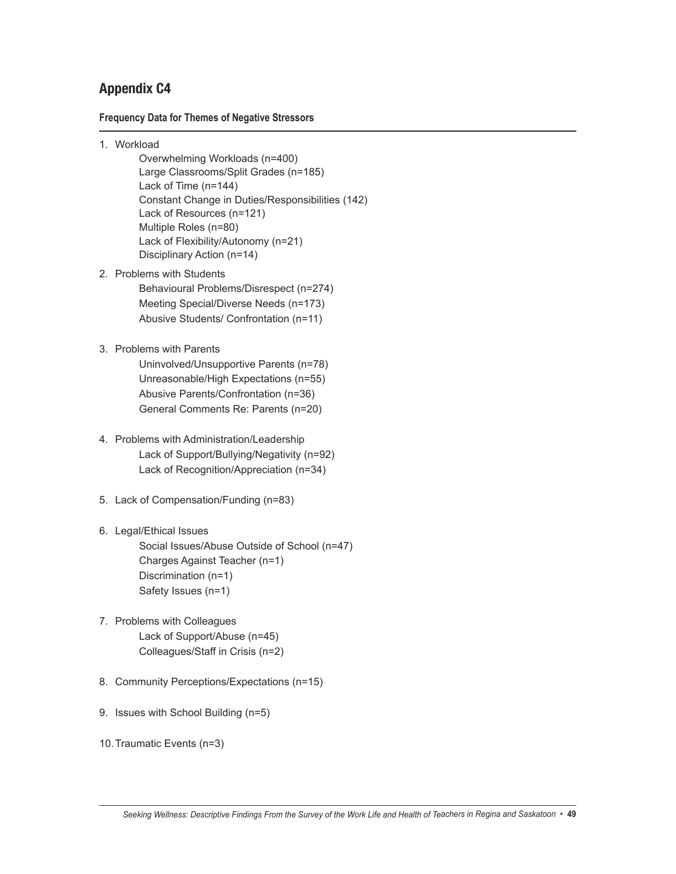### **Frequency Data for Themes of Negative Stressors**

- 1. Workload
	- Overwhelming Workloads (n=400) Large Classrooms/Split Grades (n=185) Lack of Time (n=144) Constant Change in Duties/Responsibilities (142) Lack of Resources (n=121) Multiple Roles (n=80) Lack of Flexibility/Autonomy (n=21) Disciplinary Action (n=14)
- 2. Problems with Students Behavioural Problems/Disrespect (n=274) Meeting Special/Diverse Needs (n=173) Abusive Students/ Confrontation (n=11)
- 3. Problems with Parents
	- Uninvolved/Unsupportive Parents (n=78) Unreasonable/High Expectations (n=55) Abusive Parents/Confrontation (n=36) General Comments Re: Parents (n=20)
- 4. Problems with Administration/Leadership Lack of Support/Bullying/Negativity (n=92) Lack of Recognition/Appreciation (n=34)
- 5. Lack of Compensation/Funding (n=83)

### 6. Legal/Ethical Issues

Social Issues/Abuse Outside of School (n=47) Charges Against Teacher (n=1) Discrimination (n=1) Safety Issues (n=1)

- 7. Problems with Colleagues Lack of Support/Abuse (n=45) Colleagues/Staff in Crisis (n=2)
- 8. Community Perceptions/Expectations (n=15)
- 9. Issues with School Building (n=5)
- 10.Traumatic Events (n=3)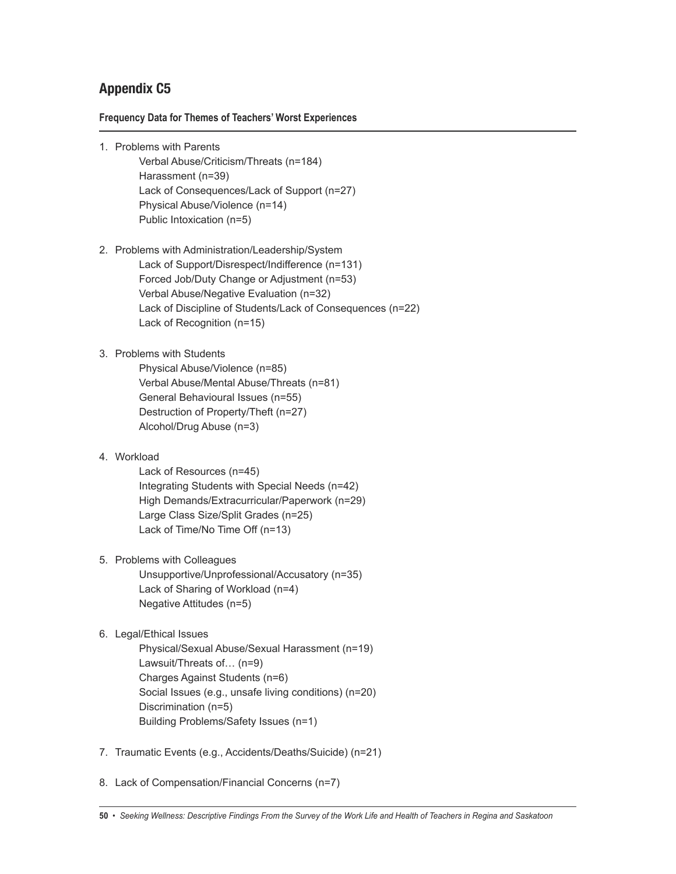### **Frequency Data for Themes of Teachers' Worst Experiences**

- 1. Problems with Parents
	- Verbal Abuse/Criticism/Threats (n=184) Harassment (n=39) Lack of Consequences/Lack of Support (n=27) Physical Abuse/Violence (n=14) Public Intoxication (n=5)
- 2. Problems with Administration/Leadership/System Lack of Support/Disrespect/Indifference (n=131) Forced Job/Duty Change or Adjustment (n=53) Verbal Abuse/Negative Evaluation (n=32) Lack of Discipline of Students/Lack of Consequences (n=22) Lack of Recognition (n=15)

### 3. Problems with Students

Physical Abuse/Violence (n=85) Verbal Abuse/Mental Abuse/Threats (n=81) General Behavioural Issues (n=55) Destruction of Property/Theft (n=27) Alcohol/Drug Abuse (n=3)

### 4. Workload

Lack of Resources (n=45) Integrating Students with Special Needs (n=42) High Demands/Extracurricular/Paperwork (n=29) Large Class Size/Split Grades (n=25) Lack of Time/No Time Off (n=13)

5. Problems with Colleagues

Unsupportive/Unprofessional/Accusatory (n=35) Lack of Sharing of Workload (n=4) Negative Attitudes (n=5)

6. Legal/Ethical Issues

Physical/Sexual Abuse/Sexual Harassment (n=19) Lawsuit/Threats of… (n=9) Charges Against Students (n=6) Social Issues (e.g., unsafe living conditions) (n=20) Discrimination (n=5) Building Problems/Safety Issues (n=1)

7. Traumatic Events (e.g., Accidents/Deaths/Suicide) (n=21)

8. Lack of Compensation/Financial Concerns (n=7)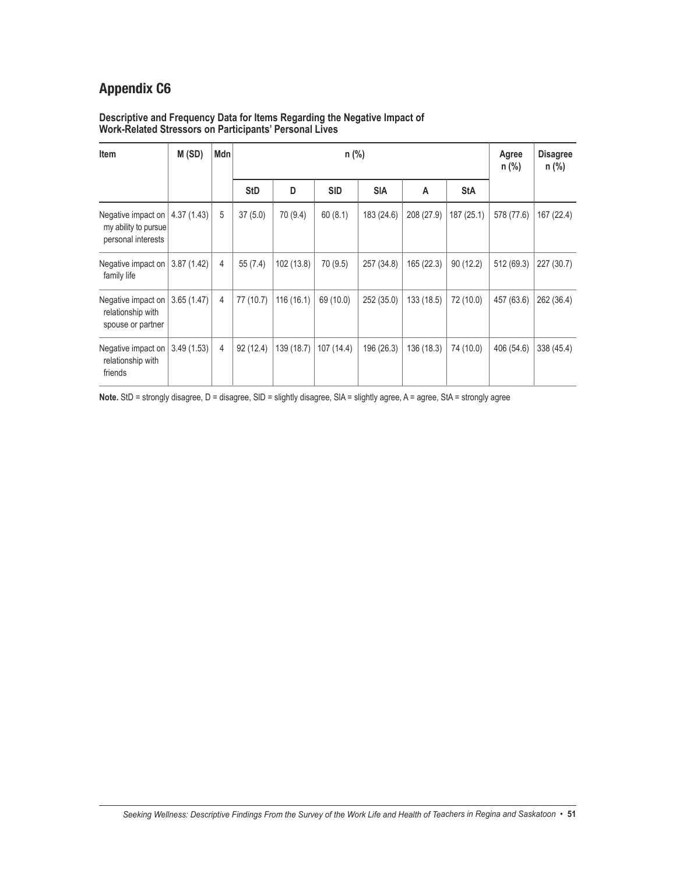#### **Descriptive and Frequency Data for Items Regarding the Negative Impact of Work-Related Stressors on Participants' Personal Lives**

| Item                                                                            | M(SD)      | Mdn |            |            |            | Agree<br>n (%) | <b>Disagree</b><br>$n$ (%) |            |            |            |
|---------------------------------------------------------------------------------|------------|-----|------------|------------|------------|----------------|----------------------------|------------|------------|------------|
|                                                                                 |            |     | <b>StD</b> | D          | <b>SID</b> | <b>SIA</b>     | A                          | <b>StA</b> |            |            |
| Negative impact on $ 4.37(1.43) $<br>my ability to pursue<br>personal interests |            | 5   | 37(5.0)    | 70 (9.4)   | 60(8.1)    | 183 (24.6)     | 208 (27.9)                 | 187 (25.1) | 578 (77.6) | 167 (22.4) |
| Negative impact on  <br>family life                                             | 3.87(1.42) | 4   | 55 (7.4)   | 102 (13.8) | 70 (9.5)   | 257 (34.8)     | 165 (22.3)                 | 90(12.2)   | 512 (69.3) | 227 (30.7) |
| Negative impact on<br>relationship with<br>spouse or partner                    | 3.65(1.47) | 4   | 77 (10.7)  | 116 (16.1) | 69 (10.0)  | 252 (35.0)     | 133 (18.5)                 | 72 (10.0)  | 457 (63.6) | 262 (36.4) |
| Negative impact on  <br>relationship with<br>friends                            | 3.49(1.53) | 4   | 92(12.4)   | 139 (18.7) | 107 (14.4) | 196 (26.3)     | 136 (18.3)                 | 74 (10.0)  | 406 (54.6) | 338 (45.4) |

Note. StD = strongly disagree, D = disagree, SID = slightly disagree, SIA = slightly agree, A = agree, StA = strongly agree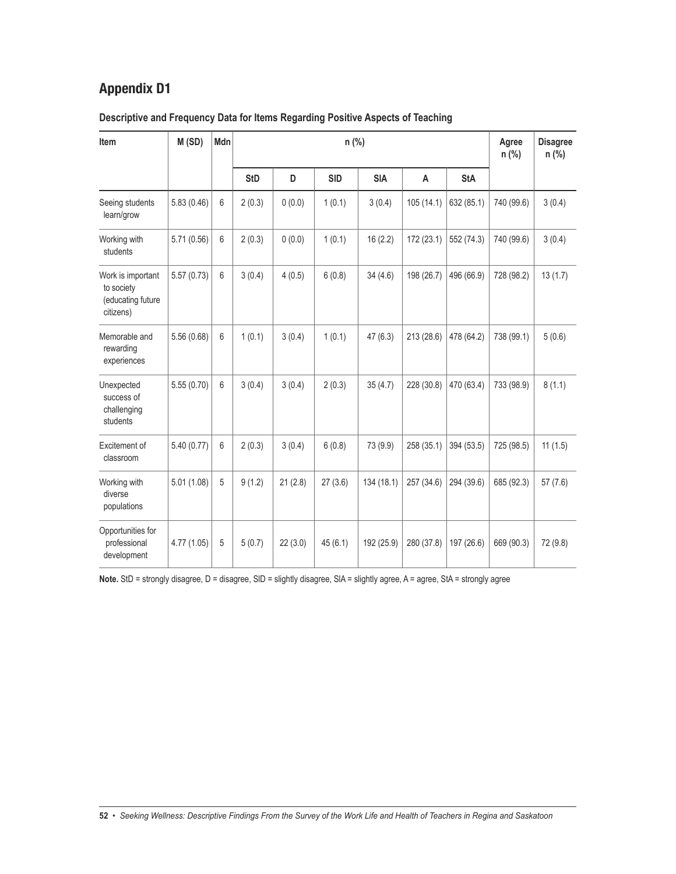| Descriptive and Frequency Data for Items Regarding Positive Aspects of Teaching |  |  |
|---------------------------------------------------------------------------------|--|--|
|                                                                                 |  |  |

| Item                                                              | M(SD)       | Mdn |            |         |            | Agree<br>$n$ (%) | <b>Disagree</b><br>$n$ (%) |            |            |          |
|-------------------------------------------------------------------|-------------|-----|------------|---------|------------|------------------|----------------------------|------------|------------|----------|
|                                                                   |             |     | <b>StD</b> | D       | <b>SID</b> | <b>SIA</b>       | A                          | <b>StA</b> |            |          |
| Seeing students<br>learn/grow                                     | 5.83(0.46)  | 6   | 2(0.3)     | 0(0.0)  | 1(0.1)     | 3(0.4)           | 105(14.1)                  | 632 (85.1) | 740 (99.6) | 3(0.4)   |
| Working with<br>students                                          | 5.71 (0.56) | 6   | 2(0.3)     | 0(0.0)  | 1(0.1)     | 16(2.2)          | 172 (23.1)                 | 552 (74.3) | 740 (99.6) | 3(0.4)   |
| Work is important<br>to society<br>(educating future<br>citizens) | 5.57(0.73)  | 6   | 3(0.4)     | 4(0.5)  | 6(0.8)     | 34(4.6)          | 198 (26.7)                 | 496 (66.9) | 728 (98.2) | 13(1.7)  |
| Memorable and<br>rewarding<br>experiences                         | 5.56(0.68)  | 6   | 1(0.1)     | 3(0.4)  | 1(0.1)     | 47(6.3)          | 213 (28.6)                 | 478 (64.2) | 738 (99.1) | 5(0.6)   |
| Unexpected<br>success of<br>challenging<br>students               | 5.55(0.70)  | 6   | 3(0.4)     | 3(0.4)  | 2(0.3)     | 35(4.7)          | 228 (30.8)                 | 470 (63.4) | 733 (98.9) | 8(1.1)   |
| Excitement of<br>classroom                                        | 5.40(0.77)  | 6   | 2(0.3)     | 3(0.4)  | 6(0.8)     | 73 (9.9)         | 258 (35.1)                 | 394 (53.5) | 725 (98.5) | 11(1.5)  |
| Working with<br>diverse<br>populations                            | 5.01(1.08)  | 5   | 9(1.2)     | 21(2.8) | 27(3.6)    | 134 (18.1)       | 257 (34.6)                 | 294 (39.6) | 685 (92.3) | 57(7.6)  |
| Opportunities for<br>professional<br>development                  | 4.77 (1.05) | 5   | 5(0.7)     | 22(3.0) | 45(6.1)    | 192 (25.9)       | 280 (37.8)                 | 197 (26.6) | 669 (90.3) | 72 (9.8) |

Note. StD = strongly disagree, D = disagree, SID = slightly disagree, SIA = slightly agree, A = agree, StA = strongly agree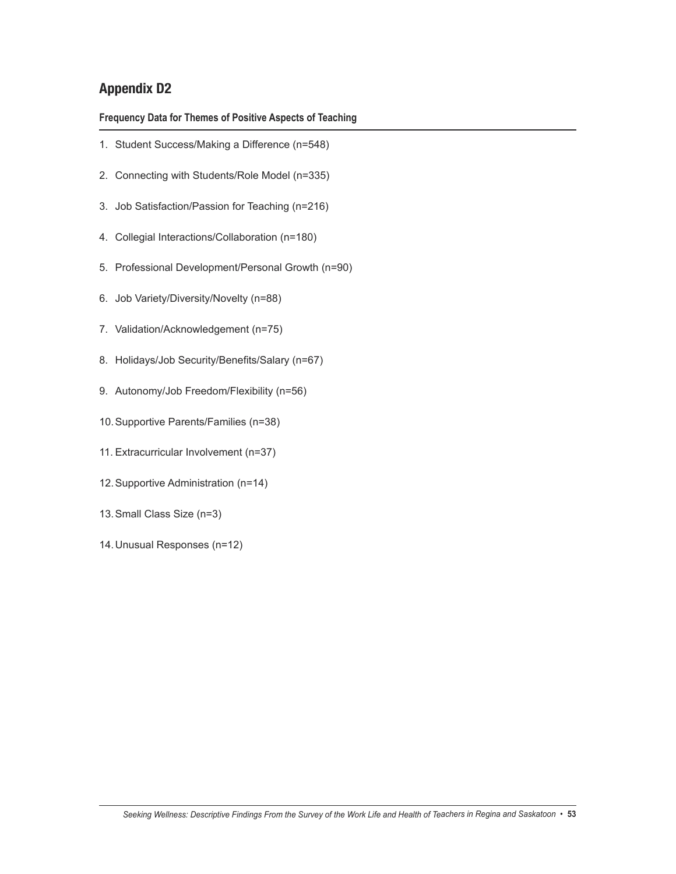**Frequency Data for Themes of Positive Aspects of Teaching**

- 1. Student Success/Making a Difference (n=548)
- 2. Connecting with Students/Role Model (n=335)
- 3. Job Satisfaction/Passion for Teaching (n=216)
- 4. Collegial Interactions/Collaboration (n=180)
- 5. Professional Development/Personal Growth (n=90)
- 6. Job Variety/Diversity/Novelty (n=88)
- 7. Validation/Acknowledgement (n=75)
- 8. Holidays/Job Security/Benefits/Salary (n=67)
- 9. Autonomy/Job Freedom/Flexibility (n=56)
- 10.Supportive Parents/Families (n=38)
- 11. Extracurricular Involvement (n=37)
- 12.Supportive Administration (n=14)
- 13.Small Class Size (n=3)
- 14.Unusual Responses (n=12)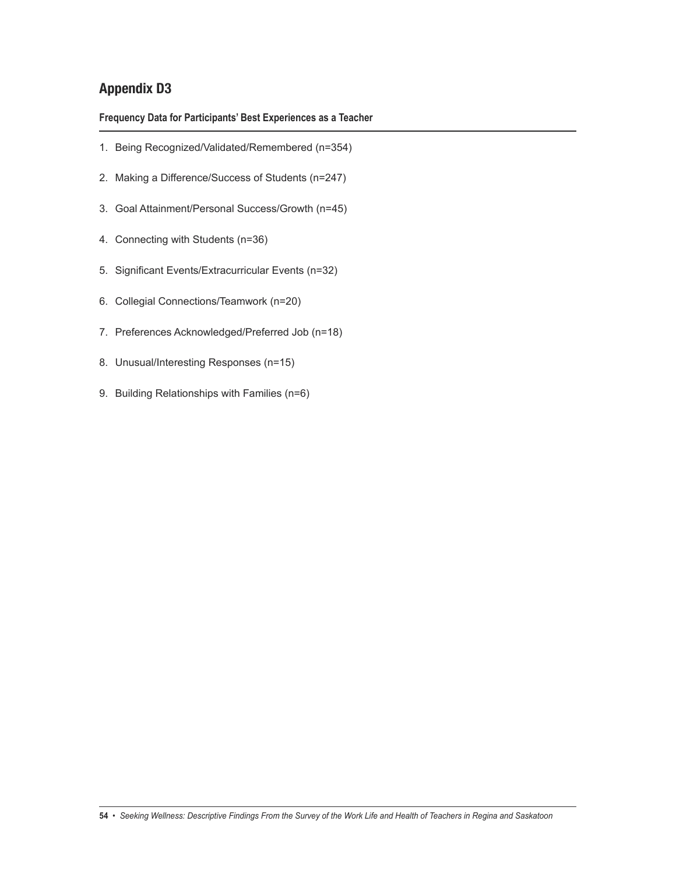**Frequency Data for Participants' Best Experiences as a Teacher**

- 1. Being Recognized/Validated/Remembered (n=354)
- 2. Making a Difference/Success of Students (n=247)
- 3. Goal Attainment/Personal Success/Growth (n=45)
- 4. Connecting with Students (n=36)
- 5. Significant Events/Extracurricular Events (n=32)
- 6. Collegial Connections/Teamwork (n=20)
- 7. Preferences Acknowledged/Preferred Job (n=18)
- 8. Unusual/Interesting Responses (n=15)
- 9. Building Relationships with Families (n=6)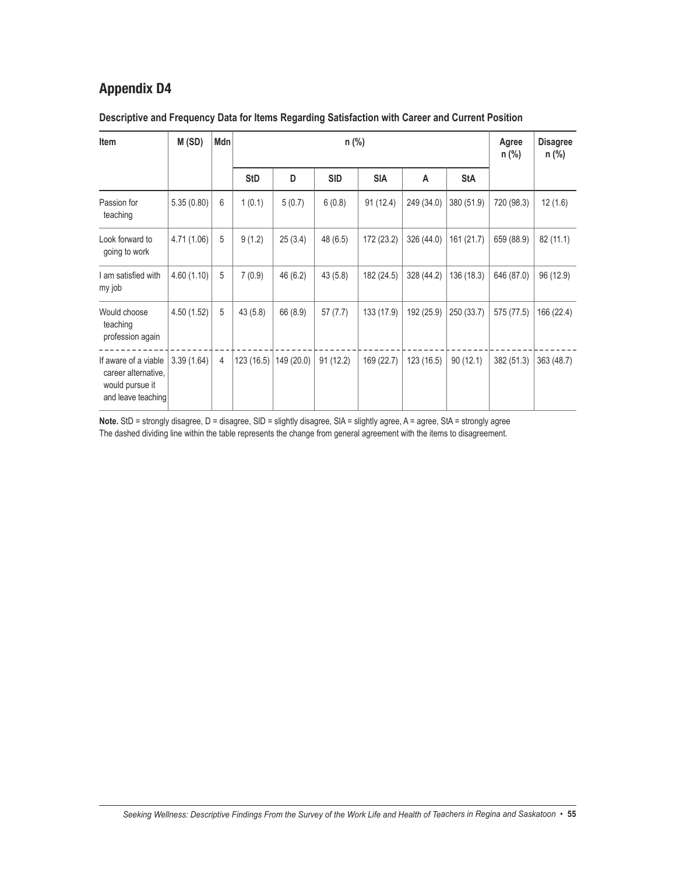| Item                                                                                 | M(SD)       | Mdn |            |            |            | Agree<br>$n$ (%) | <b>Disagree</b><br>$n$ (%) |            |            |            |
|--------------------------------------------------------------------------------------|-------------|-----|------------|------------|------------|------------------|----------------------------|------------|------------|------------|
|                                                                                      |             |     | <b>StD</b> | D          | <b>SID</b> | <b>SIA</b>       | A                          | <b>StA</b> |            |            |
| Passion for<br>teaching                                                              | 5.35(0.80)  | 6   | 1(0.1)     | 5(0.7)     | 6(0.8)     | 91(12.4)         | 249 (34.0)                 | 380 (51.9) | 720 (98.3) | 12(1.6)    |
| Look forward to<br>going to work                                                     | 4.71 (1.06) | 5   | 9(1.2)     | 25(3.4)    | 48 (6.5)   | 172 (23.2)       | 326 (44.0)                 | 161 (21.7) | 659 (88.9) | 82 (11.1)  |
| I am satisfied with<br>my job                                                        | 4.60(1.10)  | 5   | 7(0.9)     | 46 (6.2)   | 43(5.8)    | 182 (24.5)       | 328 (44.2)                 | 136 (18.3) | 646 (87.0) | 96 (12.9)  |
| Would choose<br>teaching<br>profession again                                         | 4.50(1.52)  | 5   | 43(5.8)    | 66 (8.9)   | 57(7.7)    | 133 (17.9)       | 192 (25.9)                 | 250 (33.7) | 575 (77.5) | 166 (22.4) |
| If aware of a viable<br>career alternative,<br>would pursue it<br>and leave teaching | 3.39(1.64)  | 4   | 123(16.5)  | 149 (20.0) | 91(12.2)   | 169 (22.7)       | 123 (16.5)                 | 90(12.1)   | 382 (51.3) | 363 (48.7) |

## **Descriptive and Frequency Data for Items Regarding Satisfaction with Career and Current Position**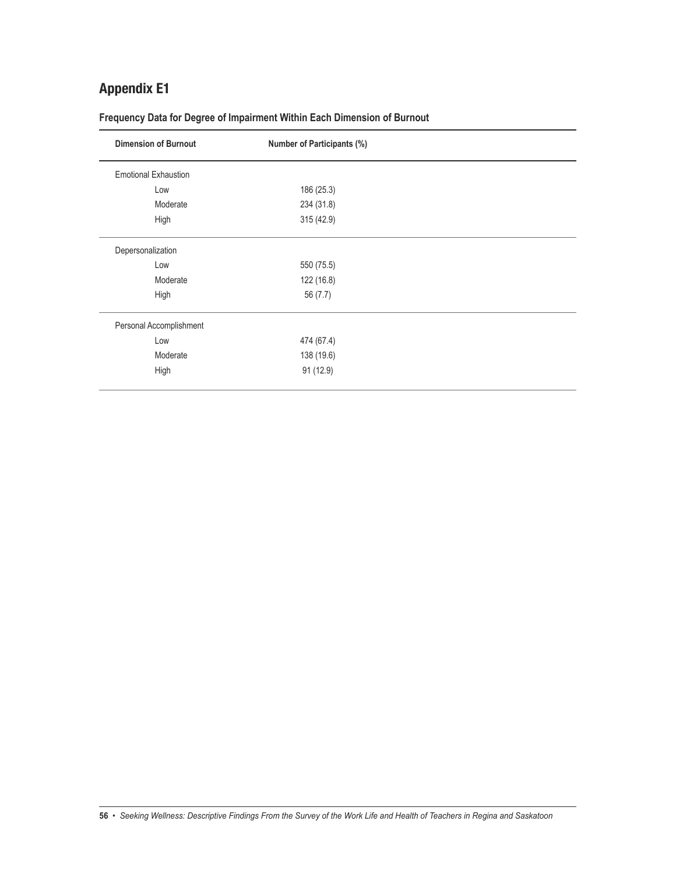| <b>Dimension of Burnout</b> | <b>Number of Participants (%)</b> |  |
|-----------------------------|-----------------------------------|--|
| <b>Emotional Exhaustion</b> |                                   |  |
| Low                         | 186 (25.3)                        |  |
| Moderate                    | 234 (31.8)                        |  |
| High                        | 315 (42.9)                        |  |
| Depersonalization           |                                   |  |
| Low                         | 550 (75.5)                        |  |
| Moderate                    | 122 (16.8)                        |  |
| High                        | 56 (7.7)                          |  |
| Personal Accomplishment     |                                   |  |
| Low                         | 474 (67.4)                        |  |
| Moderate                    | 138 (19.6)                        |  |
| High                        | 91 (12.9)                         |  |

**Frequency Data for Degree of Impairment Within Each Dimension of Burnout**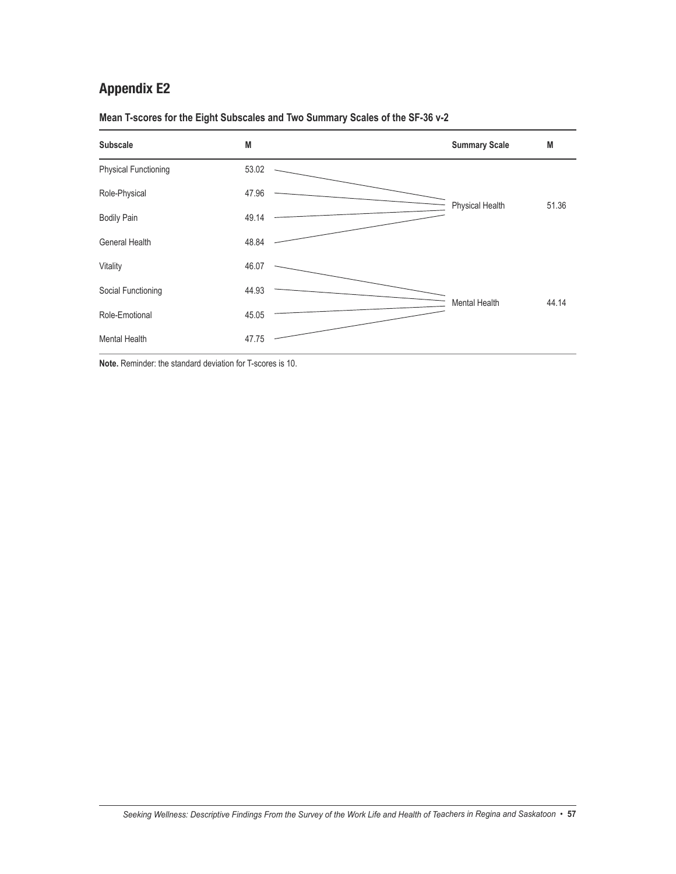| <b>Subscale</b>             | M     | <b>Summary Scale</b> | M     |
|-----------------------------|-------|----------------------|-------|
| <b>Physical Functioning</b> | 53.02 |                      |       |
| Role-Physical               | 47.96 |                      |       |
| <b>Bodily Pain</b>          | 49.14 | Physical Health      | 51.36 |
| General Health              | 48.84 |                      |       |
| Vitality                    | 46.07 |                      |       |
| Social Functioning          | 44.93 | Mental Health        | 44.14 |
| Role-Emotional              | 45.05 |                      |       |
| <b>Mental Health</b>        | 47.75 |                      |       |

**Mean T-scores for the Eight Subscales and Two Summary Scales of the SF-36 v-2**

**Note.** Reminder: the standard deviation for T-scores is 10.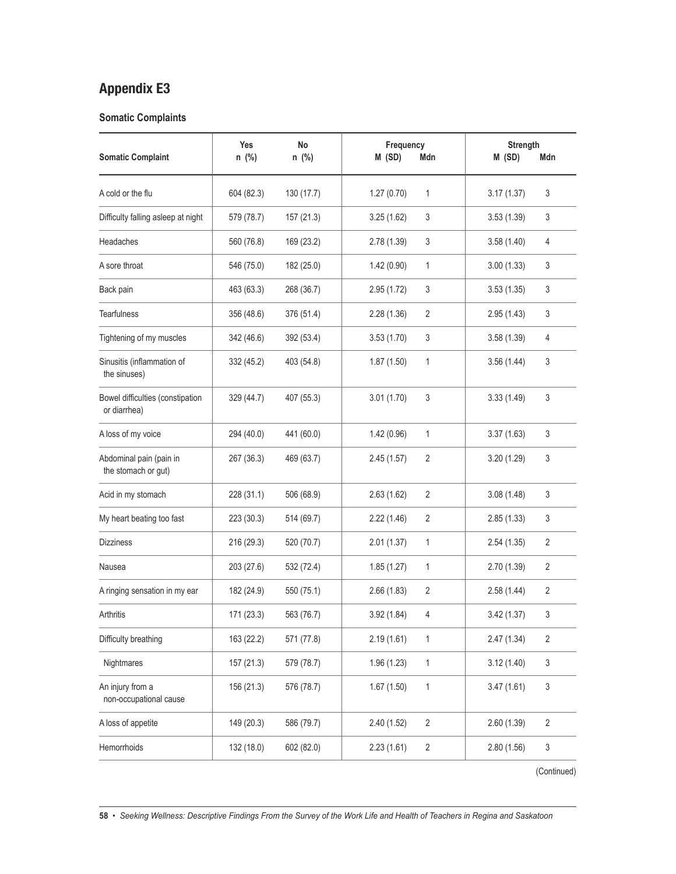### **Somatic Complaints**

| 604 (82.3)<br>1.27(0.70)<br>3.17(1.37)<br>A cold or the flu<br>130 (17.7)<br>3<br>1<br>3<br>Difficulty falling asleep at night<br>579 (78.7)<br>157 (21.3)<br>3.25(1.62)<br>3<br>3.53(1.39)<br>3<br><b>Headaches</b><br>560 (76.8)<br>169 (23.2)<br>2.78 (1.39)<br>3.58(1.40)<br>4<br>A sore throat<br>546 (75.0)<br>182 (25.0)<br>1.42(0.90)<br>1<br>3.00(1.33)<br>3<br>2.95(1.72)<br>3<br>3<br>Back pain<br>463 (63.3)<br>268 (36.7)<br>3.53(1.35)<br><b>Tearfulness</b><br>356 (48.6)<br>376 (51.4)<br>2.28(1.36)<br>2<br>2.95(1.43)<br>3<br>Tightening of my muscles<br>342 (46.6)<br>392 (53.4)<br>3.53(1.70)<br>3<br>3.58(1.39)<br>4<br>Sinusitis (inflammation of<br>3<br>332 (45.2)<br>403 (54.8)<br>1.87(1.50)<br>1<br>3.56(1.44)<br>the sinuses)<br>Bowel difficulties (constipation<br>3.01(1.70)<br>3<br>3.33(1.49)<br>3<br>329 (44.7)<br>407 (55.3)<br>or diarrhea)<br>3<br>A loss of my voice<br>294 (40.0)<br>441 (60.0)<br>1.42(0.96)<br>$\mathbf{1}$<br>3.37(1.63)<br>Abdominal pain (pain in<br>267 (36.3)<br>3<br>469 (63.7)<br>2.45(1.57)<br>2<br>3.20 (1.29)<br>the stomach or gut)<br>Acid in my stomach<br>228 (31.1)<br>$\overline{2}$<br>3<br>506 (68.9)<br>2.63(1.62)<br>3.08(1.48)<br>My heart beating too fast<br>223 (30.3)<br>2.22(1.46)<br>2<br>2.85(1.33)<br>3<br>514 (69.7)<br><b>Dizziness</b><br>216 (29.3)<br>520 (70.7)<br>2.01(1.37)<br>1<br>2.54(1.35)<br>$\overline{2}$<br>$\overline{2}$<br>203 (27.6)<br>1.85(1.27)<br>1<br>2.70(1.39)<br>Nausea<br>532 (72.4)<br>2.66(1.83)<br>A ringing sensation in my ear<br>182 (24.9)<br>2<br>2.58(1.44)<br>$\overline{2}$<br>550 (75.1)<br>3<br>Arthritis<br>171 (23.3)<br>563 (76.7)<br>3.92(1.84)<br>4<br>3.42 (1.37)<br>163 (22.2)<br>2.19(1.61)<br>$\sqrt{2}$<br>Difficulty breathing<br>1<br>2.47(1.34)<br>571 (77.8)<br>3<br>Nightmares<br>157 (21.3)<br>579 (78.7)<br>1.96 (1.23)<br>1<br>3.12(1.40)<br>$\ensuremath{\mathsf{3}}$<br>An injury from a<br>1.67(1.50)<br>$\mathbf{1}$<br>156 (21.3)<br>576 (78.7)<br>3.47(1.61)<br>non-occupational cause<br>$\overline{2}$<br>$\sqrt{2}$<br>A loss of appetite<br>149 (20.3)<br>586 (79.7)<br>2.40(1.52)<br>2.60 (1.39)<br>Hemorrhoids<br>$\overline{2}$<br>3<br>132 (18.0)<br>602 (82.0)<br>2.23(1.61)<br>2.80(1.56) | <b>Somatic Complaint</b> | Yes<br>$n \ (\%)$ | <b>No</b><br>$n$ (%) | Frequency<br>M (SD)<br>Mdn | Strength<br>M(SD) | Mdn |
|--------------------------------------------------------------------------------------------------------------------------------------------------------------------------------------------------------------------------------------------------------------------------------------------------------------------------------------------------------------------------------------------------------------------------------------------------------------------------------------------------------------------------------------------------------------------------------------------------------------------------------------------------------------------------------------------------------------------------------------------------------------------------------------------------------------------------------------------------------------------------------------------------------------------------------------------------------------------------------------------------------------------------------------------------------------------------------------------------------------------------------------------------------------------------------------------------------------------------------------------------------------------------------------------------------------------------------------------------------------------------------------------------------------------------------------------------------------------------------------------------------------------------------------------------------------------------------------------------------------------------------------------------------------------------------------------------------------------------------------------------------------------------------------------------------------------------------------------------------------------------------------------------------------------------------------------------------------------------------------------------------------------------------------------------------------------------------------------------------------------------------------------------------------------------------------------------------------------------------------------------------------|--------------------------|-------------------|----------------------|----------------------------|-------------------|-----|
|                                                                                                                                                                                                                                                                                                                                                                                                                                                                                                                                                                                                                                                                                                                                                                                                                                                                                                                                                                                                                                                                                                                                                                                                                                                                                                                                                                                                                                                                                                                                                                                                                                                                                                                                                                                                                                                                                                                                                                                                                                                                                                                                                                                                                                                              |                          |                   |                      |                            |                   |     |
|                                                                                                                                                                                                                                                                                                                                                                                                                                                                                                                                                                                                                                                                                                                                                                                                                                                                                                                                                                                                                                                                                                                                                                                                                                                                                                                                                                                                                                                                                                                                                                                                                                                                                                                                                                                                                                                                                                                                                                                                                                                                                                                                                                                                                                                              |                          |                   |                      |                            |                   |     |
|                                                                                                                                                                                                                                                                                                                                                                                                                                                                                                                                                                                                                                                                                                                                                                                                                                                                                                                                                                                                                                                                                                                                                                                                                                                                                                                                                                                                                                                                                                                                                                                                                                                                                                                                                                                                                                                                                                                                                                                                                                                                                                                                                                                                                                                              |                          |                   |                      |                            |                   |     |
|                                                                                                                                                                                                                                                                                                                                                                                                                                                                                                                                                                                                                                                                                                                                                                                                                                                                                                                                                                                                                                                                                                                                                                                                                                                                                                                                                                                                                                                                                                                                                                                                                                                                                                                                                                                                                                                                                                                                                                                                                                                                                                                                                                                                                                                              |                          |                   |                      |                            |                   |     |
|                                                                                                                                                                                                                                                                                                                                                                                                                                                                                                                                                                                                                                                                                                                                                                                                                                                                                                                                                                                                                                                                                                                                                                                                                                                                                                                                                                                                                                                                                                                                                                                                                                                                                                                                                                                                                                                                                                                                                                                                                                                                                                                                                                                                                                                              |                          |                   |                      |                            |                   |     |
|                                                                                                                                                                                                                                                                                                                                                                                                                                                                                                                                                                                                                                                                                                                                                                                                                                                                                                                                                                                                                                                                                                                                                                                                                                                                                                                                                                                                                                                                                                                                                                                                                                                                                                                                                                                                                                                                                                                                                                                                                                                                                                                                                                                                                                                              |                          |                   |                      |                            |                   |     |
|                                                                                                                                                                                                                                                                                                                                                                                                                                                                                                                                                                                                                                                                                                                                                                                                                                                                                                                                                                                                                                                                                                                                                                                                                                                                                                                                                                                                                                                                                                                                                                                                                                                                                                                                                                                                                                                                                                                                                                                                                                                                                                                                                                                                                                                              |                          |                   |                      |                            |                   |     |
|                                                                                                                                                                                                                                                                                                                                                                                                                                                                                                                                                                                                                                                                                                                                                                                                                                                                                                                                                                                                                                                                                                                                                                                                                                                                                                                                                                                                                                                                                                                                                                                                                                                                                                                                                                                                                                                                                                                                                                                                                                                                                                                                                                                                                                                              |                          |                   |                      |                            |                   |     |
|                                                                                                                                                                                                                                                                                                                                                                                                                                                                                                                                                                                                                                                                                                                                                                                                                                                                                                                                                                                                                                                                                                                                                                                                                                                                                                                                                                                                                                                                                                                                                                                                                                                                                                                                                                                                                                                                                                                                                                                                                                                                                                                                                                                                                                                              |                          |                   |                      |                            |                   |     |
|                                                                                                                                                                                                                                                                                                                                                                                                                                                                                                                                                                                                                                                                                                                                                                                                                                                                                                                                                                                                                                                                                                                                                                                                                                                                                                                                                                                                                                                                                                                                                                                                                                                                                                                                                                                                                                                                                                                                                                                                                                                                                                                                                                                                                                                              |                          |                   |                      |                            |                   |     |
|                                                                                                                                                                                                                                                                                                                                                                                                                                                                                                                                                                                                                                                                                                                                                                                                                                                                                                                                                                                                                                                                                                                                                                                                                                                                                                                                                                                                                                                                                                                                                                                                                                                                                                                                                                                                                                                                                                                                                                                                                                                                                                                                                                                                                                                              |                          |                   |                      |                            |                   |     |
|                                                                                                                                                                                                                                                                                                                                                                                                                                                                                                                                                                                                                                                                                                                                                                                                                                                                                                                                                                                                                                                                                                                                                                                                                                                                                                                                                                                                                                                                                                                                                                                                                                                                                                                                                                                                                                                                                                                                                                                                                                                                                                                                                                                                                                                              |                          |                   |                      |                            |                   |     |
|                                                                                                                                                                                                                                                                                                                                                                                                                                                                                                                                                                                                                                                                                                                                                                                                                                                                                                                                                                                                                                                                                                                                                                                                                                                                                                                                                                                                                                                                                                                                                                                                                                                                                                                                                                                                                                                                                                                                                                                                                                                                                                                                                                                                                                                              |                          |                   |                      |                            |                   |     |
|                                                                                                                                                                                                                                                                                                                                                                                                                                                                                                                                                                                                                                                                                                                                                                                                                                                                                                                                                                                                                                                                                                                                                                                                                                                                                                                                                                                                                                                                                                                                                                                                                                                                                                                                                                                                                                                                                                                                                                                                                                                                                                                                                                                                                                                              |                          |                   |                      |                            |                   |     |
|                                                                                                                                                                                                                                                                                                                                                                                                                                                                                                                                                                                                                                                                                                                                                                                                                                                                                                                                                                                                                                                                                                                                                                                                                                                                                                                                                                                                                                                                                                                                                                                                                                                                                                                                                                                                                                                                                                                                                                                                                                                                                                                                                                                                                                                              |                          |                   |                      |                            |                   |     |
|                                                                                                                                                                                                                                                                                                                                                                                                                                                                                                                                                                                                                                                                                                                                                                                                                                                                                                                                                                                                                                                                                                                                                                                                                                                                                                                                                                                                                                                                                                                                                                                                                                                                                                                                                                                                                                                                                                                                                                                                                                                                                                                                                                                                                                                              |                          |                   |                      |                            |                   |     |
|                                                                                                                                                                                                                                                                                                                                                                                                                                                                                                                                                                                                                                                                                                                                                                                                                                                                                                                                                                                                                                                                                                                                                                                                                                                                                                                                                                                                                                                                                                                                                                                                                                                                                                                                                                                                                                                                                                                                                                                                                                                                                                                                                                                                                                                              |                          |                   |                      |                            |                   |     |
|                                                                                                                                                                                                                                                                                                                                                                                                                                                                                                                                                                                                                                                                                                                                                                                                                                                                                                                                                                                                                                                                                                                                                                                                                                                                                                                                                                                                                                                                                                                                                                                                                                                                                                                                                                                                                                                                                                                                                                                                                                                                                                                                                                                                                                                              |                          |                   |                      |                            |                   |     |
|                                                                                                                                                                                                                                                                                                                                                                                                                                                                                                                                                                                                                                                                                                                                                                                                                                                                                                                                                                                                                                                                                                                                                                                                                                                                                                                                                                                                                                                                                                                                                                                                                                                                                                                                                                                                                                                                                                                                                                                                                                                                                                                                                                                                                                                              |                          |                   |                      |                            |                   |     |
|                                                                                                                                                                                                                                                                                                                                                                                                                                                                                                                                                                                                                                                                                                                                                                                                                                                                                                                                                                                                                                                                                                                                                                                                                                                                                                                                                                                                                                                                                                                                                                                                                                                                                                                                                                                                                                                                                                                                                                                                                                                                                                                                                                                                                                                              |                          |                   |                      |                            |                   |     |
|                                                                                                                                                                                                                                                                                                                                                                                                                                                                                                                                                                                                                                                                                                                                                                                                                                                                                                                                                                                                                                                                                                                                                                                                                                                                                                                                                                                                                                                                                                                                                                                                                                                                                                                                                                                                                                                                                                                                                                                                                                                                                                                                                                                                                                                              |                          |                   |                      |                            |                   |     |
|                                                                                                                                                                                                                                                                                                                                                                                                                                                                                                                                                                                                                                                                                                                                                                                                                                                                                                                                                                                                                                                                                                                                                                                                                                                                                                                                                                                                                                                                                                                                                                                                                                                                                                                                                                                                                                                                                                                                                                                                                                                                                                                                                                                                                                                              |                          |                   |                      |                            |                   |     |

(Continued)

58 • Seeking Wellness: Descriptive Findings From the Survey of the Work Life and Health of Teachers in Regina and Saskatoon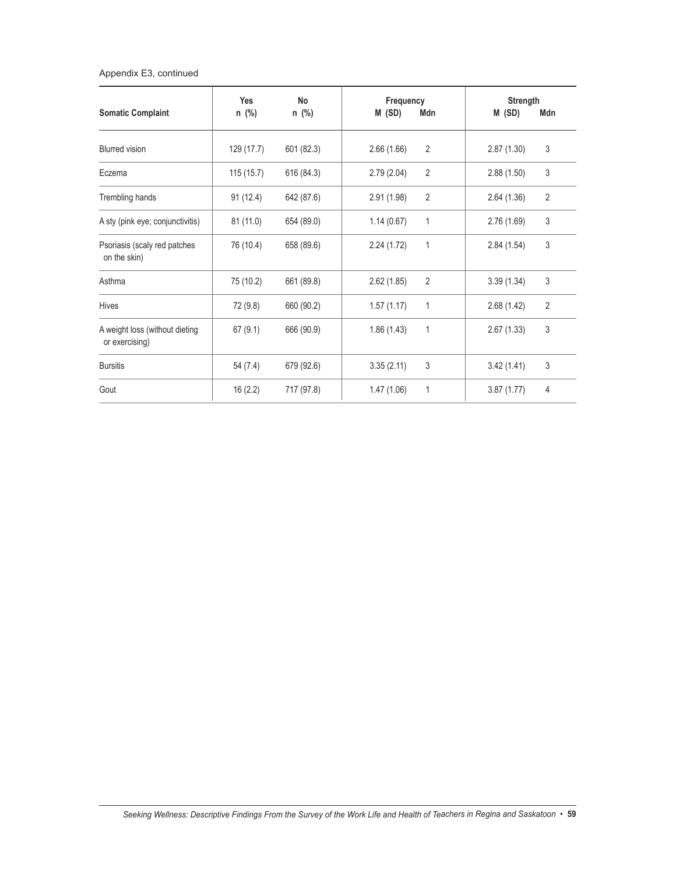### Appendix E3, continued

| <b>Somatic Complaint</b>                         | Yes<br>n (%) | No<br>n (%) | Frequency<br>M (SD)<br>Mdn | Strength<br>M (SD)<br>Mdn    |
|--------------------------------------------------|--------------|-------------|----------------------------|------------------------------|
| <b>Blurred</b> vision                            | 129 (17.7)   | 601 (82.3)  | 2<br>2.66(1.66)            | 3<br>2.87(1.30)              |
| Eczema                                           | 115(15.7)    | 616 (84.3)  | 2<br>2.79(2.04)            | 3<br>2.88(1.50)              |
| Trembling hands                                  | 91 (12.4)    | 642 (87.6)  | 2<br>2.91(1.98)            | $\overline{2}$<br>2.64(1.36) |
| A sty (pink eye; conjunctivitis)                 | 81(11.0)     | 654 (89.0)  | 1.14(0.67)<br>1            | $\mathsf 3$<br>2.76(1.69)    |
| Psoriasis (scaly red patches<br>on the skin)     | 76 (10.4)    | 658 (89.6)  | 1<br>2.24(1.72)            | 3<br>2.84(1.54)              |
| Asthma                                           | 75 (10.2)    | 661 (89.8)  | 2<br>2.62(1.85)            | $\mathsf 3$<br>3.39(1.34)    |
| Hives                                            | 72 (9.8)     | 660 (90.2)  | $\mathbf{1}$<br>1.57(1.17) | $\overline{2}$<br>2.68(1.42) |
| A weight loss (without dieting<br>or exercising) | 67(9.1)      | 666 (90.9)  | 1<br>1.86(1.43)            | $\mathsf 3$<br>2.67(1.33)    |
| <b>Bursitis</b>                                  | 54 (7.4)     | 679 (92.6)  | 3<br>3.35(2.11)            | 3<br>3.42(1.41)              |
| Gout                                             | 16(2.2)      | 717 (97.8)  | 1<br>1.47(1.06)            | $\overline{4}$<br>3.87(1.77) |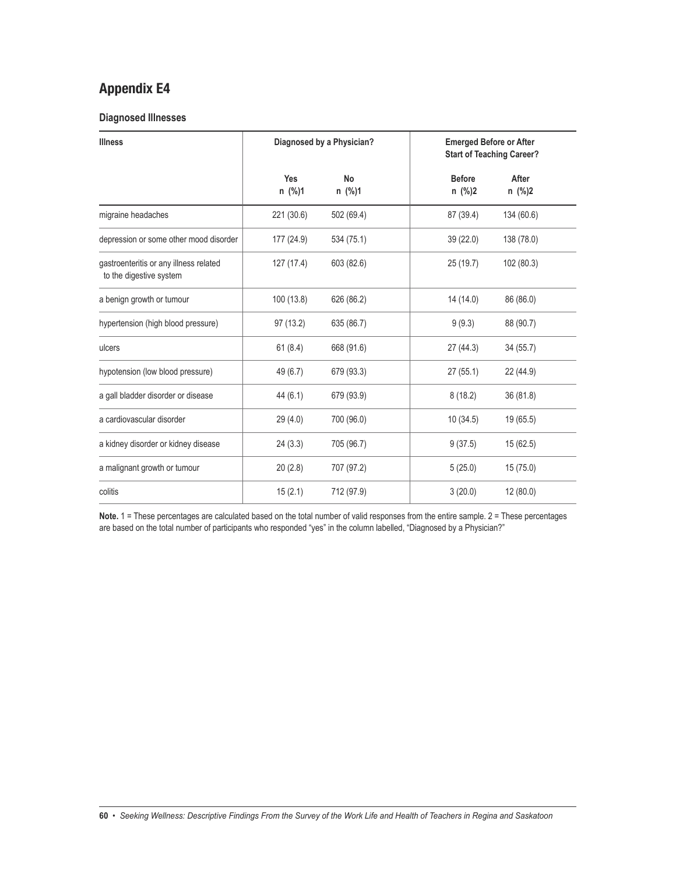#### **Diagnosed Illnesses**

| <b>Illness</b>                                                    |               | Diagnosed by a Physician? | <b>Emerged Before or After</b><br><b>Start of Teaching Career?</b> |                 |  |
|-------------------------------------------------------------------|---------------|---------------------------|--------------------------------------------------------------------|-----------------|--|
|                                                                   | Yes<br>n (%)1 | No<br>n (%)1              | <b>Before</b><br>n (%)2                                            | After<br>n (%)2 |  |
| migraine headaches                                                | 221 (30.6)    | 502 (69.4)                | 87 (39.4)                                                          | 134 (60.6)      |  |
| depression or some other mood disorder                            | 177 (24.9)    | 534 (75.1)                | 39 (22.0)                                                          | 138 (78.0)      |  |
| gastroenteritis or any illness related<br>to the digestive system | 127 (17.4)    | 603 (82.6)                | 25(19.7)                                                           | 102 (80.3)      |  |
| a benign growth or tumour                                         | 100 (13.8)    | 626 (86.2)                | 14 (14.0)                                                          | 86 (86.0)       |  |
| hypertension (high blood pressure)                                | 97 (13.2)     | 635 (86.7)                | 9(9.3)                                                             | 88 (90.7)       |  |
| ulcers                                                            | 61(8.4)       | 668 (91.6)                | 27 (44.3)                                                          | 34 (55.7)       |  |
| hypotension (low blood pressure)                                  | 49 (6.7)      | 679 (93.3)                | 27(55.1)                                                           | 22 (44.9)       |  |
| a gall bladder disorder or disease                                | 44 (6.1)      | 679 (93.9)                | 8(18.2)                                                            | 36 (81.8)       |  |
| a cardiovascular disorder                                         | 29(4.0)       | 700 (96.0)                | 10(34.5)                                                           | 19 (65.5)       |  |
| a kidney disorder or kidney disease                               | 24(3.3)       | 705 (96.7)                | 9(37.5)                                                            | 15 (62.5)       |  |
| a malignant growth or tumour                                      | 20(2.8)       | 707 (97.2)                | 5(25.0)                                                            | 15(75.0)        |  |
| colitis                                                           | 15(2.1)       | 712 (97.9)                | 3(20.0)                                                            | 12 (80.0)       |  |

**Note.** 1 = These percentages are calculated based on the total number of valid responses from the entire sample. 2 = These percentages are based on the total number of participants who responded "yes" in the column labelled, "Diagnosed by a Physician?"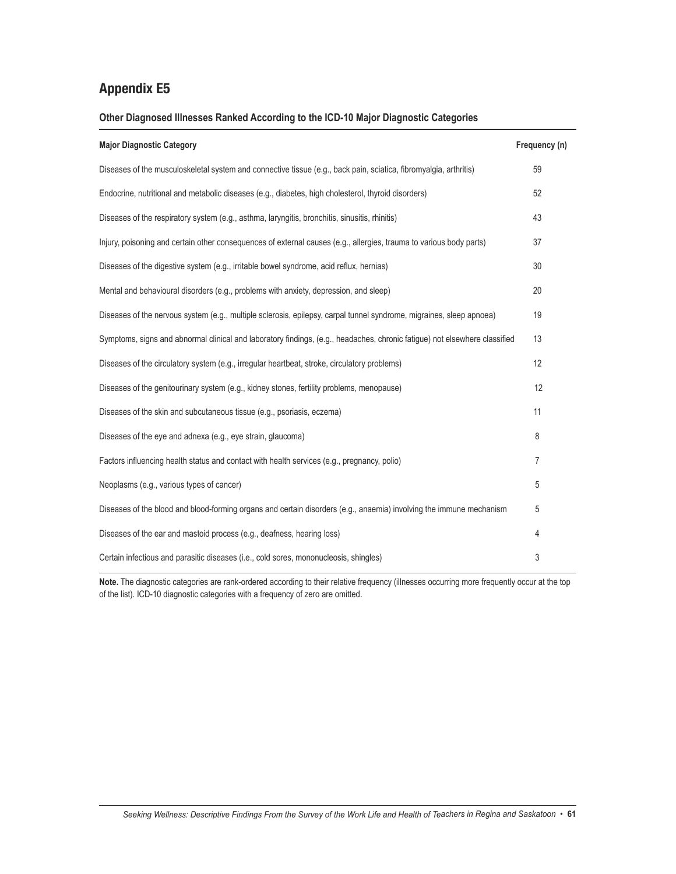### **Other Diagnosed Illnesses Ranked According to the ICD-10 Major Diagnostic Categories**

| <b>Major Diagnostic Category</b>                                                                                           | Frequency (n) |
|----------------------------------------------------------------------------------------------------------------------------|---------------|
| Diseases of the musculoskeletal system and connective tissue (e.g., back pain, sciatica, fibromyalgia, arthritis)          | 59            |
| Endocrine, nutritional and metabolic diseases (e.g., diabetes, high cholesterol, thyroid disorders)                        | 52            |
| Diseases of the respiratory system (e.g., asthma, laryngitis, bronchitis, sinusitis, rhinitis)                             | 43            |
| Injury, poisoning and certain other consequences of external causes (e.g., allergies, trauma to various body parts)        | 37            |
| Diseases of the digestive system (e.g., irritable bowel syndrome, acid reflux, hernias)                                    | 30            |
| Mental and behavioural disorders (e.g., problems with anxiety, depression, and sleep)                                      | 20            |
| Diseases of the nervous system (e.g., multiple sclerosis, epilepsy, carpal tunnel syndrome, migraines, sleep apnoea)       | 19            |
| Symptoms, signs and abnormal clinical and laboratory findings, (e.g., headaches, chronic fatigue) not elsewhere classified | 13            |
| Diseases of the circulatory system (e.g., irregular heartbeat, stroke, circulatory problems)                               | 12            |
| Diseases of the genitourinary system (e.g., kidney stones, fertility problems, menopause)                                  | 12            |
| Diseases of the skin and subcutaneous tissue (e.g., psoriasis, eczema)                                                     | 11            |
| Diseases of the eye and adnexa (e.g., eye strain, glaucoma)                                                                | 8             |
| Factors influencing health status and contact with health services (e.g., pregnancy, polio)                                | 7             |
| Neoplasms (e.g., various types of cancer)                                                                                  | 5             |
| Diseases of the blood and blood-forming organs and certain disorders (e.g., anaemia) involving the immune mechanism        | 5             |
| Diseases of the ear and mastoid process (e.g., deafness, hearing loss)                                                     | 4             |
| Certain infectious and parasitic diseases (i.e., cold sores, mononucleosis, shingles)                                      | 3             |

Note. The diagnostic categories are rank-ordered according to their relative frequency (illnesses occurring more frequently occur at the top of the list). ICD-10 diagnostic categories with a frequency of zero are omitted.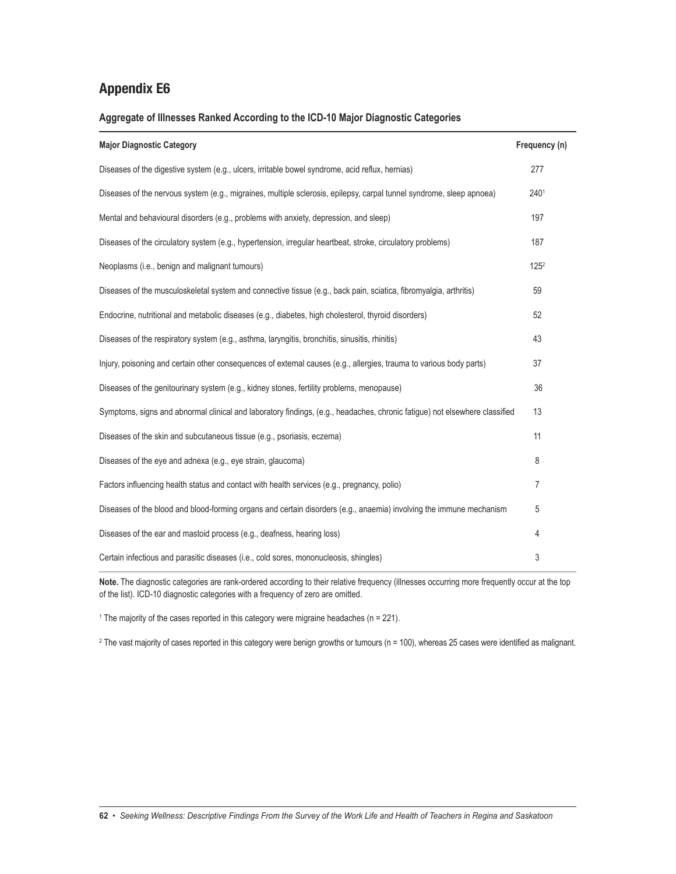### **Aggregate of Illnesses Ranked According to the ICD-10 Major Diagnostic Categories**

| <b>Major Diagnostic Category</b>                                                                                           | Frequency (n)    |
|----------------------------------------------------------------------------------------------------------------------------|------------------|
| Diseases of the digestive system (e.g., ulcers, irritable bowel syndrome, acid reflux, hernias)                            | 277              |
| Diseases of the nervous system (e.g., migraines, multiple sclerosis, epilepsy, carpal tunnel syndrome, sleep apnoea)       | 2401             |
| Mental and behavioural disorders (e.g., problems with anxiety, depression, and sleep)                                      | 197              |
| Diseases of the circulatory system (e.g., hypertension, irregular heartbeat, stroke, circulatory problems)                 | 187              |
| Neoplasms (i.e., benign and malignant tumours)                                                                             | 125 <sup>2</sup> |
| Diseases of the musculoskeletal system and connective tissue (e.g., back pain, sciatica, fibromyalgia, arthritis)          | 59               |
| Endocrine, nutritional and metabolic diseases (e.g., diabetes, high cholesterol, thyroid disorders)                        | 52               |
| Diseases of the respiratory system (e.g., asthma, laryngitis, bronchitis, sinusitis, rhinitis)                             | 43               |
| Injury, poisoning and certain other consequences of external causes (e.g., allergies, trauma to various body parts)        | 37               |
| Diseases of the genitourinary system (e.g., kidney stones, fertility problems, menopause)                                  | 36               |
| Symptoms, signs and abnormal clinical and laboratory findings, (e.g., headaches, chronic fatigue) not elsewhere classified | 13               |
| Diseases of the skin and subcutaneous tissue (e.g., psoriasis, eczema)                                                     | 11               |
| Diseases of the eye and adnexa (e.g., eye strain, glaucoma)                                                                | 8                |
| Factors influencing health status and contact with health services (e.g., pregnancy, polio)                                | 7                |
| Diseases of the blood and blood-forming organs and certain disorders (e.g., anaemia) involving the immune mechanism        | 5                |
| Diseases of the ear and mastoid process (e.g., deafness, hearing loss)                                                     | 4                |
| Certain infectious and parasitic diseases (i.e., cold sores, mononucleosis, shingles)                                      | 3                |

**Note.** The diagnostic categories are rank-ordered according to their relative frequency (illnesses occurring more frequently occur at the top of the list). ICD-10 diagnostic categories with a frequency of zero are omitted.

<sup>1</sup> The majority of the cases reported in this category were migraine headaches ( $n = 221$ ).

 $2$  The vast majority of cases reported in this category were benign growths or tumours (n = 100), whereas 25 cases were identified as malignant.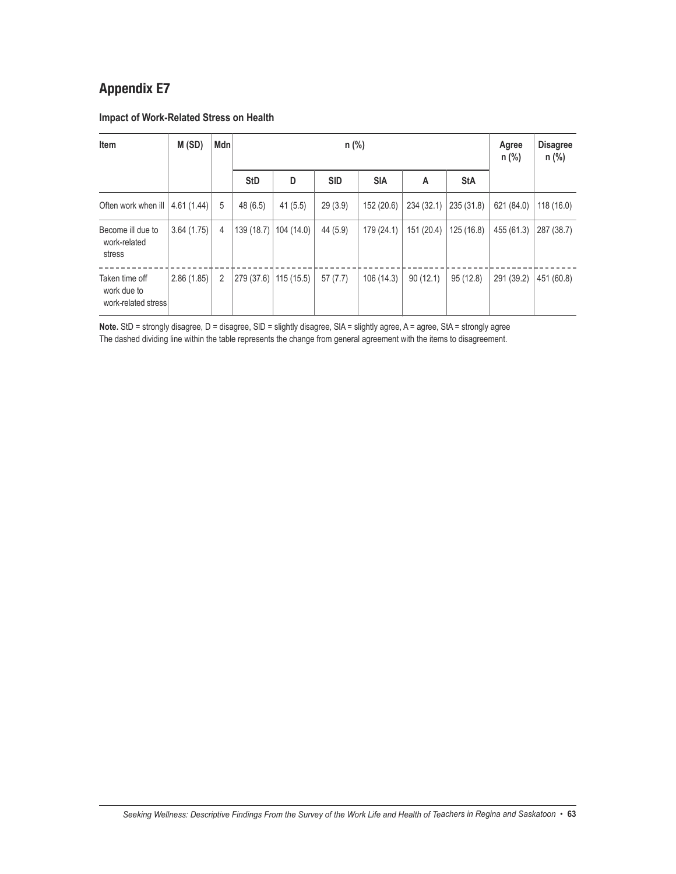### **Impact of Work-Related Stress on Health**

| Item                                                 | M(SD)      | Mdn            |            |            | Agree<br>n (%) | <b>Disagree</b><br>$n$ (%) |            |            |            |            |
|------------------------------------------------------|------------|----------------|------------|------------|----------------|----------------------------|------------|------------|------------|------------|
|                                                      |            |                | <b>StD</b> | D          | <b>SID</b>     | <b>SIA</b>                 | A          | <b>StA</b> |            |            |
| Often work when ill                                  | 4.61(1.44) | 5              | 48(6.5)    | 41(5.5)    | 29(3.9)        | 152 (20.6)                 | 234 (32.1) | 235 (31.8) | 621 (84.0) | 118(16.0)  |
| Become ill due to<br>work-related<br>stress          | 3.64(1.75) | 4              | 139 (18.7) | 104 (14.0) | 44 (5.9)       | 179 (24.1)                 | 151 (20.4) | 125(16.8)  | 455 (61.3) | 287 (38.7) |
| Taken time off<br>work due to<br>work-related stress | 2.86(1.85) | $\overline{2}$ | 279 (37.6) | 115 (15.5) | 57(7.7)        | 106(14.3)                  | 90(12.1)   | 95(12.8)   | 291 (39.2) | 451 (60.8) |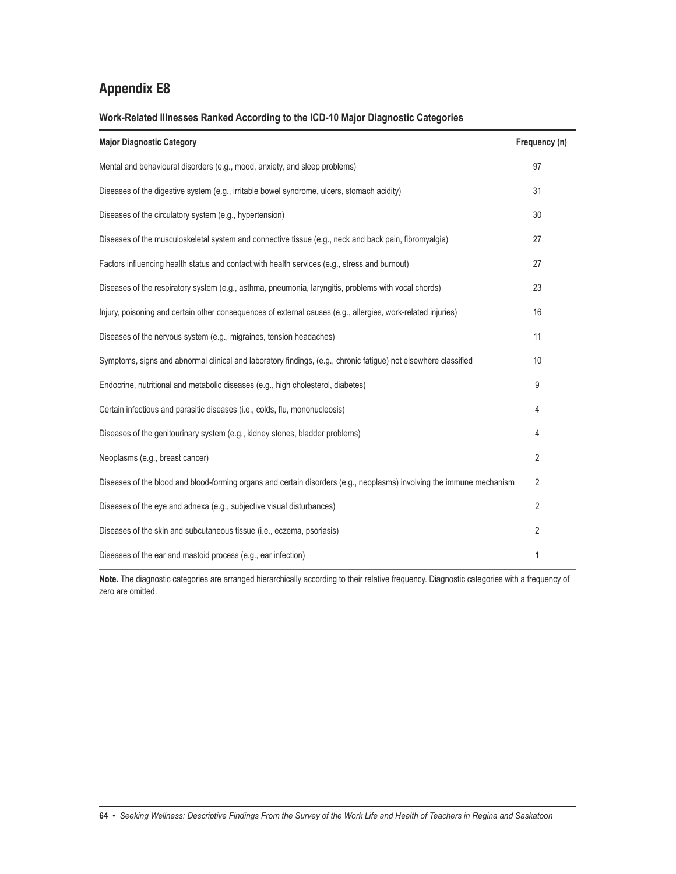**Work-Related Illnesses Ranked According to the ICD-10 Major Diagnostic Categories**

| <b>Major Diagnostic Category</b>                                                                                      | Frequency (n)  |
|-----------------------------------------------------------------------------------------------------------------------|----------------|
| Mental and behavioural disorders (e.g., mood, anxiety, and sleep problems)                                            | 97             |
| Diseases of the digestive system (e.g., irritable bowel syndrome, ulcers, stomach acidity)                            | 31             |
| Diseases of the circulatory system (e.g., hypertension)                                                               | 30             |
| Diseases of the musculoskeletal system and connective tissue (e.g., neck and back pain, fibromyalgia)                 | 27             |
| Factors influencing health status and contact with health services (e.g., stress and burnout)                         | 27             |
| Diseases of the respiratory system (e.g., asthma, pneumonia, laryngitis, problems with vocal chords)                  | 23             |
| Injury, poisoning and certain other consequences of external causes (e.g., allergies, work-related injuries)          | 16             |
| Diseases of the nervous system (e.g., migraines, tension headaches)                                                   | 11             |
| Symptoms, signs and abnormal clinical and laboratory findings, (e.g., chronic fatigue) not elsewhere classified       | 10             |
| Endocrine, nutritional and metabolic diseases (e.g., high cholesterol, diabetes)                                      | 9              |
| Certain infectious and parasitic diseases (i.e., colds, flu, mononucleosis)                                           | 4              |
| Diseases of the genitourinary system (e.g., kidney stones, bladder problems)                                          | 4              |
| Neoplasms (e.g., breast cancer)                                                                                       | 2              |
| Diseases of the blood and blood-forming organs and certain disorders (e.g., neoplasms) involving the immune mechanism | $\overline{2}$ |
| Diseases of the eye and adnexa (e.g., subjective visual disturbances)                                                 | 2              |
| Diseases of the skin and subcutaneous tissue (i.e., eczema, psoriasis)                                                | 2              |
| Diseases of the ear and mastoid process (e.g., ear infection)                                                         | 1              |

**Note.** The diagnostic categories are arranged hierarchically according to their relative frequency. Diagnostic categories with a frequency of zero are omitted.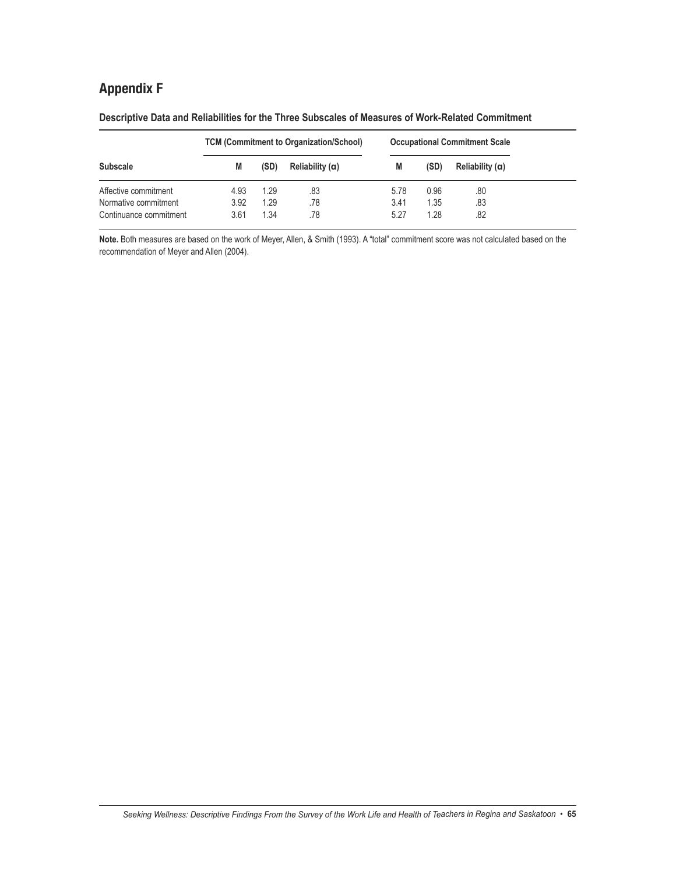# **Appendix F**

|                        |      |      | <b>TCM (Commitment to Organization/School)</b> | <b>Occupational Commitment Scale</b> |      |                 |  |
|------------------------|------|------|------------------------------------------------|--------------------------------------|------|-----------------|--|
| <b>Subscale</b>        | M    | (SD) | Reliability (a)                                | M                                    | (SD) | Reliability (a) |  |
| Affective commitment   | 4.93 | 1.29 | .83                                            | 5.78                                 | 0.96 | .80             |  |
| Normative commitment   | 3.92 | 1.29 | .78                                            | 3.41                                 | 1.35 | .83             |  |
| Continuance commitment | 3.61 | 1.34 | .78                                            | 5.27                                 | 1.28 | .82             |  |

**Descriptive Data and Reliabilities for the Three Subscales of Measures of Work-Related Commitment**

**Note.** Both measures are based on the work of Meyer, Allen, & Smith (1993). A "total" commitment score was not calculated based on the recommendation of Meyer and Allen (2004).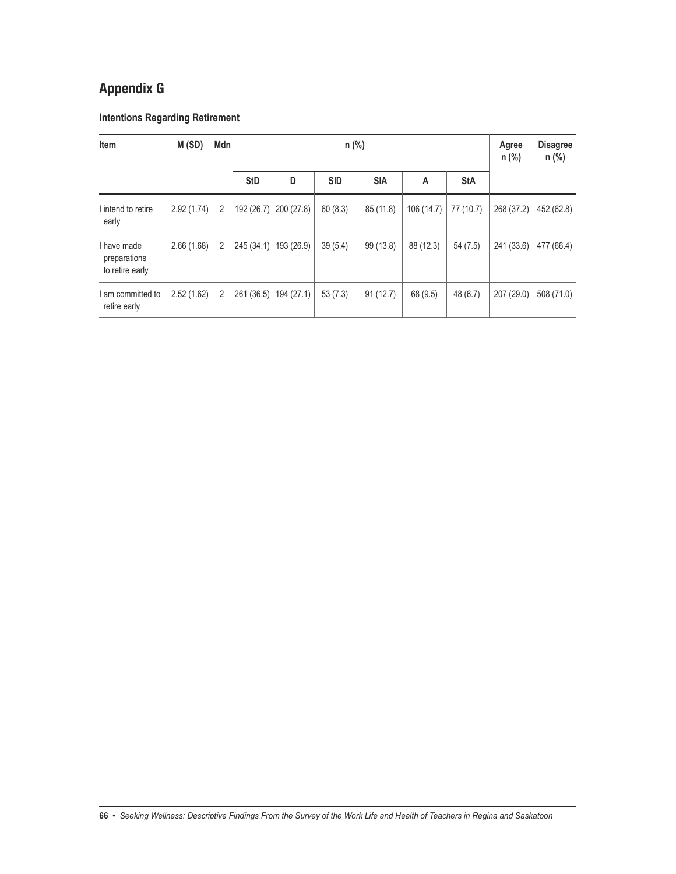# **Appendix G**

### **Intentions Regarding Retirement**

| Item                                           | M(SD)      | Mdn |            |            | Agree<br>n (%) | <b>Disagree</b><br>$n$ (%) |            |            |            |            |
|------------------------------------------------|------------|-----|------------|------------|----------------|----------------------------|------------|------------|------------|------------|
|                                                |            |     | <b>StD</b> | D          | <b>SID</b>     | <b>SIA</b>                 | A          | <b>StA</b> |            |            |
| I intend to retire<br>early                    | 2.92(1.74) | 2   | 192 (26.7) | 200(27.8)  | 60(8.3)        | 85(11.8)                   | 106 (14.7) | 77 (10.7)  | 268 (37.2) | 452 (62.8) |
| I have made<br>preparations<br>to retire early | 2.66(1.68) | 2   | 245(34.1)  | 193 (26.9) | 39(5.4)        | 99 (13.8)                  | 88 (12.3)  | 54(7.5)    | 241 (33.6) | 477 (66.4) |
| am committed to<br>retire early                | 2.52(1.62) | 2   | 261 (36.5) | 194 (27.1) | 53(7.3)        | 91(12.7)                   | 68 (9.5)   | 48 (6.7)   | 207 (29.0) | 508 (71.0) |